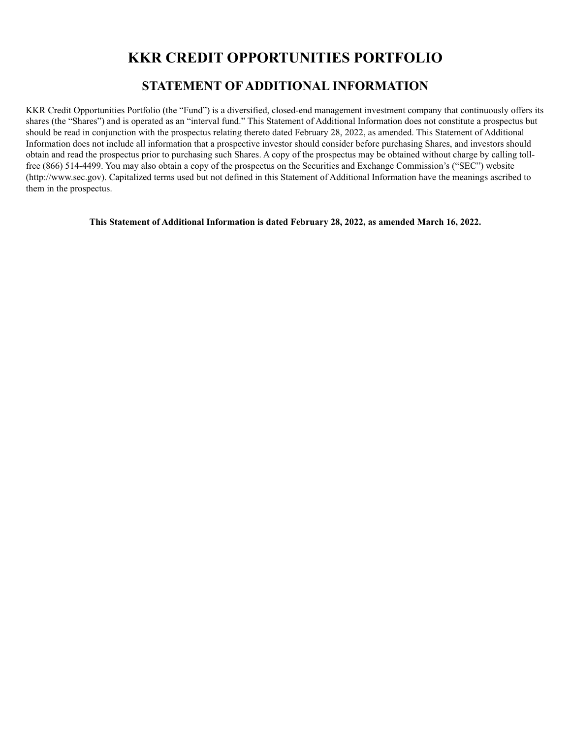# **KKR CREDIT OPPORTUNITIES PORTFOLIO**

# **STATEMENT OF ADDITIONAL INFORMATION**

KKR Credit Opportunities Portfolio (the "Fund") is a diversified, closed-end management investment company that continuously offers its shares (the "Shares") and is operated as an "interval fund." This Statement of Additional Information does not constitute a prospectus but should be read in conjunction with the prospectus relating thereto dated February 28, 2022, as amended. This Statement of Additional Information does not include all information that a prospective investor should consider before purchasing Shares, and investors should obtain and read the prospectus prior to purchasing such Shares. A copy of the prospectus may be obtained without charge by calling tollfree (866) 514-4499. You may also obtain a copy of the prospectus on the Securities and Exchange Commission's ("SEC") website (http://www.sec.gov). Capitalized terms used but not defined in this Statement of Additional Information have the meanings ascribed to them in the prospectus.

**This Statement of Additional Information is dated February 28, 2022, as amended March 16, 2022.**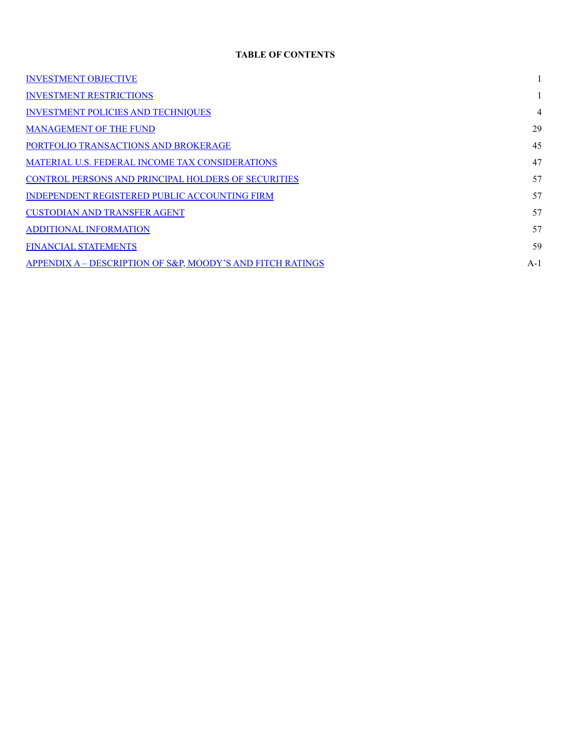# **TABLE OF CONTENTS**

| <b>INVESTMENT OBJECTIVE</b>                                |       |
|------------------------------------------------------------|-------|
| <b>INVESTMENT RESTRICTIONS</b>                             |       |
| <b>INVESTMENT POLICIES AND TECHNIQUES</b>                  | 4     |
| <b>MANAGEMENT OF THE FUND</b>                              | 29    |
| PORTFOLIO TRANSACTIONS AND BROKERAGE                       | 45    |
| MATERIAL U.S. FEDERAL INCOME TAX CONSIDERATIONS            | 47    |
| CONTROL PERSONS AND PRINCIPAL HOLDERS OF SECURITIES        | 57    |
| INDEPENDENT REGISTERED PUBLIC ACCOUNTING FIRM              | 57    |
| <b>CUSTODIAN AND TRANSFER AGENT</b>                        | 57    |
| <b>ADDITIONAL INFORMATION</b>                              | 57    |
| <b>FINANCIAL STATEMENTS</b>                                | 59    |
| APPENDIX A - DESCRIPTION OF S&P, MOODY'S AND FITCH RATINGS | $A-1$ |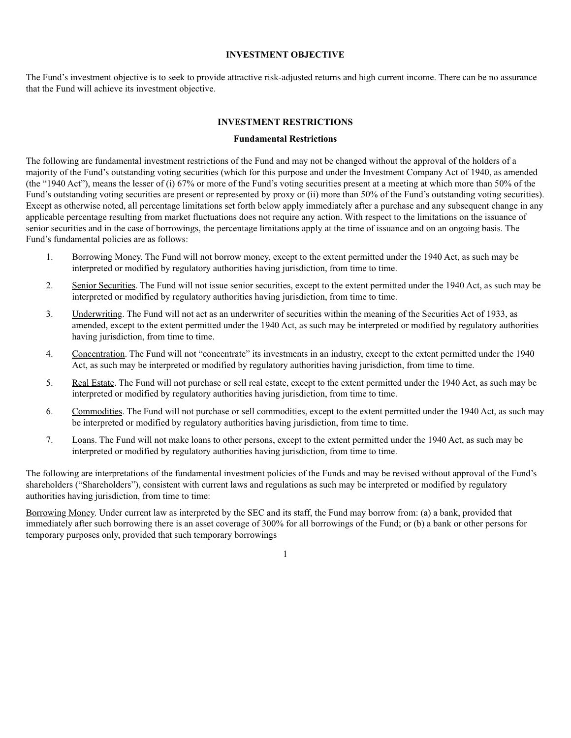#### **INVESTMENT OBJECTIVE**

The Fund's investment objective is to seek to provide attractive risk-adjusted returns and high current income. There can be no assurance that the Fund will achieve its investment objective.

# **INVESTMENT RESTRICTIONS**

# **Fundamental Restrictions**

The following are fundamental investment restrictions of the Fund and may not be changed without the approval of the holders of a majority of the Fund's outstanding voting securities (which for this purpose and under the Investment Company Act of 1940, as amended (the "1940 Act"), means the lesser of (i) 67% or more of the Fund's voting securities present at a meeting at which more than 50% of the Fund's outstanding voting securities are present or represented by proxy or (ii) more than 50% of the Fund's outstanding voting securities). Except as otherwise noted, all percentage limitations set forth below apply immediately after a purchase and any subsequent change in any applicable percentage resulting from market fluctuations does not require any action. With respect to the limitations on the issuance of senior securities and in the case of borrowings, the percentage limitations apply at the time of issuance and on an ongoing basis. The Fund's fundamental policies are as follows:

- 1. Borrowing Money. The Fund will not borrow money, except to the extent permitted under the 1940 Act, as such may be interpreted or modified by regulatory authorities having jurisdiction, from time to time.
- 2. Senior Securities. The Fund will not issue senior securities, except to the extent permitted under the 1940 Act, as such may be interpreted or modified by regulatory authorities having jurisdiction, from time to time.
- 3. Underwriting. The Fund will not act as an underwriter of securities within the meaning of the Securities Act of 1933, as amended, except to the extent permitted under the 1940 Act, as such may be interpreted or modified by regulatory authorities having jurisdiction, from time to time.
- 4. Concentration. The Fund will not "concentrate" its investments in an industry, except to the extent permitted under the 1940 Act, as such may be interpreted or modified by regulatory authorities having jurisdiction, from time to time.
- 5. Real Estate. The Fund will not purchase or sell real estate, except to the extent permitted under the 1940 Act, as such may be interpreted or modified by regulatory authorities having jurisdiction, from time to time.
- 6. Commodities. The Fund will not purchase or sell commodities, except to the extent permitted under the 1940 Act, as such may be interpreted or modified by regulatory authorities having jurisdiction, from time to time.
- 7. Loans. The Fund will not make loans to other persons, except to the extent permitted under the 1940 Act, as such may be interpreted or modified by regulatory authorities having jurisdiction, from time to time.

The following are interpretations of the fundamental investment policies of the Funds and may be revised without approval of the Fund's shareholders ("Shareholders"), consistent with current laws and regulations as such may be interpreted or modified by regulatory authorities having jurisdiction, from time to time:

Borrowing Money. Under current law as interpreted by the SEC and its staff, the Fund may borrow from: (a) a bank, provided that immediately after such borrowing there is an asset coverage of 300% for all borrowings of the Fund; or (b) a bank or other persons for temporary purposes only, provided that such temporary borrowings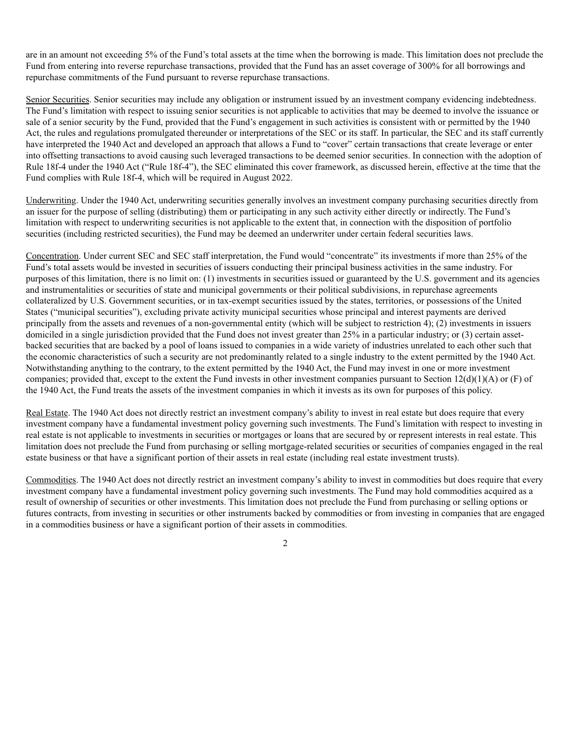are in an amount not exceeding 5% of the Fund's total assets at the time when the borrowing is made. This limitation does not preclude the Fund from entering into reverse repurchase transactions, provided that the Fund has an asset coverage of 300% for all borrowings and repurchase commitments of the Fund pursuant to reverse repurchase transactions.

Senior Securities. Senior securities may include any obligation or instrument issued by an investment company evidencing indebtedness. The Fund's limitation with respect to issuing senior securities is not applicable to activities that may be deemed to involve the issuance or sale of a senior security by the Fund, provided that the Fund's engagement in such activities is consistent with or permitted by the 1940 Act, the rules and regulations promulgated thereunder or interpretations of the SEC or its staff. In particular, the SEC and its staff currently have interpreted the 1940 Act and developed an approach that allows a Fund to "cover" certain transactions that create leverage or enter into offsetting transactions to avoid causing such leveraged transactions to be deemed senior securities. In connection with the adoption of Rule 18f-4 under the 1940 Act ("Rule 18f-4"), the SEC eliminated this cover framework, as discussed herein, effective at the time that the Fund complies with Rule 18f-4, which will be required in August 2022.

Underwriting. Under the 1940 Act, underwriting securities generally involves an investment company purchasing securities directly from an issuer for the purpose of selling (distributing) them or participating in any such activity either directly or indirectly. The Fund's limitation with respect to underwriting securities is not applicable to the extent that, in connection with the disposition of portfolio securities (including restricted securities), the Fund may be deemed an underwriter under certain federal securities laws.

Concentration. Under current SEC and SEC staff interpretation, the Fund would "concentrate" its investments if more than 25% of the Fund's total assets would be invested in securities of issuers conducting their principal business activities in the same industry. For purposes of this limitation, there is no limit on: (1) investments in securities issued or guaranteed by the U.S. government and its agencies and instrumentalities or securities of state and municipal governments or their political subdivisions, in repurchase agreements collateralized by U.S. Government securities, or in tax-exempt securities issued by the states, territories, or possessions of the United States ("municipal securities"), excluding private activity municipal securities whose principal and interest payments are derived principally from the assets and revenues of a non-governmental entity (which will be subject to restriction 4); (2) investments in issuers domiciled in a single jurisdiction provided that the Fund does not invest greater than 25% in a particular industry; or (3) certain assetbacked securities that are backed by a pool of loans issued to companies in a wide variety of industries unrelated to each other such that the economic characteristics of such a security are not predominantly related to a single industry to the extent permitted by the 1940 Act. Notwithstanding anything to the contrary, to the extent permitted by the 1940 Act, the Fund may invest in one or more investment companies; provided that, except to the extent the Fund invests in other investment companies pursuant to Section  $12(d)(1)(A)$  or (F) of the 1940 Act, the Fund treats the assets of the investment companies in which it invests as its own for purposes of this policy.

Real Estate. The 1940 Act does not directly restrict an investment company's ability to invest in real estate but does require that every investment company have a fundamental investment policy governing such investments. The Fund's limitation with respect to investing in real estate is not applicable to investments in securities or mortgages or loans that are secured by or represent interests in real estate. This limitation does not preclude the Fund from purchasing or selling mortgage-related securities or securities of companies engaged in the real estate business or that have a significant portion of their assets in real estate (including real estate investment trusts).

Commodities. The 1940 Act does not directly restrict an investment company's ability to invest in commodities but does require that every investment company have a fundamental investment policy governing such investments. The Fund may hold commodities acquired as a result of ownership of securities or other investments. This limitation does not preclude the Fund from purchasing or selling options or futures contracts, from investing in securities or other instruments backed by commodities or from investing in companies that are engaged in a commodities business or have a significant portion of their assets in commodities.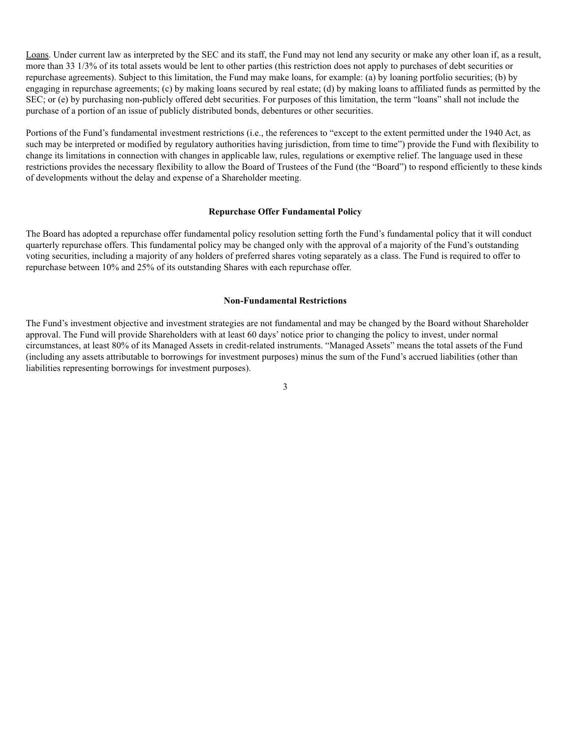Loans. Under current law as interpreted by the SEC and its staff, the Fund may not lend any security or make any other loan if, as a result, more than 33 1/3% of its total assets would be lent to other parties (this restriction does not apply to purchases of debt securities or repurchase agreements). Subject to this limitation, the Fund may make loans, for example: (a) by loaning portfolio securities; (b) by engaging in repurchase agreements; (c) by making loans secured by real estate; (d) by making loans to affiliated funds as permitted by the SEC; or (e) by purchasing non-publicly offered debt securities. For purposes of this limitation, the term "loans" shall not include the purchase of a portion of an issue of publicly distributed bonds, debentures or other securities.

Portions of the Fund's fundamental investment restrictions (i.e., the references to "except to the extent permitted under the 1940 Act, as such may be interpreted or modified by regulatory authorities having jurisdiction, from time to time") provide the Fund with flexibility to change its limitations in connection with changes in applicable law, rules, regulations or exemptive relief. The language used in these restrictions provides the necessary flexibility to allow the Board of Trustees of the Fund (the "Board") to respond efficiently to these kinds of developments without the delay and expense of a Shareholder meeting.

# **Repurchase Offer Fundamental Policy**

The Board has adopted a repurchase offer fundamental policy resolution setting forth the Fund's fundamental policy that it will conduct quarterly repurchase offers. This fundamental policy may be changed only with the approval of a majority of the Fund's outstanding voting securities, including a majority of any holders of preferred shares voting separately as a class. The Fund is required to offer to repurchase between 10% and 25% of its outstanding Shares with each repurchase offer.

#### **Non-Fundamental Restrictions**

The Fund's investment objective and investment strategies are not fundamental and may be changed by the Board without Shareholder approval. The Fund will provide Shareholders with at least 60 days' notice prior to changing the policy to invest, under normal circumstances, at least 80% of its Managed Assets in credit-related instruments. "Managed Assets" means the total assets of the Fund (including any assets attributable to borrowings for investment purposes) minus the sum of the Fund's accrued liabilities (other than liabilities representing borrowings for investment purposes).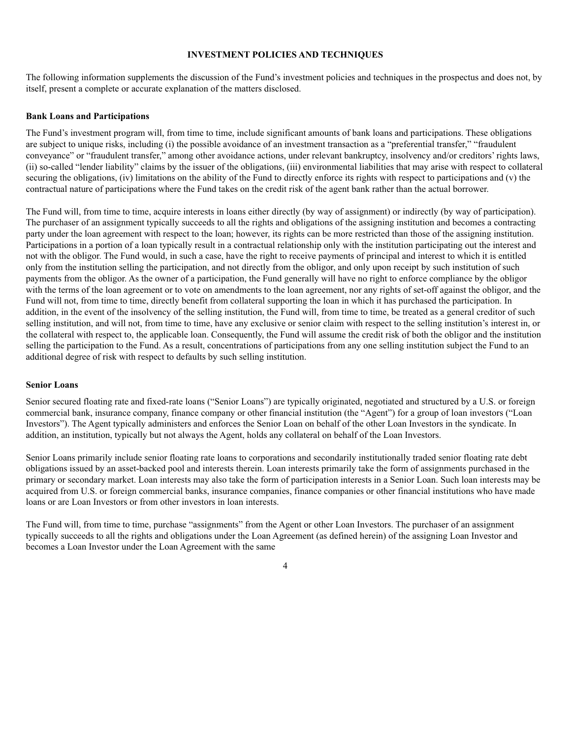#### **INVESTMENT POLICIES AND TECHNIQUES**

The following information supplements the discussion of the Fund's investment policies and techniques in the prospectus and does not, by itself, present a complete or accurate explanation of the matters disclosed.

#### **Bank Loans and Participations**

The Fund's investment program will, from time to time, include significant amounts of bank loans and participations. These obligations are subject to unique risks, including (i) the possible avoidance of an investment transaction as a "preferential transfer," "fraudulent conveyance" or "fraudulent transfer," among other avoidance actions, under relevant bankruptcy, insolvency and/or creditors' rights laws, (ii) so-called "lender liability" claims by the issuer of the obligations, (iii) environmental liabilities that may arise with respect to collateral securing the obligations, (iv) limitations on the ability of the Fund to directly enforce its rights with respect to participations and (v) the contractual nature of participations where the Fund takes on the credit risk of the agent bank rather than the actual borrower.

The Fund will, from time to time, acquire interests in loans either directly (by way of assignment) or indirectly (by way of participation). The purchaser of an assignment typically succeeds to all the rights and obligations of the assigning institution and becomes a contracting party under the loan agreement with respect to the loan; however, its rights can be more restricted than those of the assigning institution. Participations in a portion of a loan typically result in a contractual relationship only with the institution participating out the interest and not with the obligor. The Fund would, in such a case, have the right to receive payments of principal and interest to which it is entitled only from the institution selling the participation, and not directly from the obligor, and only upon receipt by such institution of such payments from the obligor. As the owner of a participation, the Fund generally will have no right to enforce compliance by the obligor with the terms of the loan agreement or to vote on amendments to the loan agreement, nor any rights of set-off against the obligor, and the Fund will not, from time to time, directly benefit from collateral supporting the loan in which it has purchased the participation. In addition, in the event of the insolvency of the selling institution, the Fund will, from time to time, be treated as a general creditor of such selling institution, and will not, from time to time, have any exclusive or senior claim with respect to the selling institution's interest in, or the collateral with respect to, the applicable loan. Consequently, the Fund will assume the credit risk of both the obligor and the institution selling the participation to the Fund. As a result, concentrations of participations from any one selling institution subject the Fund to an additional degree of risk with respect to defaults by such selling institution.

# **Senior Loans**

Senior secured floating rate and fixed-rate loans ("Senior Loans") are typically originated, negotiated and structured by a U.S. or foreign commercial bank, insurance company, finance company or other financial institution (the "Agent") for a group of loan investors ("Loan Investors"). The Agent typically administers and enforces the Senior Loan on behalf of the other Loan Investors in the syndicate. In addition, an institution, typically but not always the Agent, holds any collateral on behalf of the Loan Investors.

Senior Loans primarily include senior floating rate loans to corporations and secondarily institutionally traded senior floating rate debt obligations issued by an asset-backed pool and interests therein. Loan interests primarily take the form of assignments purchased in the primary or secondary market. Loan interests may also take the form of participation interests in a Senior Loan. Such loan interests may be acquired from U.S. or foreign commercial banks, insurance companies, finance companies or other financial institutions who have made loans or are Loan Investors or from other investors in loan interests.

The Fund will, from time to time, purchase "assignments" from the Agent or other Loan Investors. The purchaser of an assignment typically succeeds to all the rights and obligations under the Loan Agreement (as defined herein) of the assigning Loan Investor and becomes a Loan Investor under the Loan Agreement with the same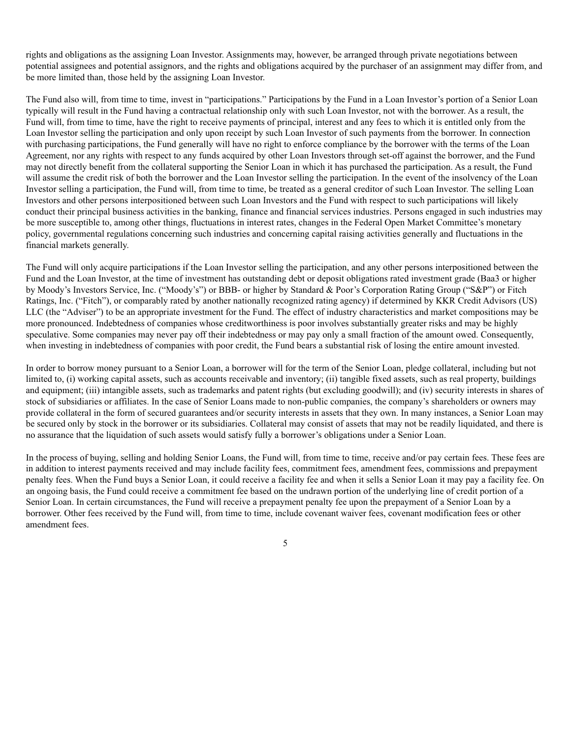rights and obligations as the assigning Loan Investor. Assignments may, however, be arranged through private negotiations between potential assignees and potential assignors, and the rights and obligations acquired by the purchaser of an assignment may differ from, and be more limited than, those held by the assigning Loan Investor.

The Fund also will, from time to time, invest in "participations." Participations by the Fund in a Loan Investor's portion of a Senior Loan typically will result in the Fund having a contractual relationship only with such Loan Investor, not with the borrower. As a result, the Fund will, from time to time, have the right to receive payments of principal, interest and any fees to which it is entitled only from the Loan Investor selling the participation and only upon receipt by such Loan Investor of such payments from the borrower. In connection with purchasing participations, the Fund generally will have no right to enforce compliance by the borrower with the terms of the Loan Agreement, nor any rights with respect to any funds acquired by other Loan Investors through set-off against the borrower, and the Fund may not directly benefit from the collateral supporting the Senior Loan in which it has purchased the participation. As a result, the Fund will assume the credit risk of both the borrower and the Loan Investor selling the participation. In the event of the insolvency of the Loan Investor selling a participation, the Fund will, from time to time, be treated as a general creditor of such Loan Investor. The selling Loan Investors and other persons interpositioned between such Loan Investors and the Fund with respect to such participations will likely conduct their principal business activities in the banking, finance and financial services industries. Persons engaged in such industries may be more susceptible to, among other things, fluctuations in interest rates, changes in the Federal Open Market Committee's monetary policy, governmental regulations concerning such industries and concerning capital raising activities generally and fluctuations in the financial markets generally.

The Fund will only acquire participations if the Loan Investor selling the participation, and any other persons interpositioned between the Fund and the Loan Investor, at the time of investment has outstanding debt or deposit obligations rated investment grade (Baa3 or higher by Moody's Investors Service, Inc. ("Moody's") or BBB- or higher by Standard & Poor's Corporation Rating Group ("S&P") or Fitch Ratings, Inc. ("Fitch"), or comparably rated by another nationally recognized rating agency) if determined by KKR Credit Advisors (US) LLC (the "Adviser") to be an appropriate investment for the Fund. The effect of industry characteristics and market compositions may be more pronounced. Indebtedness of companies whose creditworthiness is poor involves substantially greater risks and may be highly speculative. Some companies may never pay off their indebtedness or may pay only a small fraction of the amount owed. Consequently, when investing in indebtedness of companies with poor credit, the Fund bears a substantial risk of losing the entire amount invested.

In order to borrow money pursuant to a Senior Loan, a borrower will for the term of the Senior Loan, pledge collateral, including but not limited to, (i) working capital assets, such as accounts receivable and inventory; (ii) tangible fixed assets, such as real property, buildings and equipment; (iii) intangible assets, such as trademarks and patent rights (but excluding goodwill); and (iv) security interests in shares of stock of subsidiaries or affiliates. In the case of Senior Loans made to non-public companies, the company's shareholders or owners may provide collateral in the form of secured guarantees and/or security interests in assets that they own. In many instances, a Senior Loan may be secured only by stock in the borrower or its subsidiaries. Collateral may consist of assets that may not be readily liquidated, and there is no assurance that the liquidation of such assets would satisfy fully a borrower's obligations under a Senior Loan.

In the process of buying, selling and holding Senior Loans, the Fund will, from time to time, receive and/or pay certain fees. These fees are in addition to interest payments received and may include facility fees, commitment fees, amendment fees, commissions and prepayment penalty fees. When the Fund buys a Senior Loan, it could receive a facility fee and when it sells a Senior Loan it may pay a facility fee. On an ongoing basis, the Fund could receive a commitment fee based on the undrawn portion of the underlying line of credit portion of a Senior Loan. In certain circumstances, the Fund will receive a prepayment penalty fee upon the prepayment of a Senior Loan by a borrower. Other fees received by the Fund will, from time to time, include covenant waiver fees, covenant modification fees or other amendment fees.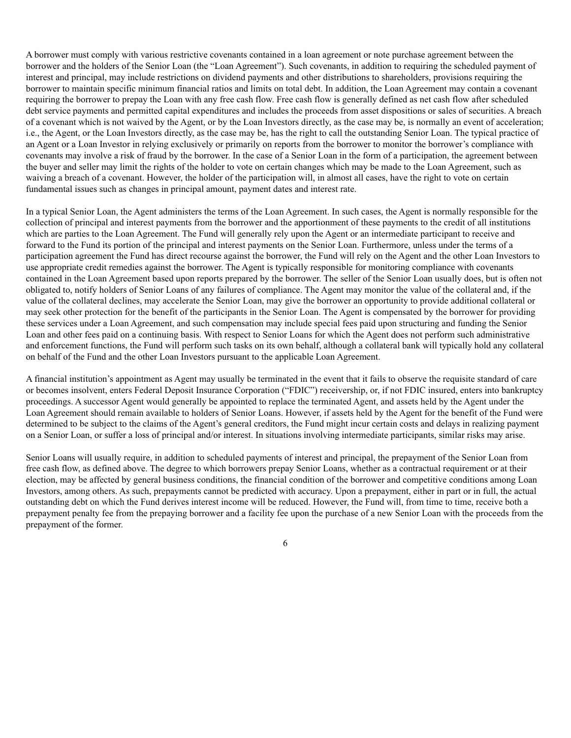A borrower must comply with various restrictive covenants contained in a loan agreement or note purchase agreement between the borrower and the holders of the Senior Loan (the "Loan Agreement"). Such covenants, in addition to requiring the scheduled payment of interest and principal, may include restrictions on dividend payments and other distributions to shareholders, provisions requiring the borrower to maintain specific minimum financial ratios and limits on total debt. In addition, the Loan Agreement may contain a covenant requiring the borrower to prepay the Loan with any free cash flow. Free cash flow is generally defined as net cash flow after scheduled debt service payments and permitted capital expenditures and includes the proceeds from asset dispositions or sales of securities. A breach of a covenant which is not waived by the Agent, or by the Loan Investors directly, as the case may be, is normally an event of acceleration; i.e., the Agent, or the Loan Investors directly, as the case may be, has the right to call the outstanding Senior Loan. The typical practice of an Agent or a Loan Investor in relying exclusively or primarily on reports from the borrower to monitor the borrower's compliance with covenants may involve a risk of fraud by the borrower. In the case of a Senior Loan in the form of a participation, the agreement between the buyer and seller may limit the rights of the holder to vote on certain changes which may be made to the Loan Agreement, such as waiving a breach of a covenant. However, the holder of the participation will, in almost all cases, have the right to vote on certain fundamental issues such as changes in principal amount, payment dates and interest rate.

In a typical Senior Loan, the Agent administers the terms of the Loan Agreement. In such cases, the Agent is normally responsible for the collection of principal and interest payments from the borrower and the apportionment of these payments to the credit of all institutions which are parties to the Loan Agreement. The Fund will generally rely upon the Agent or an intermediate participant to receive and forward to the Fund its portion of the principal and interest payments on the Senior Loan. Furthermore, unless under the terms of a participation agreement the Fund has direct recourse against the borrower, the Fund will rely on the Agent and the other Loan Investors to use appropriate credit remedies against the borrower. The Agent is typically responsible for monitoring compliance with covenants contained in the Loan Agreement based upon reports prepared by the borrower. The seller of the Senior Loan usually does, but is often not obligated to, notify holders of Senior Loans of any failures of compliance. The Agent may monitor the value of the collateral and, if the value of the collateral declines, may accelerate the Senior Loan, may give the borrower an opportunity to provide additional collateral or may seek other protection for the benefit of the participants in the Senior Loan. The Agent is compensated by the borrower for providing these services under a Loan Agreement, and such compensation may include special fees paid upon structuring and funding the Senior Loan and other fees paid on a continuing basis. With respect to Senior Loans for which the Agent does not perform such administrative and enforcement functions, the Fund will perform such tasks on its own behalf, although a collateral bank will typically hold any collateral on behalf of the Fund and the other Loan Investors pursuant to the applicable Loan Agreement.

A financial institution's appointment as Agent may usually be terminated in the event that it fails to observe the requisite standard of care or becomes insolvent, enters Federal Deposit Insurance Corporation ("FDIC") receivership, or, if not FDIC insured, enters into bankruptcy proceedings. A successor Agent would generally be appointed to replace the terminated Agent, and assets held by the Agent under the Loan Agreement should remain available to holders of Senior Loans. However, if assets held by the Agent for the benefit of the Fund were determined to be subject to the claims of the Agent's general creditors, the Fund might incur certain costs and delays in realizing payment on a Senior Loan, or suffer a loss of principal and/or interest. In situations involving intermediate participants, similar risks may arise.

Senior Loans will usually require, in addition to scheduled payments of interest and principal, the prepayment of the Senior Loan from free cash flow, as defined above. The degree to which borrowers prepay Senior Loans, whether as a contractual requirement or at their election, may be affected by general business conditions, the financial condition of the borrower and competitive conditions among Loan Investors, among others. As such, prepayments cannot be predicted with accuracy. Upon a prepayment, either in part or in full, the actual outstanding debt on which the Fund derives interest income will be reduced. However, the Fund will, from time to time, receive both a prepayment penalty fee from the prepaying borrower and a facility fee upon the purchase of a new Senior Loan with the proceeds from the prepayment of the former.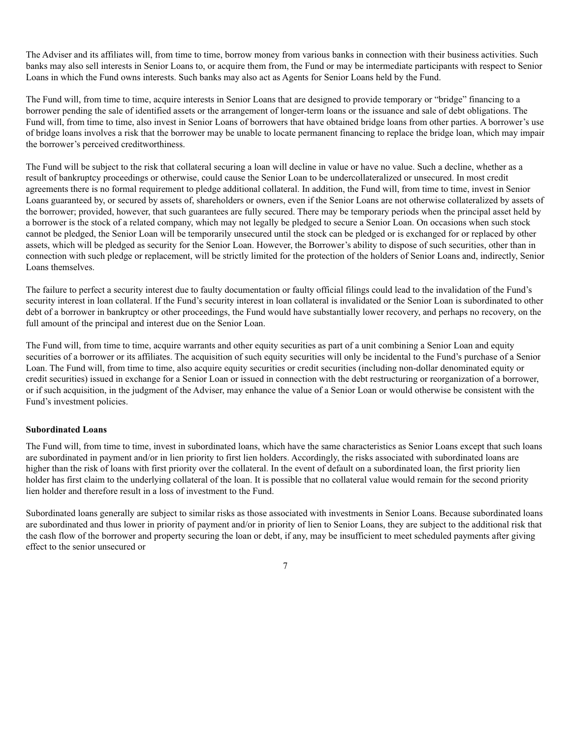The Adviser and its affiliates will, from time to time, borrow money from various banks in connection with their business activities. Such banks may also sell interests in Senior Loans to, or acquire them from, the Fund or may be intermediate participants with respect to Senior Loans in which the Fund owns interests. Such banks may also act as Agents for Senior Loans held by the Fund.

The Fund will, from time to time, acquire interests in Senior Loans that are designed to provide temporary or "bridge" financing to a borrower pending the sale of identified assets or the arrangement of longer-term loans or the issuance and sale of debt obligations. The Fund will, from time to time, also invest in Senior Loans of borrowers that have obtained bridge loans from other parties. A borrower's use of bridge loans involves a risk that the borrower may be unable to locate permanent financing to replace the bridge loan, which may impair the borrower's perceived creditworthiness.

The Fund will be subject to the risk that collateral securing a loan will decline in value or have no value. Such a decline, whether as a result of bankruptcy proceedings or otherwise, could cause the Senior Loan to be undercollateralized or unsecured. In most credit agreements there is no formal requirement to pledge additional collateral. In addition, the Fund will, from time to time, invest in Senior Loans guaranteed by, or secured by assets of, shareholders or owners, even if the Senior Loans are not otherwise collateralized by assets of the borrower; provided, however, that such guarantees are fully secured. There may be temporary periods when the principal asset held by a borrower is the stock of a related company, which may not legally be pledged to secure a Senior Loan. On occasions when such stock cannot be pledged, the Senior Loan will be temporarily unsecured until the stock can be pledged or is exchanged for or replaced by other assets, which will be pledged as security for the Senior Loan. However, the Borrower's ability to dispose of such securities, other than in connection with such pledge or replacement, will be strictly limited for the protection of the holders of Senior Loans and, indirectly, Senior Loans themselves.

The failure to perfect a security interest due to faulty documentation or faulty official filings could lead to the invalidation of the Fund's security interest in loan collateral. If the Fund's security interest in loan collateral is invalidated or the Senior Loan is subordinated to other debt of a borrower in bankruptcy or other proceedings, the Fund would have substantially lower recovery, and perhaps no recovery, on the full amount of the principal and interest due on the Senior Loan.

The Fund will, from time to time, acquire warrants and other equity securities as part of a unit combining a Senior Loan and equity securities of a borrower or its affiliates. The acquisition of such equity securities will only be incidental to the Fund's purchase of a Senior Loan. The Fund will, from time to time, also acquire equity securities or credit securities (including non-dollar denominated equity or credit securities) issued in exchange for a Senior Loan or issued in connection with the debt restructuring or reorganization of a borrower, or if such acquisition, in the judgment of the Adviser, may enhance the value of a Senior Loan or would otherwise be consistent with the Fund's investment policies.

#### **Subordinated Loans**

The Fund will, from time to time, invest in subordinated loans, which have the same characteristics as Senior Loans except that such loans are subordinated in payment and/or in lien priority to first lien holders. Accordingly, the risks associated with subordinated loans are higher than the risk of loans with first priority over the collateral. In the event of default on a subordinated loan, the first priority lien holder has first claim to the underlying collateral of the loan. It is possible that no collateral value would remain for the second priority lien holder and therefore result in a loss of investment to the Fund.

Subordinated loans generally are subject to similar risks as those associated with investments in Senior Loans. Because subordinated loans are subordinated and thus lower in priority of payment and/or in priority of lien to Senior Loans, they are subject to the additional risk that the cash flow of the borrower and property securing the loan or debt, if any, may be insufficient to meet scheduled payments after giving effect to the senior unsecured or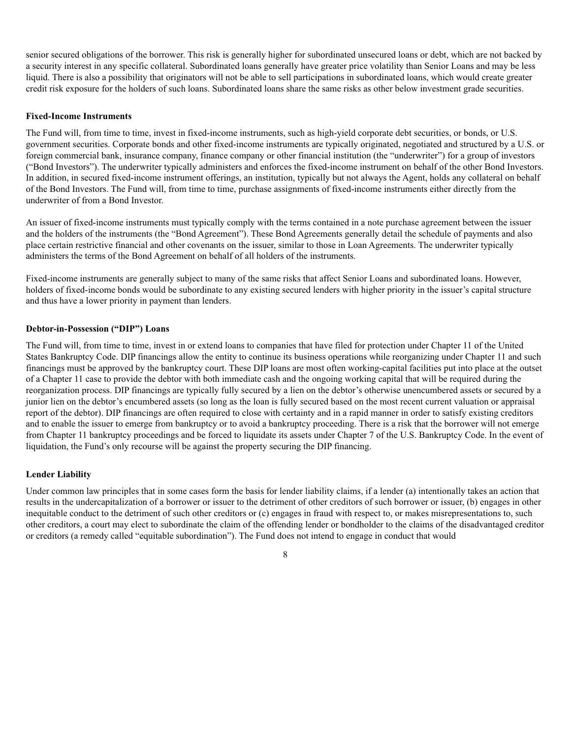senior secured obligations of the borrower. This risk is generally higher for subordinated unsecured loans or debt, which are not backed by a security interest in any specific collateral. Subordinated loans generally have greater price volatility than Senior Loans and may be less liquid. There is also a possibility that originators will not be able to sell participations in subordinated loans, which would create greater credit risk exposure for the holders of such loans. Subordinated loans share the same risks as other below investment grade securities.

#### **Fixed-Income Instruments**

The Fund will, from time to time, invest in fixed-income instruments, such as high-yield corporate debt securities, or bonds, or U.S. government securities. Corporate bonds and other fixed-income instruments are typically originated, negotiated and structured by a U.S. or foreign commercial bank, insurance company, finance company or other financial institution (the "underwriter") for a group of investors ("Bond Investors"). The underwriter typically administers and enforces the fixed-income instrument on behalf of the other Bond Investors. In addition, in secured fixed-income instrument offerings, an institution, typically but not always the Agent, holds any collateral on behalf of the Bond Investors. The Fund will, from time to time, purchase assignments of fixed-income instruments either directly from the underwriter of from a Bond Investor.

An issuer of fixed-income instruments must typically comply with the terms contained in a note purchase agreement between the issuer and the holders of the instruments (the "Bond Agreement"). These Bond Agreements generally detail the schedule of payments and also place certain restrictive financial and other covenants on the issuer, similar to those in Loan Agreements. The underwriter typically administers the terms of the Bond Agreement on behalf of all holders of the instruments.

Fixed-income instruments are generally subject to many of the same risks that affect Senior Loans and subordinated loans. However, holders of fixed-income bonds would be subordinate to any existing secured lenders with higher priority in the issuer's capital structure and thus have a lower priority in payment than lenders.

#### **Debtor-in-Possession ("DIP") Loans**

The Fund will, from time to time, invest in or extend loans to companies that have filed for protection under Chapter 11 of the United States Bankruptcy Code. DIP financings allow the entity to continue its business operations while reorganizing under Chapter 11 and such financings must be approved by the bankruptcy court. These DIP loans are most often working-capital facilities put into place at the outset of a Chapter 11 case to provide the debtor with both immediate cash and the ongoing working capital that will be required during the reorganization process. DIP financings are typically fully secured by a lien on the debtor's otherwise unencumbered assets or secured by a junior lien on the debtor's encumbered assets (so long as the loan is fully secured based on the most recent current valuation or appraisal report of the debtor). DIP financings are often required to close with certainty and in a rapid manner in order to satisfy existing creditors and to enable the issuer to emerge from bankruptcy or to avoid a bankruptcy proceeding. There is a risk that the borrower will not emerge from Chapter 11 bankruptcy proceedings and be forced to liquidate its assets under Chapter 7 of the U.S. Bankruptcy Code. In the event of liquidation, the Fund's only recourse will be against the property securing the DIP financing.

#### **Lender Liability**

Under common law principles that in some cases form the basis for lender liability claims, if a lender (a) intentionally takes an action that results in the undercapitalization of a borrower or issuer to the detriment of other creditors of such borrower or issuer, (b) engages in other inequitable conduct to the detriment of such other creditors or (c) engages in fraud with respect to, or makes misrepresentations to, such other creditors, a court may elect to subordinate the claim of the offending lender or bondholder to the claims of the disadvantaged creditor or creditors (a remedy called "equitable subordination"). The Fund does not intend to engage in conduct that would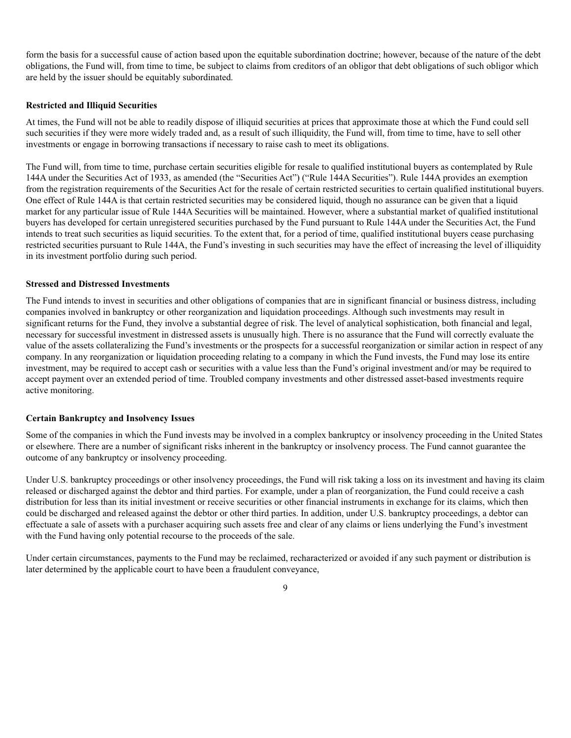form the basis for a successful cause of action based upon the equitable subordination doctrine; however, because of the nature of the debt obligations, the Fund will, from time to time, be subject to claims from creditors of an obligor that debt obligations of such obligor which are held by the issuer should be equitably subordinated.

### **Restricted and Illiquid Securities**

At times, the Fund will not be able to readily dispose of illiquid securities at prices that approximate those at which the Fund could sell such securities if they were more widely traded and, as a result of such illiquidity, the Fund will, from time to time, have to sell other investments or engage in borrowing transactions if necessary to raise cash to meet its obligations.

The Fund will, from time to time, purchase certain securities eligible for resale to qualified institutional buyers as contemplated by Rule 144A under the Securities Act of 1933, as amended (the "Securities Act") ("Rule 144A Securities"). Rule 144A provides an exemption from the registration requirements of the Securities Act for the resale of certain restricted securities to certain qualified institutional buyers. One effect of Rule 144A is that certain restricted securities may be considered liquid, though no assurance can be given that a liquid market for any particular issue of Rule 144A Securities will be maintained. However, where a substantial market of qualified institutional buyers has developed for certain unregistered securities purchased by the Fund pursuant to Rule 144A under the Securities Act, the Fund intends to treat such securities as liquid securities. To the extent that, for a period of time, qualified institutional buyers cease purchasing restricted securities pursuant to Rule 144A, the Fund's investing in such securities may have the effect of increasing the level of illiquidity in its investment portfolio during such period.

#### **Stressed and Distressed Investments**

The Fund intends to invest in securities and other obligations of companies that are in significant financial or business distress, including companies involved in bankruptcy or other reorganization and liquidation proceedings. Although such investments may result in significant returns for the Fund, they involve a substantial degree of risk. The level of analytical sophistication, both financial and legal, necessary for successful investment in distressed assets is unusually high. There is no assurance that the Fund will correctly evaluate the value of the assets collateralizing the Fund's investments or the prospects for a successful reorganization or similar action in respect of any company. In any reorganization or liquidation proceeding relating to a company in which the Fund invests, the Fund may lose its entire investment, may be required to accept cash or securities with a value less than the Fund's original investment and/or may be required to accept payment over an extended period of time. Troubled company investments and other distressed asset-based investments require active monitoring.

#### **Certain Bankruptcy and Insolvency Issues**

Some of the companies in which the Fund invests may be involved in a complex bankruptcy or insolvency proceeding in the United States or elsewhere. There are a number of significant risks inherent in the bankruptcy or insolvency process. The Fund cannot guarantee the outcome of any bankruptcy or insolvency proceeding.

Under U.S. bankruptcy proceedings or other insolvency proceedings, the Fund will risk taking a loss on its investment and having its claim released or discharged against the debtor and third parties. For example, under a plan of reorganization, the Fund could receive a cash distribution for less than its initial investment or receive securities or other financial instruments in exchange for its claims, which then could be discharged and released against the debtor or other third parties. In addition, under U.S. bankruptcy proceedings, a debtor can effectuate a sale of assets with a purchaser acquiring such assets free and clear of any claims or liens underlying the Fund's investment with the Fund having only potential recourse to the proceeds of the sale.

Under certain circumstances, payments to the Fund may be reclaimed, recharacterized or avoided if any such payment or distribution is later determined by the applicable court to have been a fraudulent conveyance,

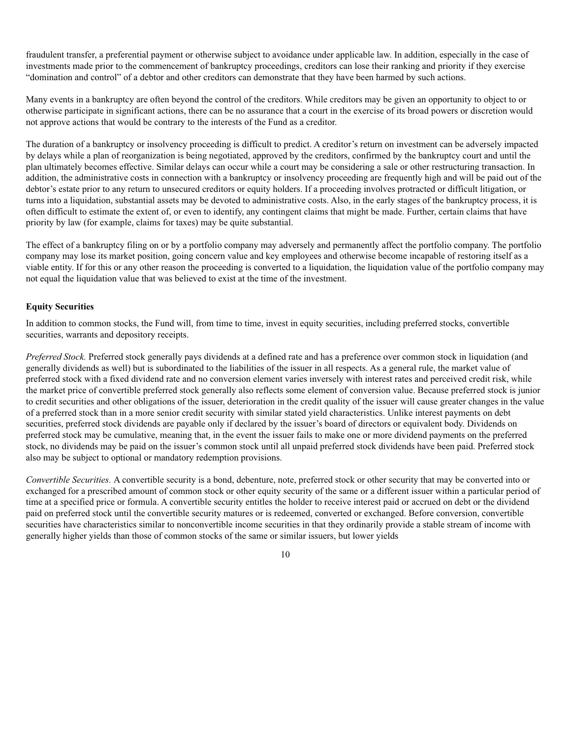fraudulent transfer, a preferential payment or otherwise subject to avoidance under applicable law. In addition, especially in the case of investments made prior to the commencement of bankruptcy proceedings, creditors can lose their ranking and priority if they exercise "domination and control" of a debtor and other creditors can demonstrate that they have been harmed by such actions.

Many events in a bankruptcy are often beyond the control of the creditors. While creditors may be given an opportunity to object to or otherwise participate in significant actions, there can be no assurance that a court in the exercise of its broad powers or discretion would not approve actions that would be contrary to the interests of the Fund as a creditor.

The duration of a bankruptcy or insolvency proceeding is difficult to predict. A creditor's return on investment can be adversely impacted by delays while a plan of reorganization is being negotiated, approved by the creditors, confirmed by the bankruptcy court and until the plan ultimately becomes effective. Similar delays can occur while a court may be considering a sale or other restructuring transaction. In addition, the administrative costs in connection with a bankruptcy or insolvency proceeding are frequently high and will be paid out of the debtor's estate prior to any return to unsecured creditors or equity holders. If a proceeding involves protracted or difficult litigation, or turns into a liquidation, substantial assets may be devoted to administrative costs. Also, in the early stages of the bankruptcy process, it is often difficult to estimate the extent of, or even to identify, any contingent claims that might be made. Further, certain claims that have priority by law (for example, claims for taxes) may be quite substantial.

The effect of a bankruptcy filing on or by a portfolio company may adversely and permanently affect the portfolio company. The portfolio company may lose its market position, going concern value and key employees and otherwise become incapable of restoring itself as a viable entity. If for this or any other reason the proceeding is converted to a liquidation, the liquidation value of the portfolio company may not equal the liquidation value that was believed to exist at the time of the investment.

# **Equity Securities**

In addition to common stocks, the Fund will, from time to time, invest in equity securities, including preferred stocks, convertible securities, warrants and depository receipts.

*Preferred Stock.* Preferred stock generally pays dividends at a defined rate and has a preference over common stock in liquidation (and generally dividends as well) but is subordinated to the liabilities of the issuer in all respects. As a general rule, the market value of preferred stock with a fixed dividend rate and no conversion element varies inversely with interest rates and perceived credit risk, while the market price of convertible preferred stock generally also reflects some element of conversion value. Because preferred stock is junior to credit securities and other obligations of the issuer, deterioration in the credit quality of the issuer will cause greater changes in the value of a preferred stock than in a more senior credit security with similar stated yield characteristics. Unlike interest payments on debt securities, preferred stock dividends are payable only if declared by the issuer's board of directors or equivalent body. Dividends on preferred stock may be cumulative, meaning that, in the event the issuer fails to make one or more dividend payments on the preferred stock, no dividends may be paid on the issuer's common stock until all unpaid preferred stock dividends have been paid. Preferred stock also may be subject to optional or mandatory redemption provisions.

*Convertible Securities.* A convertible security is a bond, debenture, note, preferred stock or other security that may be converted into or exchanged for a prescribed amount of common stock or other equity security of the same or a different issuer within a particular period of time at a specified price or formula. A convertible security entitles the holder to receive interest paid or accrued on debt or the dividend paid on preferred stock until the convertible security matures or is redeemed, converted or exchanged. Before conversion, convertible securities have characteristics similar to nonconvertible income securities in that they ordinarily provide a stable stream of income with generally higher yields than those of common stocks of the same or similar issuers, but lower yields

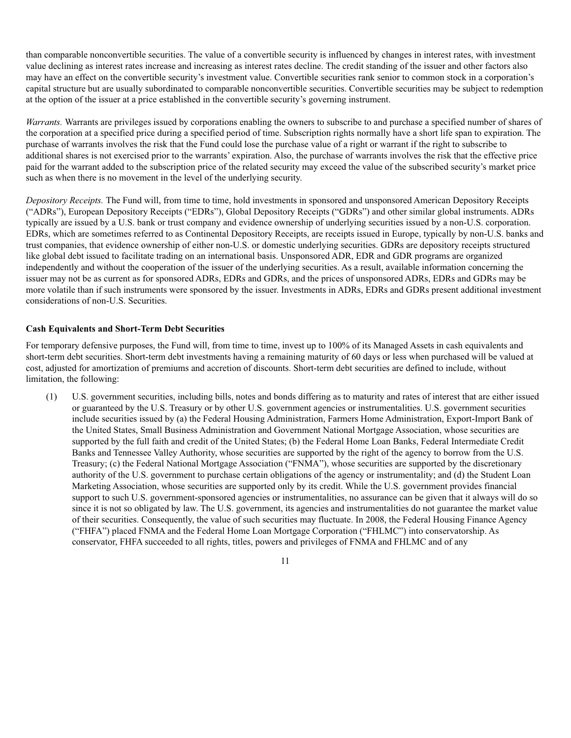than comparable nonconvertible securities. The value of a convertible security is influenced by changes in interest rates, with investment value declining as interest rates increase and increasing as interest rates decline. The credit standing of the issuer and other factors also may have an effect on the convertible security's investment value. Convertible securities rank senior to common stock in a corporation's capital structure but are usually subordinated to comparable nonconvertible securities. Convertible securities may be subject to redemption at the option of the issuer at a price established in the convertible security's governing instrument.

*Warrants.* Warrants are privileges issued by corporations enabling the owners to subscribe to and purchase a specified number of shares of the corporation at a specified price during a specified period of time. Subscription rights normally have a short life span to expiration. The purchase of warrants involves the risk that the Fund could lose the purchase value of a right or warrant if the right to subscribe to additional shares is not exercised prior to the warrants' expiration. Also, the purchase of warrants involves the risk that the effective price paid for the warrant added to the subscription price of the related security may exceed the value of the subscribed security's market price such as when there is no movement in the level of the underlying security.

*Depository Receipts.* The Fund will, from time to time, hold investments in sponsored and unsponsored American Depository Receipts ("ADRs"), European Depository Receipts ("EDRs"), Global Depository Receipts ("GDRs") and other similar global instruments. ADRs typically are issued by a U.S. bank or trust company and evidence ownership of underlying securities issued by a non-U.S. corporation. EDRs, which are sometimes referred to as Continental Depository Receipts, are receipts issued in Europe, typically by non-U.S. banks and trust companies, that evidence ownership of either non-U.S. or domestic underlying securities. GDRs are depository receipts structured like global debt issued to facilitate trading on an international basis. Unsponsored ADR, EDR and GDR programs are organized independently and without the cooperation of the issuer of the underlying securities. As a result, available information concerning the issuer may not be as current as for sponsored ADRs, EDRs and GDRs, and the prices of unsponsored ADRs, EDRs and GDRs may be more volatile than if such instruments were sponsored by the issuer. Investments in ADRs, EDRs and GDRs present additional investment considerations of non-U.S. Securities.

# **Cash Equivalents and Short-Term Debt Securities**

For temporary defensive purposes, the Fund will, from time to time, invest up to 100% of its Managed Assets in cash equivalents and short-term debt securities. Short-term debt investments having a remaining maturity of 60 days or less when purchased will be valued at cost, adjusted for amortization of premiums and accretion of discounts. Short-term debt securities are defined to include, without limitation, the following:

(1) U.S. government securities, including bills, notes and bonds differing as to maturity and rates of interest that are either issued or guaranteed by the U.S. Treasury or by other U.S. government agencies or instrumentalities. U.S. government securities include securities issued by (a) the Federal Housing Administration, Farmers Home Administration, Export-Import Bank of the United States, Small Business Administration and Government National Mortgage Association, whose securities are supported by the full faith and credit of the United States; (b) the Federal Home Loan Banks, Federal Intermediate Credit Banks and Tennessee Valley Authority, whose securities are supported by the right of the agency to borrow from the U.S. Treasury; (c) the Federal National Mortgage Association ("FNMA"), whose securities are supported by the discretionary authority of the U.S. government to purchase certain obligations of the agency or instrumentality; and (d) the Student Loan Marketing Association, whose securities are supported only by its credit. While the U.S. government provides financial support to such U.S. government-sponsored agencies or instrumentalities, no assurance can be given that it always will do so since it is not so obligated by law. The U.S. government, its agencies and instrumentalities do not guarantee the market value of their securities. Consequently, the value of such securities may fluctuate. In 2008, the Federal Housing Finance Agency ("FHFA") placed FNMA and the Federal Home Loan Mortgage Corporation ("FHLMC") into conservatorship. As conservator, FHFA succeeded to all rights, titles, powers and privileges of FNMA and FHLMC and of any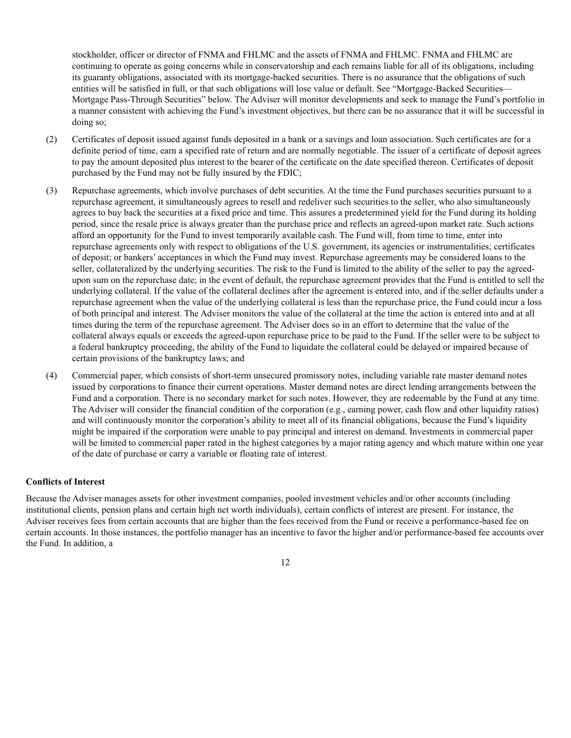stockholder, officer or director of FNMA and FHLMC and the assets of FNMA and FHLMC. FNMA and FHLMC are continuing to operate as going concerns while in conservatorship and each remains liable for all of its obligations, including its guaranty obligations, associated with its mortgage-backed securities. There is no assurance that the obligations of such entities will be satisfied in full, or that such obligations will lose value or default. See "Mortgage-Backed Securities— Mortgage Pass-Through Securities" below. The Adviser will monitor developments and seek to manage the Fund's portfolio in a manner consistent with achieving the Fund's investment objectives, but there can be no assurance that it will be successful in doing so;

- (2) Certificates of deposit issued against funds deposited in a bank or a savings and loan association. Such certificates are for a definite period of time, earn a specified rate of return and are normally negotiable. The issuer of a certificate of deposit agrees to pay the amount deposited plus interest to the bearer of the certificate on the date specified thereon. Certificates of deposit purchased by the Fund may not be fully insured by the FDIC;
- (3) Repurchase agreements, which involve purchases of debt securities. At the time the Fund purchases securities pursuant to a repurchase agreement, it simultaneously agrees to resell and redeliver such securities to the seller, who also simultaneously agrees to buy back the securities at a fixed price and time. This assures a predetermined yield for the Fund during its holding period, since the resale price is always greater than the purchase price and reflects an agreed-upon market rate. Such actions afford an opportunity for the Fund to invest temporarily available cash. The Fund will, from time to time, enter into repurchase agreements only with respect to obligations of the U.S. government, its agencies or instrumentalities; certificates of deposit; or bankers' acceptances in which the Fund may invest. Repurchase agreements may be considered loans to the seller, collateralized by the underlying securities. The risk to the Fund is limited to the ability of the seller to pay the agreedupon sum on the repurchase date; in the event of default, the repurchase agreement provides that the Fund is entitled to sell the underlying collateral. If the value of the collateral declines after the agreement is entered into, and if the seller defaults under a repurchase agreement when the value of the underlying collateral is less than the repurchase price, the Fund could incur a loss of both principal and interest. The Adviser monitors the value of the collateral at the time the action is entered into and at all times during the term of the repurchase agreement. The Adviser does so in an effort to determine that the value of the collateral always equals or exceeds the agreed-upon repurchase price to be paid to the Fund. If the seller were to be subject to a federal bankruptcy proceeding, the ability of the Fund to liquidate the collateral could be delayed or impaired because of certain provisions of the bankruptcy laws; and
- (4) Commercial paper, which consists of short-term unsecured promissory notes, including variable rate master demand notes issued by corporations to finance their current operations. Master demand notes are direct lending arrangements between the Fund and a corporation. There is no secondary market for such notes. However, they are redeemable by the Fund at any time. The Adviser will consider the financial condition of the corporation (e.g., earning power, cash flow and other liquidity ratios) and will continuously monitor the corporation's ability to meet all of its financial obligations, because the Fund's liquidity might be impaired if the corporation were unable to pay principal and interest on demand. Investments in commercial paper will be limited to commercial paper rated in the highest categories by a major rating agency and which mature within one year of the date of purchase or carry a variable or floating rate of interest.

# **Conflicts of Interest**

Because the Adviser manages assets for other investment companies, pooled investment vehicles and/or other accounts (including institutional clients, pension plans and certain high net worth individuals), certain conflicts of interest are present. For instance, the Adviser receives fees from certain accounts that are higher than the fees received from the Fund or receive a performance-based fee on certain accounts. In those instances, the portfolio manager has an incentive to favor the higher and/or performance-based fee accounts over the Fund. In addition, a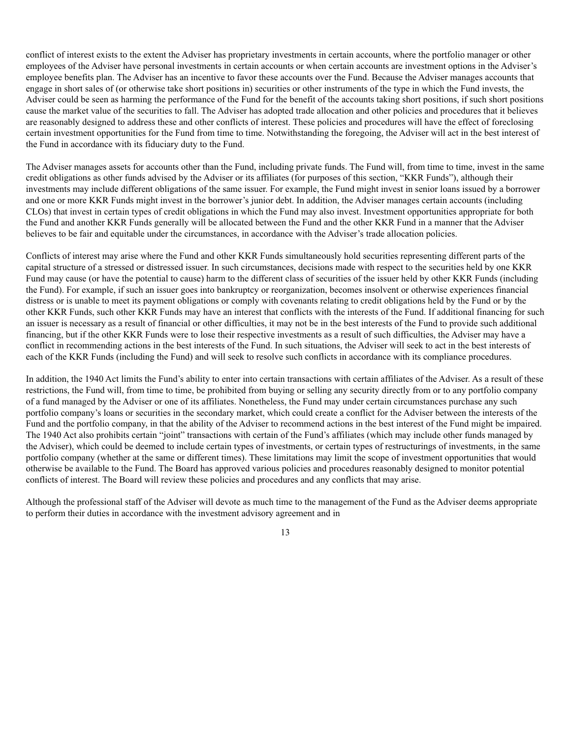conflict of interest exists to the extent the Adviser has proprietary investments in certain accounts, where the portfolio manager or other employees of the Adviser have personal investments in certain accounts or when certain accounts are investment options in the Adviser's employee benefits plan. The Adviser has an incentive to favor these accounts over the Fund. Because the Adviser manages accounts that engage in short sales of (or otherwise take short positions in) securities or other instruments of the type in which the Fund invests, the Adviser could be seen as harming the performance of the Fund for the benefit of the accounts taking short positions, if such short positions cause the market value of the securities to fall. The Adviser has adopted trade allocation and other policies and procedures that it believes are reasonably designed to address these and other conflicts of interest. These policies and procedures will have the effect of foreclosing certain investment opportunities for the Fund from time to time. Notwithstanding the foregoing, the Adviser will act in the best interest of the Fund in accordance with its fiduciary duty to the Fund.

The Adviser manages assets for accounts other than the Fund, including private funds. The Fund will, from time to time, invest in the same credit obligations as other funds advised by the Adviser or its affiliates (for purposes of this section, "KKR Funds"), although their investments may include different obligations of the same issuer. For example, the Fund might invest in senior loans issued by a borrower and one or more KKR Funds might invest in the borrower's junior debt. In addition, the Adviser manages certain accounts (including CLOs) that invest in certain types of credit obligations in which the Fund may also invest. Investment opportunities appropriate for both the Fund and another KKR Funds generally will be allocated between the Fund and the other KKR Fund in a manner that the Adviser believes to be fair and equitable under the circumstances, in accordance with the Adviser's trade allocation policies.

Conflicts of interest may arise where the Fund and other KKR Funds simultaneously hold securities representing different parts of the capital structure of a stressed or distressed issuer. In such circumstances, decisions made with respect to the securities held by one KKR Fund may cause (or have the potential to cause) harm to the different class of securities of the issuer held by other KKR Funds (including the Fund). For example, if such an issuer goes into bankruptcy or reorganization, becomes insolvent or otherwise experiences financial distress or is unable to meet its payment obligations or comply with covenants relating to credit obligations held by the Fund or by the other KKR Funds, such other KKR Funds may have an interest that conflicts with the interests of the Fund. If additional financing for such an issuer is necessary as a result of financial or other difficulties, it may not be in the best interests of the Fund to provide such additional financing, but if the other KKR Funds were to lose their respective investments as a result of such difficulties, the Adviser may have a conflict in recommending actions in the best interests of the Fund. In such situations, the Adviser will seek to act in the best interests of each of the KKR Funds (including the Fund) and will seek to resolve such conflicts in accordance with its compliance procedures.

In addition, the 1940 Act limits the Fund's ability to enter into certain transactions with certain affiliates of the Adviser. As a result of these restrictions, the Fund will, from time to time, be prohibited from buying or selling any security directly from or to any portfolio company of a fund managed by the Adviser or one of its affiliates. Nonetheless, the Fund may under certain circumstances purchase any such portfolio company's loans or securities in the secondary market, which could create a conflict for the Adviser between the interests of the Fund and the portfolio company, in that the ability of the Adviser to recommend actions in the best interest of the Fund might be impaired. The 1940 Act also prohibits certain "joint" transactions with certain of the Fund's affiliates (which may include other funds managed by the Adviser), which could be deemed to include certain types of investments, or certain types of restructurings of investments, in the same portfolio company (whether at the same or different times). These limitations may limit the scope of investment opportunities that would otherwise be available to the Fund. The Board has approved various policies and procedures reasonably designed to monitor potential conflicts of interest. The Board will review these policies and procedures and any conflicts that may arise.

Although the professional staff of the Adviser will devote as much time to the management of the Fund as the Adviser deems appropriate to perform their duties in accordance with the investment advisory agreement and in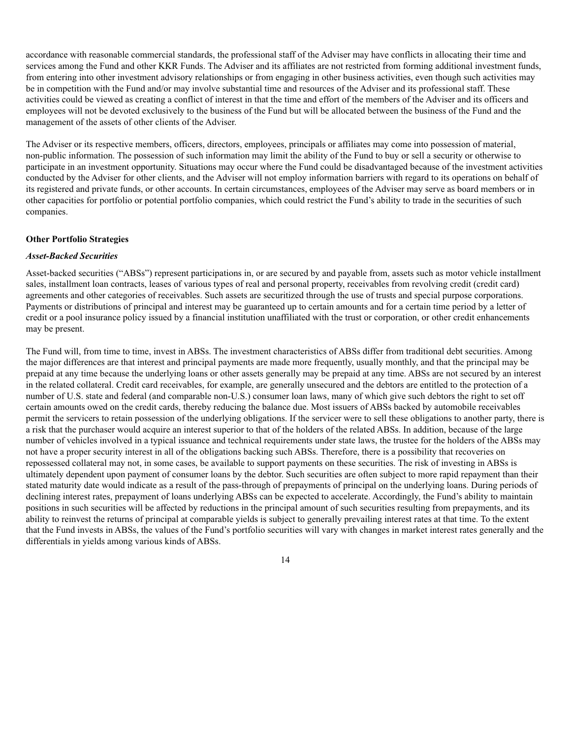accordance with reasonable commercial standards, the professional staff of the Adviser may have conflicts in allocating their time and services among the Fund and other KKR Funds. The Adviser and its affiliates are not restricted from forming additional investment funds, from entering into other investment advisory relationships or from engaging in other business activities, even though such activities may be in competition with the Fund and/or may involve substantial time and resources of the Adviser and its professional staff. These activities could be viewed as creating a conflict of interest in that the time and effort of the members of the Adviser and its officers and employees will not be devoted exclusively to the business of the Fund but will be allocated between the business of the Fund and the management of the assets of other clients of the Adviser.

The Adviser or its respective members, officers, directors, employees, principals or affiliates may come into possession of material, non-public information. The possession of such information may limit the ability of the Fund to buy or sell a security or otherwise to participate in an investment opportunity. Situations may occur where the Fund could be disadvantaged because of the investment activities conducted by the Adviser for other clients, and the Adviser will not employ information barriers with regard to its operations on behalf of its registered and private funds, or other accounts. In certain circumstances, employees of the Adviser may serve as board members or in other capacities for portfolio or potential portfolio companies, which could restrict the Fund's ability to trade in the securities of such companies.

#### **Other Portfolio Strategies**

# *Asset-Backed Securities*

Asset-backed securities ("ABSs") represent participations in, or are secured by and payable from, assets such as motor vehicle installment sales, installment loan contracts, leases of various types of real and personal property, receivables from revolving credit (credit card) agreements and other categories of receivables. Such assets are securitized through the use of trusts and special purpose corporations. Payments or distributions of principal and interest may be guaranteed up to certain amounts and for a certain time period by a letter of credit or a pool insurance policy issued by a financial institution unaffiliated with the trust or corporation, or other credit enhancements may be present.

The Fund will, from time to time, invest in ABSs. The investment characteristics of ABSs differ from traditional debt securities. Among the major differences are that interest and principal payments are made more frequently, usually monthly, and that the principal may be prepaid at any time because the underlying loans or other assets generally may be prepaid at any time. ABSs are not secured by an interest in the related collateral. Credit card receivables, for example, are generally unsecured and the debtors are entitled to the protection of a number of U.S. state and federal (and comparable non-U.S.) consumer loan laws, many of which give such debtors the right to set off certain amounts owed on the credit cards, thereby reducing the balance due. Most issuers of ABSs backed by automobile receivables permit the servicers to retain possession of the underlying obligations. If the servicer were to sell these obligations to another party, there is a risk that the purchaser would acquire an interest superior to that of the holders of the related ABSs. In addition, because of the large number of vehicles involved in a typical issuance and technical requirements under state laws, the trustee for the holders of the ABSs may not have a proper security interest in all of the obligations backing such ABSs. Therefore, there is a possibility that recoveries on repossessed collateral may not, in some cases, be available to support payments on these securities. The risk of investing in ABSs is ultimately dependent upon payment of consumer loans by the debtor. Such securities are often subject to more rapid repayment than their stated maturity date would indicate as a result of the pass-through of prepayments of principal on the underlying loans. During periods of declining interest rates, prepayment of loans underlying ABSs can be expected to accelerate. Accordingly, the Fund's ability to maintain positions in such securities will be affected by reductions in the principal amount of such securities resulting from prepayments, and its ability to reinvest the returns of principal at comparable yields is subject to generally prevailing interest rates at that time. To the extent that the Fund invests in ABSs, the values of the Fund's portfolio securities will vary with changes in market interest rates generally and the differentials in yields among various kinds of ABSs.

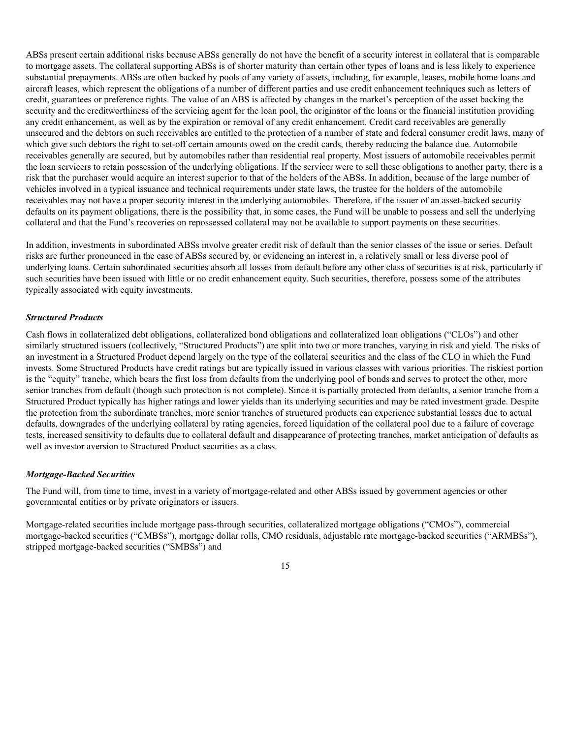ABSs present certain additional risks because ABSs generally do not have the benefit of a security interest in collateral that is comparable to mortgage assets. The collateral supporting ABSs is of shorter maturity than certain other types of loans and is less likely to experience substantial prepayments. ABSs are often backed by pools of any variety of assets, including, for example, leases, mobile home loans and aircraft leases, which represent the obligations of a number of different parties and use credit enhancement techniques such as letters of credit, guarantees or preference rights. The value of an ABS is affected by changes in the market's perception of the asset backing the security and the creditworthiness of the servicing agent for the loan pool, the originator of the loans or the financial institution providing any credit enhancement, as well as by the expiration or removal of any credit enhancement. Credit card receivables are generally unsecured and the debtors on such receivables are entitled to the protection of a number of state and federal consumer credit laws, many of which give such debtors the right to set-off certain amounts owed on the credit cards, thereby reducing the balance due. Automobile receivables generally are secured, but by automobiles rather than residential real property. Most issuers of automobile receivables permit the loan servicers to retain possession of the underlying obligations. If the servicer were to sell these obligations to another party, there is a risk that the purchaser would acquire an interest superior to that of the holders of the ABSs. In addition, because of the large number of vehicles involved in a typical issuance and technical requirements under state laws, the trustee for the holders of the automobile receivables may not have a proper security interest in the underlying automobiles. Therefore, if the issuer of an asset-backed security defaults on its payment obligations, there is the possibility that, in some cases, the Fund will be unable to possess and sell the underlying collateral and that the Fund's recoveries on repossessed collateral may not be available to support payments on these securities.

In addition, investments in subordinated ABSs involve greater credit risk of default than the senior classes of the issue or series. Default risks are further pronounced in the case of ABSs secured by, or evidencing an interest in, a relatively small or less diverse pool of underlying loans. Certain subordinated securities absorb all losses from default before any other class of securities is at risk, particularly if such securities have been issued with little or no credit enhancement equity. Such securities, therefore, possess some of the attributes typically associated with equity investments.

# *Structured Products*

Cash flows in collateralized debt obligations, collateralized bond obligations and collateralized loan obligations ("CLOs") and other similarly structured issuers (collectively, "Structured Products") are split into two or more tranches, varying in risk and yield. The risks of an investment in a Structured Product depend largely on the type of the collateral securities and the class of the CLO in which the Fund invests. Some Structured Products have credit ratings but are typically issued in various classes with various priorities. The riskiest portion is the "equity" tranche, which bears the first loss from defaults from the underlying pool of bonds and serves to protect the other, more senior tranches from default (though such protection is not complete). Since it is partially protected from defaults, a senior tranche from a Structured Product typically has higher ratings and lower yields than its underlying securities and may be rated investment grade. Despite the protection from the subordinate tranches, more senior tranches of structured products can experience substantial losses due to actual defaults, downgrades of the underlying collateral by rating agencies, forced liquidation of the collateral pool due to a failure of coverage tests, increased sensitivity to defaults due to collateral default and disappearance of protecting tranches, market anticipation of defaults as well as investor aversion to Structured Product securities as a class.

#### *Mortgage-Backed Securities*

The Fund will, from time to time, invest in a variety of mortgage-related and other ABSs issued by government agencies or other governmental entities or by private originators or issuers.

Mortgage-related securities include mortgage pass-through securities, collateralized mortgage obligations ("CMOs"), commercial mortgage-backed securities ("CMBSs"), mortgage dollar rolls, CMO residuals, adjustable rate mortgage-backed securities ("ARMBSs"), stripped mortgage-backed securities ("SMBSs") and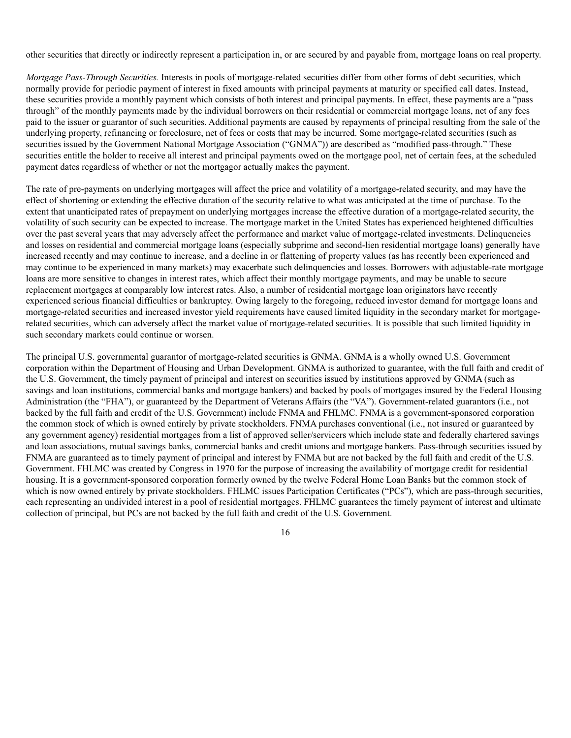other securities that directly or indirectly represent a participation in, or are secured by and payable from, mortgage loans on real property.

*Mortgage Pass-Through Securities.* Interests in pools of mortgage-related securities differ from other forms of debt securities, which normally provide for periodic payment of interest in fixed amounts with principal payments at maturity or specified call dates. Instead, these securities provide a monthly payment which consists of both interest and principal payments. In effect, these payments are a "pass through" of the monthly payments made by the individual borrowers on their residential or commercial mortgage loans, net of any fees paid to the issuer or guarantor of such securities. Additional payments are caused by repayments of principal resulting from the sale of the underlying property, refinancing or foreclosure, net of fees or costs that may be incurred. Some mortgage-related securities (such as securities issued by the Government National Mortgage Association ("GNMA")) are described as "modified pass-through." These securities entitle the holder to receive all interest and principal payments owed on the mortgage pool, net of certain fees, at the scheduled payment dates regardless of whether or not the mortgagor actually makes the payment.

The rate of pre-payments on underlying mortgages will affect the price and volatility of a mortgage-related security, and may have the effect of shortening or extending the effective duration of the security relative to what was anticipated at the time of purchase. To the extent that unanticipated rates of prepayment on underlying mortgages increase the effective duration of a mortgage-related security, the volatility of such security can be expected to increase. The mortgage market in the United States has experienced heightened difficulties over the past several years that may adversely affect the performance and market value of mortgage-related investments. Delinquencies and losses on residential and commercial mortgage loans (especially subprime and second-lien residential mortgage loans) generally have increased recently and may continue to increase, and a decline in or flattening of property values (as has recently been experienced and may continue to be experienced in many markets) may exacerbate such delinquencies and losses. Borrowers with adjustable-rate mortgage loans are more sensitive to changes in interest rates, which affect their monthly mortgage payments, and may be unable to secure replacement mortgages at comparably low interest rates. Also, a number of residential mortgage loan originators have recently experienced serious financial difficulties or bankruptcy. Owing largely to the foregoing, reduced investor demand for mortgage loans and mortgage-related securities and increased investor yield requirements have caused limited liquidity in the secondary market for mortgagerelated securities, which can adversely affect the market value of mortgage-related securities. It is possible that such limited liquidity in such secondary markets could continue or worsen.

The principal U.S. governmental guarantor of mortgage-related securities is GNMA. GNMA is a wholly owned U.S. Government corporation within the Department of Housing and Urban Development. GNMA is authorized to guarantee, with the full faith and credit of the U.S. Government, the timely payment of principal and interest on securities issued by institutions approved by GNMA (such as savings and loan institutions, commercial banks and mortgage bankers) and backed by pools of mortgages insured by the Federal Housing Administration (the "FHA"), or guaranteed by the Department of Veterans Affairs (the "VA"). Government-related guarantors (i.e., not backed by the full faith and credit of the U.S. Government) include FNMA and FHLMC. FNMA is a government-sponsored corporation the common stock of which is owned entirely by private stockholders. FNMA purchases conventional (i.e., not insured or guaranteed by any government agency) residential mortgages from a list of approved seller/servicers which include state and federally chartered savings and loan associations, mutual savings banks, commercial banks and credit unions and mortgage bankers. Pass-through securities issued by FNMA are guaranteed as to timely payment of principal and interest by FNMA but are not backed by the full faith and credit of the U.S. Government. FHLMC was created by Congress in 1970 for the purpose of increasing the availability of mortgage credit for residential housing. It is a government-sponsored corporation formerly owned by the twelve Federal Home Loan Banks but the common stock of which is now owned entirely by private stockholders. FHLMC issues Participation Certificates ("PCs"), which are pass-through securities, each representing an undivided interest in a pool of residential mortgages. FHLMC guarantees the timely payment of interest and ultimate collection of principal, but PCs are not backed by the full faith and credit of the U.S. Government.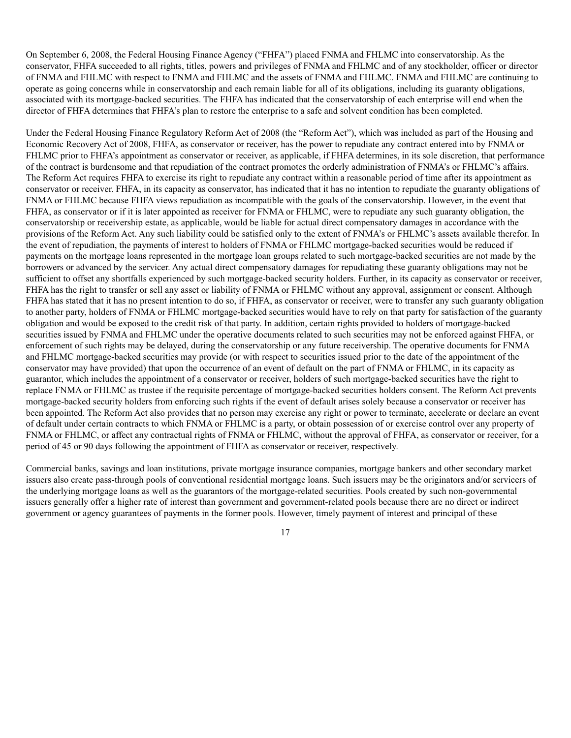On September 6, 2008, the Federal Housing Finance Agency ("FHFA") placed FNMA and FHLMC into conservatorship. As the conservator, FHFA succeeded to all rights, titles, powers and privileges of FNMA and FHLMC and of any stockholder, officer or director of FNMA and FHLMC with respect to FNMA and FHLMC and the assets of FNMA and FHLMC. FNMA and FHLMC are continuing to operate as going concerns while in conservatorship and each remain liable for all of its obligations, including its guaranty obligations, associated with its mortgage-backed securities. The FHFA has indicated that the conservatorship of each enterprise will end when the director of FHFA determines that FHFA's plan to restore the enterprise to a safe and solvent condition has been completed.

Under the Federal Housing Finance Regulatory Reform Act of 2008 (the "Reform Act"), which was included as part of the Housing and Economic Recovery Act of 2008, FHFA, as conservator or receiver, has the power to repudiate any contract entered into by FNMA or FHLMC prior to FHFA's appointment as conservator or receiver, as applicable, if FHFA determines, in its sole discretion, that performance of the contract is burdensome and that repudiation of the contract promotes the orderly administration of FNMA's or FHLMC's affairs. The Reform Act requires FHFA to exercise its right to repudiate any contract within a reasonable period of time after its appointment as conservator or receiver. FHFA, in its capacity as conservator, has indicated that it has no intention to repudiate the guaranty obligations of FNMA or FHLMC because FHFA views repudiation as incompatible with the goals of the conservatorship. However, in the event that FHFA, as conservator or if it is later appointed as receiver for FNMA or FHLMC, were to repudiate any such guaranty obligation, the conservatorship or receivership estate, as applicable, would be liable for actual direct compensatory damages in accordance with the provisions of the Reform Act. Any such liability could be satisfied only to the extent of FNMA's or FHLMC's assets available therefor. In the event of repudiation, the payments of interest to holders of FNMA or FHLMC mortgage-backed securities would be reduced if payments on the mortgage loans represented in the mortgage loan groups related to such mortgage-backed securities are not made by the borrowers or advanced by the servicer. Any actual direct compensatory damages for repudiating these guaranty obligations may not be sufficient to offset any shortfalls experienced by such mortgage-backed security holders. Further, in its capacity as conservator or receiver, FHFA has the right to transfer or sell any asset or liability of FNMA or FHLMC without any approval, assignment or consent. Although FHFA has stated that it has no present intention to do so, if FHFA, as conservator or receiver, were to transfer any such guaranty obligation to another party, holders of FNMA or FHLMC mortgage-backed securities would have to rely on that party for satisfaction of the guaranty obligation and would be exposed to the credit risk of that party. In addition, certain rights provided to holders of mortgage-backed securities issued by FNMA and FHLMC under the operative documents related to such securities may not be enforced against FHFA, or enforcement of such rights may be delayed, during the conservatorship or any future receivership. The operative documents for FNMA and FHLMC mortgage-backed securities may provide (or with respect to securities issued prior to the date of the appointment of the conservator may have provided) that upon the occurrence of an event of default on the part of FNMA or FHLMC, in its capacity as guarantor, which includes the appointment of a conservator or receiver, holders of such mortgage-backed securities have the right to replace FNMA or FHLMC as trustee if the requisite percentage of mortgage-backed securities holders consent. The Reform Act prevents mortgage-backed security holders from enforcing such rights if the event of default arises solely because a conservator or receiver has been appointed. The Reform Act also provides that no person may exercise any right or power to terminate, accelerate or declare an event of default under certain contracts to which FNMA or FHLMC is a party, or obtain possession of or exercise control over any property of FNMA or FHLMC, or affect any contractual rights of FNMA or FHLMC, without the approval of FHFA, as conservator or receiver, for a period of 45 or 90 days following the appointment of FHFA as conservator or receiver, respectively.

Commercial banks, savings and loan institutions, private mortgage insurance companies, mortgage bankers and other secondary market issuers also create pass-through pools of conventional residential mortgage loans. Such issuers may be the originators and/or servicers of the underlying mortgage loans as well as the guarantors of the mortgage-related securities. Pools created by such non-governmental issuers generally offer a higher rate of interest than government and government-related pools because there are no direct or indirect government or agency guarantees of payments in the former pools. However, timely payment of interest and principal of these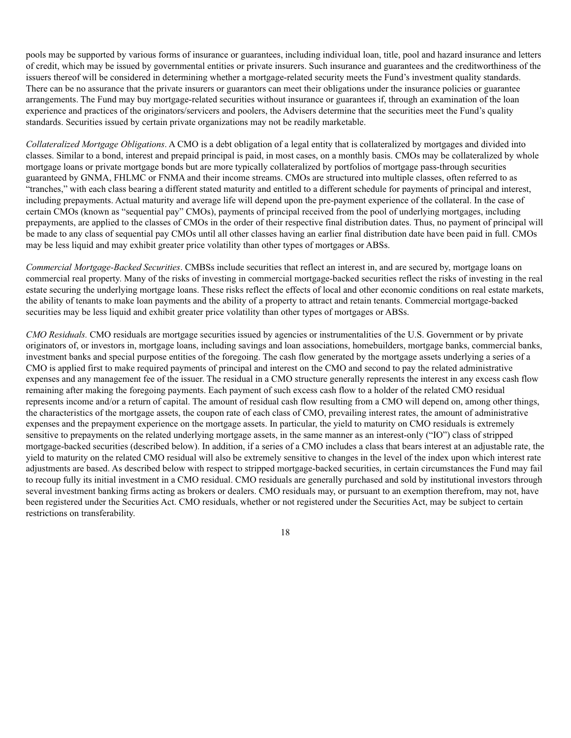pools may be supported by various forms of insurance or guarantees, including individual loan, title, pool and hazard insurance and letters of credit, which may be issued by governmental entities or private insurers. Such insurance and guarantees and the creditworthiness of the issuers thereof will be considered in determining whether a mortgage-related security meets the Fund's investment quality standards. There can be no assurance that the private insurers or guarantors can meet their obligations under the insurance policies or guarantee arrangements. The Fund may buy mortgage-related securities without insurance or guarantees if, through an examination of the loan experience and practices of the originators/servicers and poolers, the Advisers determine that the securities meet the Fund's quality standards. Securities issued by certain private organizations may not be readily marketable.

*Collateralized Mortgage Obligations*. A CMO is a debt obligation of a legal entity that is collateralized by mortgages and divided into classes. Similar to a bond, interest and prepaid principal is paid, in most cases, on a monthly basis. CMOs may be collateralized by whole mortgage loans or private mortgage bonds but are more typically collateralized by portfolios of mortgage pass-through securities guaranteed by GNMA, FHLMC or FNMA and their income streams. CMOs are structured into multiple classes, often referred to as "tranches," with each class bearing a different stated maturity and entitled to a different schedule for payments of principal and interest, including prepayments. Actual maturity and average life will depend upon the pre-payment experience of the collateral. In the case of certain CMOs (known as "sequential pay" CMOs), payments of principal received from the pool of underlying mortgages, including prepayments, are applied to the classes of CMOs in the order of their respective final distribution dates. Thus, no payment of principal will be made to any class of sequential pay CMOs until all other classes having an earlier final distribution date have been paid in full. CMOs may be less liquid and may exhibit greater price volatility than other types of mortgages or ABSs.

*Commercial Mortgage-Backed Securities*. CMBSs include securities that reflect an interest in, and are secured by, mortgage loans on commercial real property. Many of the risks of investing in commercial mortgage-backed securities reflect the risks of investing in the real estate securing the underlying mortgage loans. These risks reflect the effects of local and other economic conditions on real estate markets, the ability of tenants to make loan payments and the ability of a property to attract and retain tenants. Commercial mortgage-backed securities may be less liquid and exhibit greater price volatility than other types of mortgages or ABSs.

*CMO Residuals.* CMO residuals are mortgage securities issued by agencies or instrumentalities of the U.S. Government or by private originators of, or investors in, mortgage loans, including savings and loan associations, homebuilders, mortgage banks, commercial banks, investment banks and special purpose entities of the foregoing. The cash flow generated by the mortgage assets underlying a series of a CMO is applied first to make required payments of principal and interest on the CMO and second to pay the related administrative expenses and any management fee of the issuer. The residual in a CMO structure generally represents the interest in any excess cash flow remaining after making the foregoing payments. Each payment of such excess cash flow to a holder of the related CMO residual represents income and/or a return of capital. The amount of residual cash flow resulting from a CMO will depend on, among other things, the characteristics of the mortgage assets, the coupon rate of each class of CMO, prevailing interest rates, the amount of administrative expenses and the prepayment experience on the mortgage assets. In particular, the yield to maturity on CMO residuals is extremely sensitive to prepayments on the related underlying mortgage assets, in the same manner as an interest-only ("IO") class of stripped mortgage-backed securities (described below). In addition, if a series of a CMO includes a class that bears interest at an adjustable rate, the yield to maturity on the related CMO residual will also be extremely sensitive to changes in the level of the index upon which interest rate adjustments are based. As described below with respect to stripped mortgage-backed securities, in certain circumstances the Fund may fail to recoup fully its initial investment in a CMO residual. CMO residuals are generally purchased and sold by institutional investors through several investment banking firms acting as brokers or dealers. CMO residuals may, or pursuant to an exemption therefrom, may not, have been registered under the Securities Act. CMO residuals, whether or not registered under the Securities Act, may be subject to certain restrictions on transferability.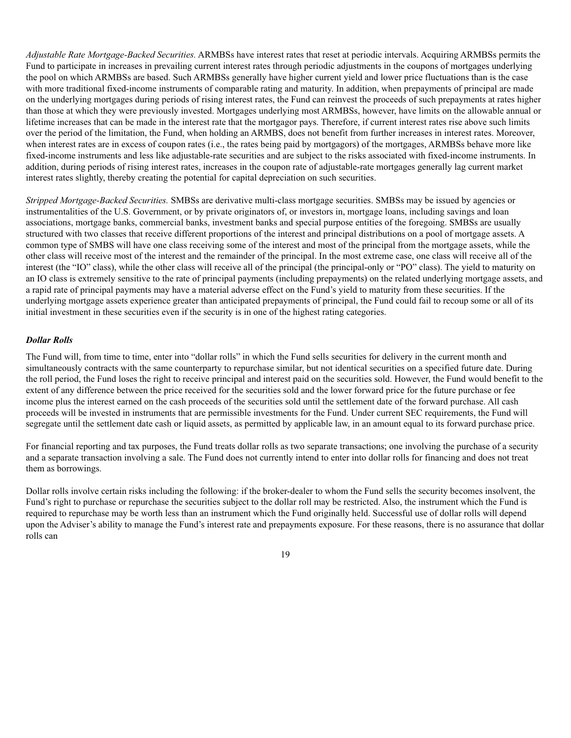*Adjustable Rate Mortgage-Backed Securities.* ARMBSs have interest rates that reset at periodic intervals. Acquiring ARMBSs permits the Fund to participate in increases in prevailing current interest rates through periodic adjustments in the coupons of mortgages underlying the pool on which ARMBSs are based. Such ARMBSs generally have higher current yield and lower price fluctuations than is the case with more traditional fixed-income instruments of comparable rating and maturity. In addition, when prepayments of principal are made on the underlying mortgages during periods of rising interest rates, the Fund can reinvest the proceeds of such prepayments at rates higher than those at which they were previously invested. Mortgages underlying most ARMBSs, however, have limits on the allowable annual or lifetime increases that can be made in the interest rate that the mortgagor pays. Therefore, if current interest rates rise above such limits over the period of the limitation, the Fund, when holding an ARMBS, does not benefit from further increases in interest rates. Moreover, when interest rates are in excess of coupon rates (i.e., the rates being paid by mortgagors) of the mortgages, ARMBSs behave more like fixed-income instruments and less like adjustable-rate securities and are subject to the risks associated with fixed-income instruments. In addition, during periods of rising interest rates, increases in the coupon rate of adjustable-rate mortgages generally lag current market interest rates slightly, thereby creating the potential for capital depreciation on such securities.

*Stripped Mortgage-Backed Securities.* SMBSs are derivative multi-class mortgage securities. SMBSs may be issued by agencies or instrumentalities of the U.S. Government, or by private originators of, or investors in, mortgage loans, including savings and loan associations, mortgage banks, commercial banks, investment banks and special purpose entities of the foregoing. SMBSs are usually structured with two classes that receive different proportions of the interest and principal distributions on a pool of mortgage assets. A common type of SMBS will have one class receiving some of the interest and most of the principal from the mortgage assets, while the other class will receive most of the interest and the remainder of the principal. In the most extreme case, one class will receive all of the interest (the "IO" class), while the other class will receive all of the principal (the principal-only or "PO" class). The yield to maturity on an IO class is extremely sensitive to the rate of principal payments (including prepayments) on the related underlying mortgage assets, and a rapid rate of principal payments may have a material adverse effect on the Fund's yield to maturity from these securities. If the underlying mortgage assets experience greater than anticipated prepayments of principal, the Fund could fail to recoup some or all of its initial investment in these securities even if the security is in one of the highest rating categories.

#### *Dollar Rolls*

The Fund will, from time to time, enter into "dollar rolls" in which the Fund sells securities for delivery in the current month and simultaneously contracts with the same counterparty to repurchase similar, but not identical securities on a specified future date. During the roll period, the Fund loses the right to receive principal and interest paid on the securities sold. However, the Fund would benefit to the extent of any difference between the price received for the securities sold and the lower forward price for the future purchase or fee income plus the interest earned on the cash proceeds of the securities sold until the settlement date of the forward purchase. All cash proceeds will be invested in instruments that are permissible investments for the Fund. Under current SEC requirements, the Fund will segregate until the settlement date cash or liquid assets, as permitted by applicable law, in an amount equal to its forward purchase price.

For financial reporting and tax purposes, the Fund treats dollar rolls as two separate transactions; one involving the purchase of a security and a separate transaction involving a sale. The Fund does not currently intend to enter into dollar rolls for financing and does not treat them as borrowings.

Dollar rolls involve certain risks including the following: if the broker-dealer to whom the Fund sells the security becomes insolvent, the Fund's right to purchase or repurchase the securities subject to the dollar roll may be restricted. Also, the instrument which the Fund is required to repurchase may be worth less than an instrument which the Fund originally held. Successful use of dollar rolls will depend upon the Adviser's ability to manage the Fund's interest rate and prepayments exposure. For these reasons, there is no assurance that dollar rolls can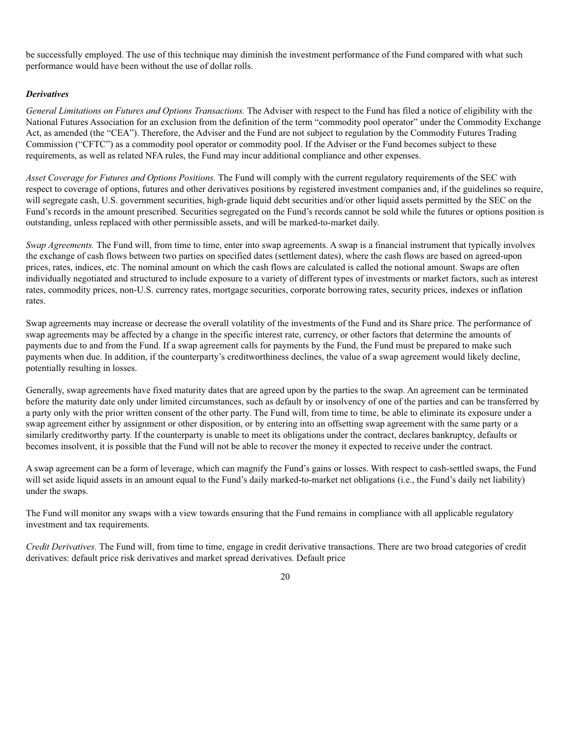be successfully employed. The use of this technique may diminish the investment performance of the Fund compared with what such performance would have been without the use of dollar rolls.

# *Derivatives*

*General Limitations on Futures and Options Transactions.* The Adviser with respect to the Fund has filed a notice of eligibility with the National Futures Association for an exclusion from the definition of the term "commodity pool operator" under the Commodity Exchange Act, as amended (the "CEA"). Therefore, the Adviser and the Fund are not subject to regulation by the Commodity Futures Trading Commission ("CFTC") as a commodity pool operator or commodity pool. If the Adviser or the Fund becomes subject to these requirements, as well as related NFA rules, the Fund may incur additional compliance and other expenses.

*Asset Coverage for Futures and Options Positions.* The Fund will comply with the current regulatory requirements of the SEC with respect to coverage of options, futures and other derivatives positions by registered investment companies and, if the guidelines so require, will segregate cash, U.S. government securities, high-grade liquid debt securities and/or other liquid assets permitted by the SEC on the Fund's records in the amount prescribed. Securities segregated on the Fund's records cannot be sold while the futures or options position is outstanding, unless replaced with other permissible assets, and will be marked-to-market daily.

*Swap Agreements.* The Fund will, from time to time, enter into swap agreements. A swap is a financial instrument that typically involves the exchange of cash flows between two parties on specified dates (settlement dates), where the cash flows are based on agreed-upon prices, rates, indices, etc. The nominal amount on which the cash flows are calculated is called the notional amount. Swaps are often individually negotiated and structured to include exposure to a variety of different types of investments or market factors, such as interest rates, commodity prices, non-U.S. currency rates, mortgage securities, corporate borrowing rates, security prices, indexes or inflation rates.

Swap agreements may increase or decrease the overall volatility of the investments of the Fund and its Share price. The performance of swap agreements may be affected by a change in the specific interest rate, currency, or other factors that determine the amounts of payments due to and from the Fund. If a swap agreement calls for payments by the Fund, the Fund must be prepared to make such payments when due. In addition, if the counterparty's creditworthiness declines, the value of a swap agreement would likely decline, potentially resulting in losses.

Generally, swap agreements have fixed maturity dates that are agreed upon by the parties to the swap. An agreement can be terminated before the maturity date only under limited circumstances, such as default by or insolvency of one of the parties and can be transferred by a party only with the prior written consent of the other party. The Fund will, from time to time, be able to eliminate its exposure under a swap agreement either by assignment or other disposition, or by entering into an offsetting swap agreement with the same party or a similarly creditworthy party. If the counterparty is unable to meet its obligations under the contract, declares bankruptcy, defaults or becomes insolvent, it is possible that the Fund will not be able to recover the money it expected to receive under the contract.

A swap agreement can be a form of leverage, which can magnify the Fund's gains or losses. With respect to cash-settled swaps, the Fund will set aside liquid assets in an amount equal to the Fund's daily marked-to-market net obligations (i.e., the Fund's daily net liability) under the swaps.

The Fund will monitor any swaps with a view towards ensuring that the Fund remains in compliance with all applicable regulatory investment and tax requirements.

*Credit Derivatives.* The Fund will, from time to time, engage in credit derivative transactions. There are two broad categories of credit derivatives: default price risk derivatives and market spread derivatives. Default price

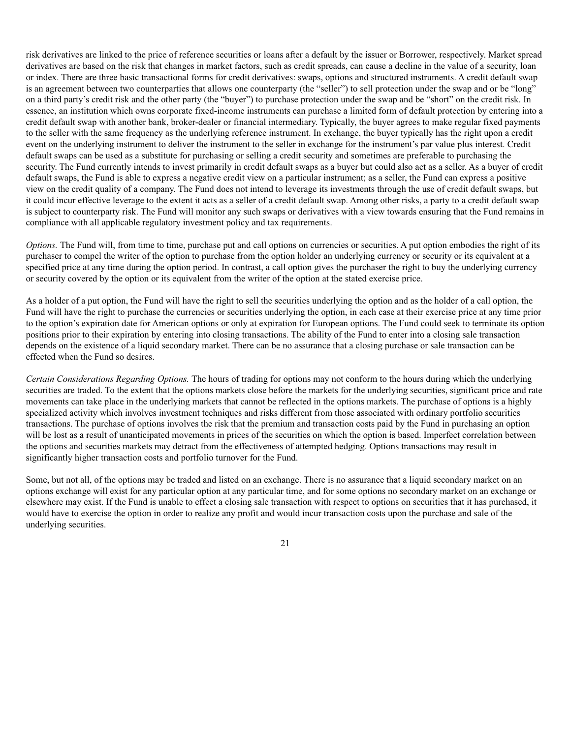risk derivatives are linked to the price of reference securities or loans after a default by the issuer or Borrower, respectively. Market spread derivatives are based on the risk that changes in market factors, such as credit spreads, can cause a decline in the value of a security, loan or index. There are three basic transactional forms for credit derivatives: swaps, options and structured instruments. A credit default swap is an agreement between two counterparties that allows one counterparty (the "seller") to sell protection under the swap and or be "long" on a third party's credit risk and the other party (the "buyer") to purchase protection under the swap and be "short" on the credit risk. In essence, an institution which owns corporate fixed-income instruments can purchase a limited form of default protection by entering into a credit default swap with another bank, broker-dealer or financial intermediary. Typically, the buyer agrees to make regular fixed payments to the seller with the same frequency as the underlying reference instrument. In exchange, the buyer typically has the right upon a credit event on the underlying instrument to deliver the instrument to the seller in exchange for the instrument's par value plus interest. Credit default swaps can be used as a substitute for purchasing or selling a credit security and sometimes are preferable to purchasing the security. The Fund currently intends to invest primarily in credit default swaps as a buyer but could also act as a seller. As a buyer of credit default swaps, the Fund is able to express a negative credit view on a particular instrument; as a seller, the Fund can express a positive view on the credit quality of a company. The Fund does not intend to leverage its investments through the use of credit default swaps, but it could incur effective leverage to the extent it acts as a seller of a credit default swap. Among other risks, a party to a credit default swap is subject to counterparty risk. The Fund will monitor any such swaps or derivatives with a view towards ensuring that the Fund remains in compliance with all applicable regulatory investment policy and tax requirements.

*Options*. The Fund will, from time to time, purchase put and call options on currencies or securities. A put option embodies the right of its purchaser to compel the writer of the option to purchase from the option holder an underlying currency or security or its equivalent at a specified price at any time during the option period. In contrast, a call option gives the purchaser the right to buy the underlying currency or security covered by the option or its equivalent from the writer of the option at the stated exercise price.

As a holder of a put option, the Fund will have the right to sell the securities underlying the option and as the holder of a call option, the Fund will have the right to purchase the currencies or securities underlying the option, in each case at their exercise price at any time prior to the option's expiration date for American options or only at expiration for European options. The Fund could seek to terminate its option positions prior to their expiration by entering into closing transactions. The ability of the Fund to enter into a closing sale transaction depends on the existence of a liquid secondary market. There can be no assurance that a closing purchase or sale transaction can be effected when the Fund so desires.

*Certain Considerations Regarding Options.* The hours of trading for options may not conform to the hours during which the underlying securities are traded. To the extent that the options markets close before the markets for the underlying securities, significant price and rate movements can take place in the underlying markets that cannot be reflected in the options markets. The purchase of options is a highly specialized activity which involves investment techniques and risks different from those associated with ordinary portfolio securities transactions. The purchase of options involves the risk that the premium and transaction costs paid by the Fund in purchasing an option will be lost as a result of unanticipated movements in prices of the securities on which the option is based. Imperfect correlation between the options and securities markets may detract from the effectiveness of attempted hedging. Options transactions may result in significantly higher transaction costs and portfolio turnover for the Fund.

Some, but not all, of the options may be traded and listed on an exchange. There is no assurance that a liquid secondary market on an options exchange will exist for any particular option at any particular time, and for some options no secondary market on an exchange or elsewhere may exist. If the Fund is unable to effect a closing sale transaction with respect to options on securities that it has purchased, it would have to exercise the option in order to realize any profit and would incur transaction costs upon the purchase and sale of the underlying securities.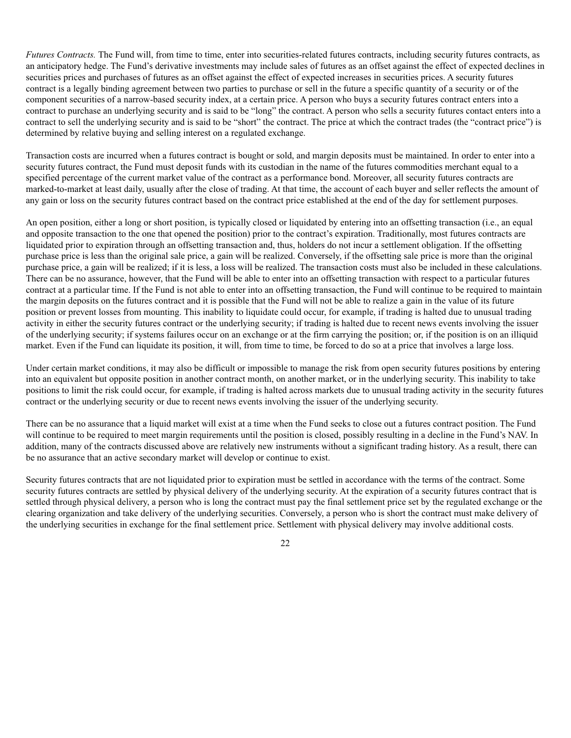*Futures Contracts.* The Fund will, from time to time, enter into securities-related futures contracts, including security futures contracts, as an anticipatory hedge. The Fund's derivative investments may include sales of futures as an offset against the effect of expected declines in securities prices and purchases of futures as an offset against the effect of expected increases in securities prices. A security futures contract is a legally binding agreement between two parties to purchase or sell in the future a specific quantity of a security or of the component securities of a narrow-based security index, at a certain price. A person who buys a security futures contract enters into a contract to purchase an underlying security and is said to be "long" the contract. A person who sells a security futures contact enters into a contract to sell the underlying security and is said to be "short" the contract. The price at which the contract trades (the "contract price") is determined by relative buying and selling interest on a regulated exchange.

Transaction costs are incurred when a futures contract is bought or sold, and margin deposits must be maintained. In order to enter into a security futures contract, the Fund must deposit funds with its custodian in the name of the futures commodities merchant equal to a specified percentage of the current market value of the contract as a performance bond. Moreover, all security futures contracts are marked-to-market at least daily, usually after the close of trading. At that time, the account of each buyer and seller reflects the amount of any gain or loss on the security futures contract based on the contract price established at the end of the day for settlement purposes.

An open position, either a long or short position, is typically closed or liquidated by entering into an offsetting transaction (i.e., an equal and opposite transaction to the one that opened the position) prior to the contract's expiration. Traditionally, most futures contracts are liquidated prior to expiration through an offsetting transaction and, thus, holders do not incur a settlement obligation. If the offsetting purchase price is less than the original sale price, a gain will be realized. Conversely, if the offsetting sale price is more than the original purchase price, a gain will be realized; if it is less, a loss will be realized. The transaction costs must also be included in these calculations. There can be no assurance, however, that the Fund will be able to enter into an offsetting transaction with respect to a particular futures contract at a particular time. If the Fund is not able to enter into an offsetting transaction, the Fund will continue to be required to maintain the margin deposits on the futures contract and it is possible that the Fund will not be able to realize a gain in the value of its future position or prevent losses from mounting. This inability to liquidate could occur, for example, if trading is halted due to unusual trading activity in either the security futures contract or the underlying security; if trading is halted due to recent news events involving the issuer of the underlying security; if systems failures occur on an exchange or at the firm carrying the position; or, if the position is on an illiquid market. Even if the Fund can liquidate its position, it will, from time to time, be forced to do so at a price that involves a large loss.

Under certain market conditions, it may also be difficult or impossible to manage the risk from open security futures positions by entering into an equivalent but opposite position in another contract month, on another market, or in the underlying security. This inability to take positions to limit the risk could occur, for example, if trading is halted across markets due to unusual trading activity in the security futures contract or the underlying security or due to recent news events involving the issuer of the underlying security.

There can be no assurance that a liquid market will exist at a time when the Fund seeks to close out a futures contract position. The Fund will continue to be required to meet margin requirements until the position is closed, possibly resulting in a decline in the Fund's NAV. In addition, many of the contracts discussed above are relatively new instruments without a significant trading history. As a result, there can be no assurance that an active secondary market will develop or continue to exist.

Security futures contracts that are not liquidated prior to expiration must be settled in accordance with the terms of the contract. Some security futures contracts are settled by physical delivery of the underlying security. At the expiration of a security futures contract that is settled through physical delivery, a person who is long the contract must pay the final settlement price set by the regulated exchange or the clearing organization and take delivery of the underlying securities. Conversely, a person who is short the contract must make delivery of the underlying securities in exchange for the final settlement price. Settlement with physical delivery may involve additional costs.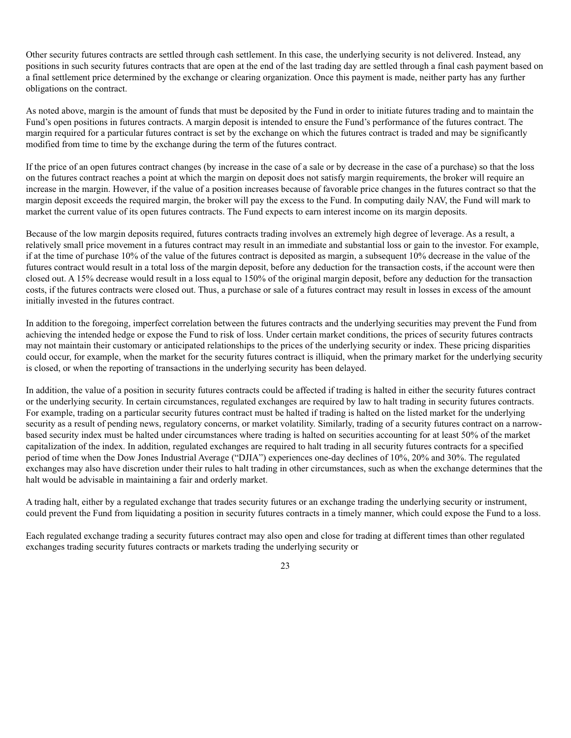Other security futures contracts are settled through cash settlement. In this case, the underlying security is not delivered. Instead, any positions in such security futures contracts that are open at the end of the last trading day are settled through a final cash payment based on a final settlement price determined by the exchange or clearing organization. Once this payment is made, neither party has any further obligations on the contract.

As noted above, margin is the amount of funds that must be deposited by the Fund in order to initiate futures trading and to maintain the Fund's open positions in futures contracts. A margin deposit is intended to ensure the Fund's performance of the futures contract. The margin required for a particular futures contract is set by the exchange on which the futures contract is traded and may be significantly modified from time to time by the exchange during the term of the futures contract.

If the price of an open futures contract changes (by increase in the case of a sale or by decrease in the case of a purchase) so that the loss on the futures contract reaches a point at which the margin on deposit does not satisfy margin requirements, the broker will require an increase in the margin. However, if the value of a position increases because of favorable price changes in the futures contract so that the margin deposit exceeds the required margin, the broker will pay the excess to the Fund. In computing daily NAV, the Fund will mark to market the current value of its open futures contracts. The Fund expects to earn interest income on its margin deposits.

Because of the low margin deposits required, futures contracts trading involves an extremely high degree of leverage. As a result, a relatively small price movement in a futures contract may result in an immediate and substantial loss or gain to the investor. For example, if at the time of purchase 10% of the value of the futures contract is deposited as margin, a subsequent 10% decrease in the value of the futures contract would result in a total loss of the margin deposit, before any deduction for the transaction costs, if the account were then closed out. A 15% decrease would result in a loss equal to 150% of the original margin deposit, before any deduction for the transaction costs, if the futures contracts were closed out. Thus, a purchase or sale of a futures contract may result in losses in excess of the amount initially invested in the futures contract.

In addition to the foregoing, imperfect correlation between the futures contracts and the underlying securities may prevent the Fund from achieving the intended hedge or expose the Fund to risk of loss. Under certain market conditions, the prices of security futures contracts may not maintain their customary or anticipated relationships to the prices of the underlying security or index. These pricing disparities could occur, for example, when the market for the security futures contract is illiquid, when the primary market for the underlying security is closed, or when the reporting of transactions in the underlying security has been delayed.

In addition, the value of a position in security futures contracts could be affected if trading is halted in either the security futures contract or the underlying security. In certain circumstances, regulated exchanges are required by law to halt trading in security futures contracts. For example, trading on a particular security futures contract must be halted if trading is halted on the listed market for the underlying security as a result of pending news, regulatory concerns, or market volatility. Similarly, trading of a security futures contract on a narrowbased security index must be halted under circumstances where trading is halted on securities accounting for at least 50% of the market capitalization of the index. In addition, regulated exchanges are required to halt trading in all security futures contracts for a specified period of time when the Dow Jones Industrial Average ("DJIA") experiences one-day declines of 10%, 20% and 30%. The regulated exchanges may also have discretion under their rules to halt trading in other circumstances, such as when the exchange determines that the halt would be advisable in maintaining a fair and orderly market.

A trading halt, either by a regulated exchange that trades security futures or an exchange trading the underlying security or instrument, could prevent the Fund from liquidating a position in security futures contracts in a timely manner, which could expose the Fund to a loss.

Each regulated exchange trading a security futures contract may also open and close for trading at different times than other regulated exchanges trading security futures contracts or markets trading the underlying security or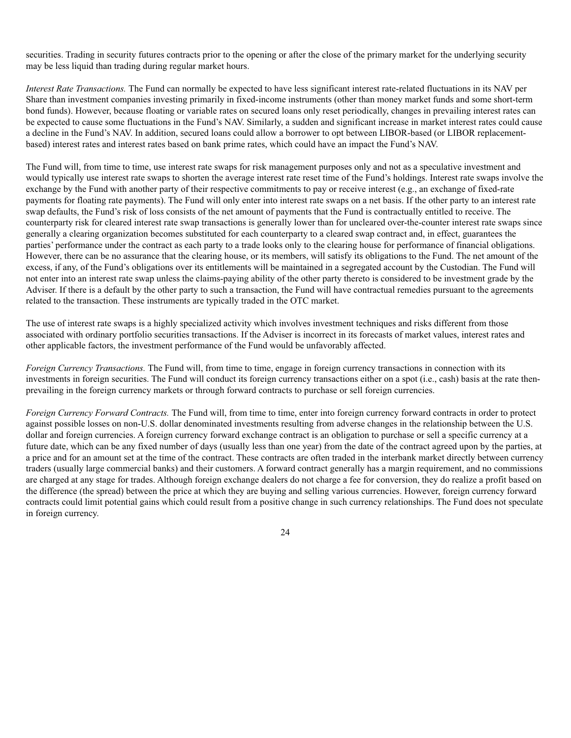securities. Trading in security futures contracts prior to the opening or after the close of the primary market for the underlying security may be less liquid than trading during regular market hours.

*Interest Rate Transactions.* The Fund can normally be expected to have less significant interest rate-related fluctuations in its NAV per Share than investment companies investing primarily in fixed-income instruments (other than money market funds and some short-term bond funds). However, because floating or variable rates on secured loans only reset periodically, changes in prevailing interest rates can be expected to cause some fluctuations in the Fund's NAV. Similarly, a sudden and significant increase in market interest rates could cause a decline in the Fund's NAV. In addition, secured loans could allow a borrower to opt between LIBOR-based (or LIBOR replacementbased) interest rates and interest rates based on bank prime rates, which could have an impact the Fund's NAV.

The Fund will, from time to time, use interest rate swaps for risk management purposes only and not as a speculative investment and would typically use interest rate swaps to shorten the average interest rate reset time of the Fund's holdings. Interest rate swaps involve the exchange by the Fund with another party of their respective commitments to pay or receive interest (e.g., an exchange of fixed-rate payments for floating rate payments). The Fund will only enter into interest rate swaps on a net basis. If the other party to an interest rate swap defaults, the Fund's risk of loss consists of the net amount of payments that the Fund is contractually entitled to receive. The counterparty risk for cleared interest rate swap transactions is generally lower than for uncleared over-the-counter interest rate swaps since generally a clearing organization becomes substituted for each counterparty to a cleared swap contract and, in effect, guarantees the parties' performance under the contract as each party to a trade looks only to the clearing house for performance of financial obligations. However, there can be no assurance that the clearing house, or its members, will satisfy its obligations to the Fund. The net amount of the excess, if any, of the Fund's obligations over its entitlements will be maintained in a segregated account by the Custodian. The Fund will not enter into an interest rate swap unless the claims-paying ability of the other party thereto is considered to be investment grade by the Adviser. If there is a default by the other party to such a transaction, the Fund will have contractual remedies pursuant to the agreements related to the transaction. These instruments are typically traded in the OTC market.

The use of interest rate swaps is a highly specialized activity which involves investment techniques and risks different from those associated with ordinary portfolio securities transactions. If the Adviser is incorrect in its forecasts of market values, interest rates and other applicable factors, the investment performance of the Fund would be unfavorably affected.

*Foreign Currency Transactions.* The Fund will, from time to time, engage in foreign currency transactions in connection with its investments in foreign securities. The Fund will conduct its foreign currency transactions either on a spot (i.e., cash) basis at the rate thenprevailing in the foreign currency markets or through forward contracts to purchase or sell foreign currencies.

*Foreign Currency Forward Contracts.* The Fund will, from time to time, enter into foreign currency forward contracts in order to protect against possible losses on non-U.S. dollar denominated investments resulting from adverse changes in the relationship between the U.S. dollar and foreign currencies. A foreign currency forward exchange contract is an obligation to purchase or sell a specific currency at a future date, which can be any fixed number of days (usually less than one year) from the date of the contract agreed upon by the parties, at a price and for an amount set at the time of the contract. These contracts are often traded in the interbank market directly between currency traders (usually large commercial banks) and their customers. A forward contract generally has a margin requirement, and no commissions are charged at any stage for trades. Although foreign exchange dealers do not charge a fee for conversion, they do realize a profit based on the difference (the spread) between the price at which they are buying and selling various currencies. However, foreign currency forward contracts could limit potential gains which could result from a positive change in such currency relationships. The Fund does not speculate in foreign currency.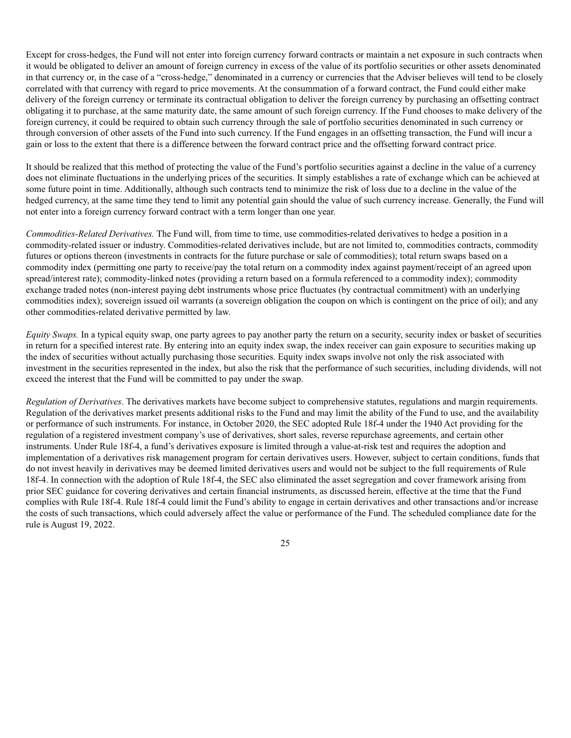Except for cross-hedges, the Fund will not enter into foreign currency forward contracts or maintain a net exposure in such contracts when it would be obligated to deliver an amount of foreign currency in excess of the value of its portfolio securities or other assets denominated in that currency or, in the case of a "cross-hedge," denominated in a currency or currencies that the Adviser believes will tend to be closely correlated with that currency with regard to price movements. At the consummation of a forward contract, the Fund could either make delivery of the foreign currency or terminate its contractual obligation to deliver the foreign currency by purchasing an offsetting contract obligating it to purchase, at the same maturity date, the same amount of such foreign currency. If the Fund chooses to make delivery of the foreign currency, it could be required to obtain such currency through the sale of portfolio securities denominated in such currency or through conversion of other assets of the Fund into such currency. If the Fund engages in an offsetting transaction, the Fund will incur a gain or loss to the extent that there is a difference between the forward contract price and the offsetting forward contract price.

It should be realized that this method of protecting the value of the Fund's portfolio securities against a decline in the value of a currency does not eliminate fluctuations in the underlying prices of the securities. It simply establishes a rate of exchange which can be achieved at some future point in time. Additionally, although such contracts tend to minimize the risk of loss due to a decline in the value of the hedged currency, at the same time they tend to limit any potential gain should the value of such currency increase. Generally, the Fund will not enter into a foreign currency forward contract with a term longer than one year.

*Commodities-Related Derivatives.* The Fund will, from time to time, use commodities-related derivatives to hedge a position in a commodity-related issuer or industry. Commodities-related derivatives include, but are not limited to, commodities contracts, commodity futures or options thereon (investments in contracts for the future purchase or sale of commodities); total return swaps based on a commodity index (permitting one party to receive/pay the total return on a commodity index against payment/receipt of an agreed upon spread/interest rate); commodity-linked notes (providing a return based on a formula referenced to a commodity index); commodity exchange traded notes (non-interest paying debt instruments whose price fluctuates (by contractual commitment) with an underlying commodities index); sovereign issued oil warrants (a sovereign obligation the coupon on which is contingent on the price of oil); and any other commodities-related derivative permitted by law.

*Equity Swaps*. In a typical equity swap, one party agrees to pay another party the return on a security, security index or basket of securities in return for a specified interest rate. By entering into an equity index swap, the index receiver can gain exposure to securities making up the index of securities without actually purchasing those securities. Equity index swaps involve not only the risk associated with investment in the securities represented in the index, but also the risk that the performance of such securities, including dividends, will not exceed the interest that the Fund will be committed to pay under the swap.

*Regulation of Derivatives*. The derivatives markets have become subject to comprehensive statutes, regulations and margin requirements. Regulation of the derivatives market presents additional risks to the Fund and may limit the ability of the Fund to use, and the availability or performance of such instruments. For instance, in October 2020, the SEC adopted Rule 18f-4 under the 1940 Act providing for the regulation of a registered investment company's use of derivatives, short sales, reverse repurchase agreements, and certain other instruments. Under Rule 18f-4, a fund's derivatives exposure is limited through a value-at-risk test and requires the adoption and implementation of a derivatives risk management program for certain derivatives users. However, subject to certain conditions, funds that do not invest heavily in derivatives may be deemed limited derivatives users and would not be subject to the full requirements of Rule 18f-4. In connection with the adoption of Rule 18f-4, the SEC also eliminated the asset segregation and cover framework arising from prior SEC guidance for covering derivatives and certain financial instruments, as discussed herein, effective at the time that the Fund complies with Rule 18f-4. Rule 18f-4 could limit the Fund's ability to engage in certain derivatives and other transactions and/or increase the costs of such transactions, which could adversely affect the value or performance of the Fund. The scheduled compliance date for the rule is August 19, 2022.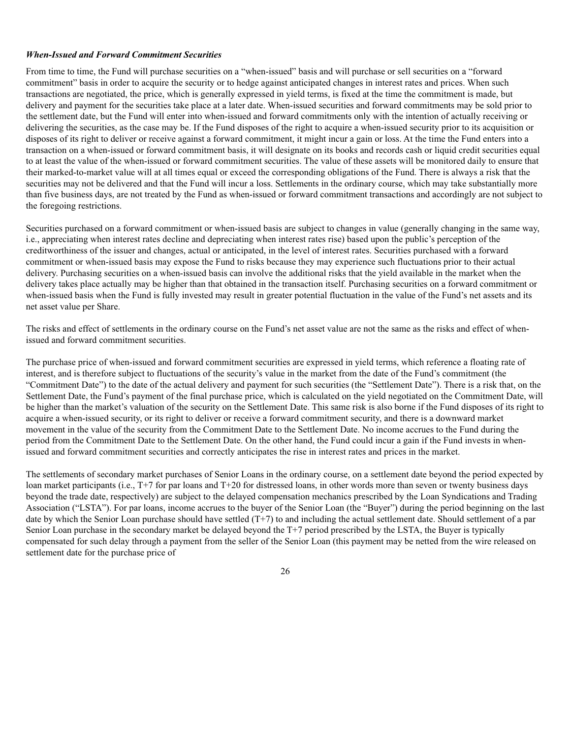# *When-Issued and Forward Commitment Securities*

From time to time, the Fund will purchase securities on a "when-issued" basis and will purchase or sell securities on a "forward commitment" basis in order to acquire the security or to hedge against anticipated changes in interest rates and prices. When such transactions are negotiated, the price, which is generally expressed in yield terms, is fixed at the time the commitment is made, but delivery and payment for the securities take place at a later date. When-issued securities and forward commitments may be sold prior to the settlement date, but the Fund will enter into when-issued and forward commitments only with the intention of actually receiving or delivering the securities, as the case may be. If the Fund disposes of the right to acquire a when-issued security prior to its acquisition or disposes of its right to deliver or receive against a forward commitment, it might incur a gain or loss. At the time the Fund enters into a transaction on a when-issued or forward commitment basis, it will designate on its books and records cash or liquid credit securities equal to at least the value of the when-issued or forward commitment securities. The value of these assets will be monitored daily to ensure that their marked-to-market value will at all times equal or exceed the corresponding obligations of the Fund. There is always a risk that the securities may not be delivered and that the Fund will incur a loss. Settlements in the ordinary course, which may take substantially more than five business days, are not treated by the Fund as when-issued or forward commitment transactions and accordingly are not subject to the foregoing restrictions.

Securities purchased on a forward commitment or when-issued basis are subject to changes in value (generally changing in the same way, i.e., appreciating when interest rates decline and depreciating when interest rates rise) based upon the public's perception of the creditworthiness of the issuer and changes, actual or anticipated, in the level of interest rates. Securities purchased with a forward commitment or when-issued basis may expose the Fund to risks because they may experience such fluctuations prior to their actual delivery. Purchasing securities on a when-issued basis can involve the additional risks that the yield available in the market when the delivery takes place actually may be higher than that obtained in the transaction itself. Purchasing securities on a forward commitment or when-issued basis when the Fund is fully invested may result in greater potential fluctuation in the value of the Fund's net assets and its net asset value per Share.

The risks and effect of settlements in the ordinary course on the Fund's net asset value are not the same as the risks and effect of whenissued and forward commitment securities.

The purchase price of when-issued and forward commitment securities are expressed in yield terms, which reference a floating rate of interest, and is therefore subject to fluctuations of the security's value in the market from the date of the Fund's commitment (the "Commitment Date") to the date of the actual delivery and payment for such securities (the "Settlement Date"). There is a risk that, on the Settlement Date, the Fund's payment of the final purchase price, which is calculated on the yield negotiated on the Commitment Date, will be higher than the market's valuation of the security on the Settlement Date. This same risk is also borne if the Fund disposes of its right to acquire a when-issued security, or its right to deliver or receive a forward commitment security, and there is a downward market movement in the value of the security from the Commitment Date to the Settlement Date. No income accrues to the Fund during the period from the Commitment Date to the Settlement Date. On the other hand, the Fund could incur a gain if the Fund invests in whenissued and forward commitment securities and correctly anticipates the rise in interest rates and prices in the market.

The settlements of secondary market purchases of Senior Loans in the ordinary course, on a settlement date beyond the period expected by loan market participants (i.e., T+7 for par loans and T+20 for distressed loans, in other words more than seven or twenty business days beyond the trade date, respectively) are subject to the delayed compensation mechanics prescribed by the Loan Syndications and Trading Association ("LSTA"). For par loans, income accrues to the buyer of the Senior Loan (the "Buyer") during the period beginning on the last date by which the Senior Loan purchase should have settled (T+7) to and including the actual settlement date. Should settlement of a par Senior Loan purchase in the secondary market be delayed beyond the T+7 period prescribed by the LSTA, the Buyer is typically compensated for such delay through a payment from the seller of the Senior Loan (this payment may be netted from the wire released on settlement date for the purchase price of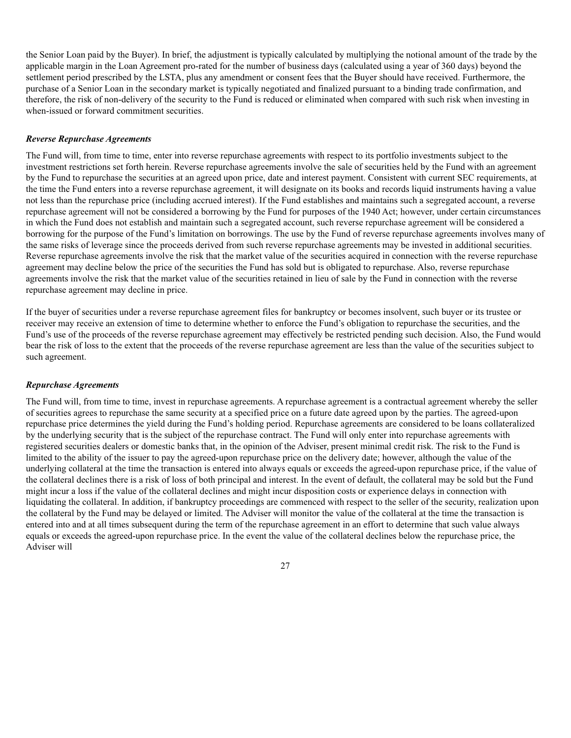the Senior Loan paid by the Buyer). In brief, the adjustment is typically calculated by multiplying the notional amount of the trade by the applicable margin in the Loan Agreement pro-rated for the number of business days (calculated using a year of 360 days) beyond the settlement period prescribed by the LSTA, plus any amendment or consent fees that the Buyer should have received. Furthermore, the purchase of a Senior Loan in the secondary market is typically negotiated and finalized pursuant to a binding trade confirmation, and therefore, the risk of non-delivery of the security to the Fund is reduced or eliminated when compared with such risk when investing in when-issued or forward commitment securities.

# *Reverse Repurchase Agreements*

The Fund will, from time to time, enter into reverse repurchase agreements with respect to its portfolio investments subject to the investment restrictions set forth herein. Reverse repurchase agreements involve the sale of securities held by the Fund with an agreement by the Fund to repurchase the securities at an agreed upon price, date and interest payment. Consistent with current SEC requirements, at the time the Fund enters into a reverse repurchase agreement, it will designate on its books and records liquid instruments having a value not less than the repurchase price (including accrued interest). If the Fund establishes and maintains such a segregated account, a reverse repurchase agreement will not be considered a borrowing by the Fund for purposes of the 1940 Act; however, under certain circumstances in which the Fund does not establish and maintain such a segregated account, such reverse repurchase agreement will be considered a borrowing for the purpose of the Fund's limitation on borrowings. The use by the Fund of reverse repurchase agreements involves many of the same risks of leverage since the proceeds derived from such reverse repurchase agreements may be invested in additional securities. Reverse repurchase agreements involve the risk that the market value of the securities acquired in connection with the reverse repurchase agreement may decline below the price of the securities the Fund has sold but is obligated to repurchase. Also, reverse repurchase agreements involve the risk that the market value of the securities retained in lieu of sale by the Fund in connection with the reverse repurchase agreement may decline in price.

If the buyer of securities under a reverse repurchase agreement files for bankruptcy or becomes insolvent, such buyer or its trustee or receiver may receive an extension of time to determine whether to enforce the Fund's obligation to repurchase the securities, and the Fund's use of the proceeds of the reverse repurchase agreement may effectively be restricted pending such decision. Also, the Fund would bear the risk of loss to the extent that the proceeds of the reverse repurchase agreement are less than the value of the securities subject to such agreement.

#### *Repurchase Agreements*

The Fund will, from time to time, invest in repurchase agreements. A repurchase agreement is a contractual agreement whereby the seller of securities agrees to repurchase the same security at a specified price on a future date agreed upon by the parties. The agreed-upon repurchase price determines the yield during the Fund's holding period. Repurchase agreements are considered to be loans collateralized by the underlying security that is the subject of the repurchase contract. The Fund will only enter into repurchase agreements with registered securities dealers or domestic banks that, in the opinion of the Adviser, present minimal credit risk. The risk to the Fund is limited to the ability of the issuer to pay the agreed-upon repurchase price on the delivery date; however, although the value of the underlying collateral at the time the transaction is entered into always equals or exceeds the agreed-upon repurchase price, if the value of the collateral declines there is a risk of loss of both principal and interest. In the event of default, the collateral may be sold but the Fund might incur a loss if the value of the collateral declines and might incur disposition costs or experience delays in connection with liquidating the collateral. In addition, if bankruptcy proceedings are commenced with respect to the seller of the security, realization upon the collateral by the Fund may be delayed or limited. The Adviser will monitor the value of the collateral at the time the transaction is entered into and at all times subsequent during the term of the repurchase agreement in an effort to determine that such value always equals or exceeds the agreed-upon repurchase price. In the event the value of the collateral declines below the repurchase price, the Adviser will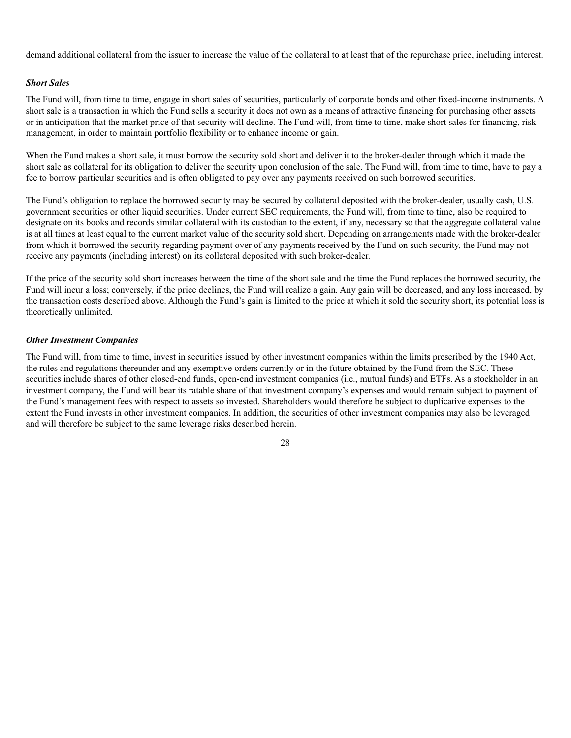demand additional collateral from the issuer to increase the value of the collateral to at least that of the repurchase price, including interest.

# *Short Sales*

The Fund will, from time to time, engage in short sales of securities, particularly of corporate bonds and other fixed-income instruments. A short sale is a transaction in which the Fund sells a security it does not own as a means of attractive financing for purchasing other assets or in anticipation that the market price of that security will decline. The Fund will, from time to time, make short sales for financing, risk management, in order to maintain portfolio flexibility or to enhance income or gain.

When the Fund makes a short sale, it must borrow the security sold short and deliver it to the broker-dealer through which it made the short sale as collateral for its obligation to deliver the security upon conclusion of the sale. The Fund will, from time to time, have to pay a fee to borrow particular securities and is often obligated to pay over any payments received on such borrowed securities.

The Fund's obligation to replace the borrowed security may be secured by collateral deposited with the broker-dealer, usually cash, U.S. government securities or other liquid securities. Under current SEC requirements, the Fund will, from time to time, also be required to designate on its books and records similar collateral with its custodian to the extent, if any, necessary so that the aggregate collateral value is at all times at least equal to the current market value of the security sold short. Depending on arrangements made with the broker-dealer from which it borrowed the security regarding payment over of any payments received by the Fund on such security, the Fund may not receive any payments (including interest) on its collateral deposited with such broker-dealer.

If the price of the security sold short increases between the time of the short sale and the time the Fund replaces the borrowed security, the Fund will incur a loss; conversely, if the price declines, the Fund will realize a gain. Any gain will be decreased, and any loss increased, by the transaction costs described above. Although the Fund's gain is limited to the price at which it sold the security short, its potential loss is theoretically unlimited.

# *Other Investment Companies*

The Fund will, from time to time, invest in securities issued by other investment companies within the limits prescribed by the 1940 Act, the rules and regulations thereunder and any exemptive orders currently or in the future obtained by the Fund from the SEC. These securities include shares of other closed-end funds, open-end investment companies (i.e., mutual funds) and ETFs. As a stockholder in an investment company, the Fund will bear its ratable share of that investment company's expenses and would remain subject to payment of the Fund's management fees with respect to assets so invested. Shareholders would therefore be subject to duplicative expenses to the extent the Fund invests in other investment companies. In addition, the securities of other investment companies may also be leveraged and will therefore be subject to the same leverage risks described herein.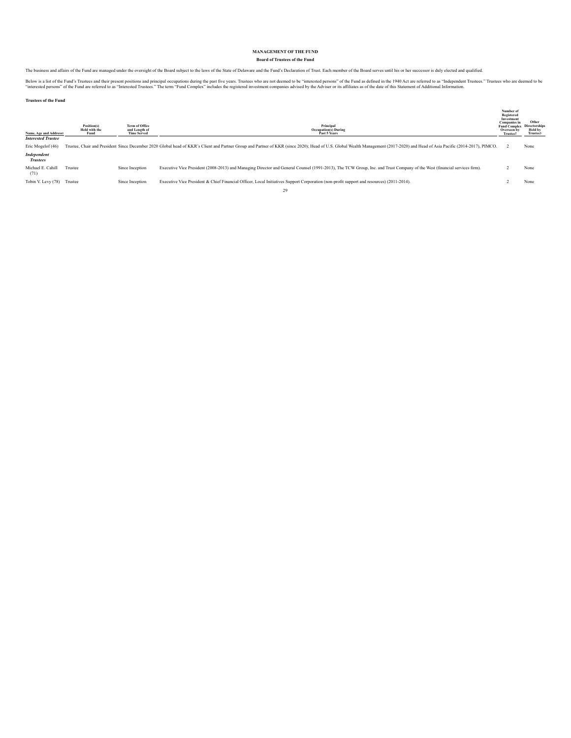#### **MANAGEMENT OF THE FUND**

**Board of Trustees of the Fund**

The business and affairs of the Fund are managed under the oversight of the Board subject to the laws of the State of Delaware and the Fund's Declaration of Trust. Each member of the Board serves until his or her successor

Below is a list of the Fund sTrustes and their present positions and principal occupations during the past five years. Trustes who are deemed to be "intered from the list of the Fund Complex" includes the registered invest

#### **Trustees of the Fund**

| Name, Age and Address1<br><b>Interested Trustee</b> | Position(s)<br>Held with the<br>Fund | <b>Term of Office</b><br>and Length of<br><b>Time Served</b> | Principal<br><b>Occupation(s)</b> During<br>Past 5 Years                                                                                                                                                                       | Number of<br>Registered<br>Investment<br><b>Companies</b> in<br><b>Fund Complex</b><br>Overseen by<br>Trustee <sub>2</sub> | Other<br><b>Directorships</b><br><b>Held by</b><br>Trustee <sup>3</sup> |
|-----------------------------------------------------|--------------------------------------|--------------------------------------------------------------|--------------------------------------------------------------------------------------------------------------------------------------------------------------------------------------------------------------------------------|----------------------------------------------------------------------------------------------------------------------------|-------------------------------------------------------------------------|
| Eric Mogelof (46)                                   |                                      |                                                              | Trustee, Chair and President Since December 2020 Global head of KKR's Client and Partner Group and Partner of KKR (since 2020); Head of U.S. Global Wealth Management (2017-2020) and Head of Asia Pacific (2014-2017), PIMCO. |                                                                                                                            | None                                                                    |
| <b>Independent</b><br><b>Trustees</b>               |                                      |                                                              |                                                                                                                                                                                                                                |                                                                                                                            |                                                                         |
| Michael E. Cahill<br>(71)                           | Trustee                              | Since Inception                                              | Executive Vice President (2008-2013) and Managing Director and General Counsel (1991-2013), The TCW Group, Inc. and Trust Company of the West (financial services firm).                                                       |                                                                                                                            | None                                                                    |
| Tobin V. Levy (78) Trustee                          |                                      | Since Inception                                              | Executive Vice President & Chief Financial Officer, Local Initiatives Support Corporation (non-profit support and resources) (2011-2014).                                                                                      |                                                                                                                            | None                                                                    |
|                                                     |                                      |                                                              | 2S                                                                                                                                                                                                                             |                                                                                                                            |                                                                         |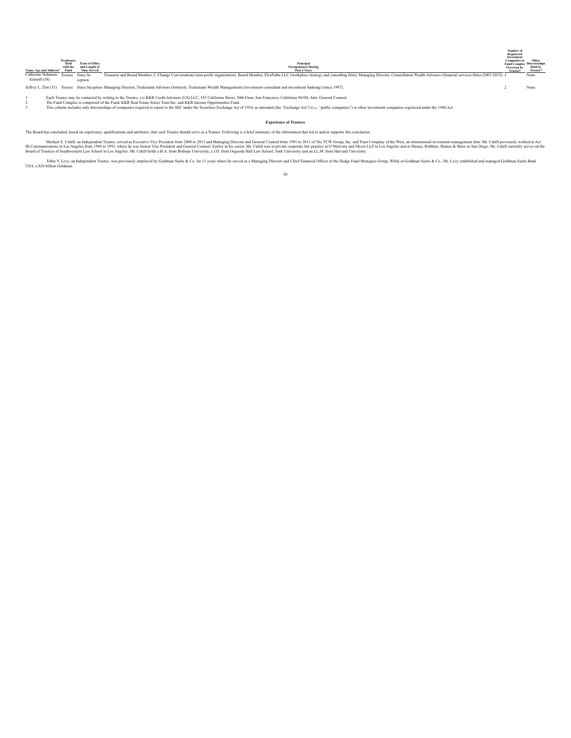|                                         |             |                       |                                                                                                                                                                                                                                | Number o            |                                   |
|-----------------------------------------|-------------|-----------------------|--------------------------------------------------------------------------------------------------------------------------------------------------------------------------------------------------------------------------------|---------------------|-----------------------------------|
|                                         |             |                       |                                                                                                                                                                                                                                | Registered          |                                   |
|                                         |             |                       |                                                                                                                                                                                                                                | Investment          |                                   |
|                                         | Position(s) |                       |                                                                                                                                                                                                                                | <b>Companies in</b> |                                   |
|                                         | Held        | <b>Term of Office</b> | Principal                                                                                                                                                                                                                      |                     | <b>Fund Complex Directorships</b> |
|                                         | with the    | and Length of         | <b>Occupation(s)</b> During                                                                                                                                                                                                    | Overseen by         |                                   |
| Name, Age and Address <sup>1</sup> Fund |             | <b>Time Served</b>    | Past 5 Years                                                                                                                                                                                                                   | Trustee2            | <b>Trustee</b>                    |
| Catherine Sidamon- Trustee Since In     |             |                       | Treasurer and Board Member, C-Change Conversations (non-profit organization), Board Member, FlexPaths LLC (workplace strategy and consulting firm), Managing Director, Constellation Wealth Advisors (financial services firm) |                     | None                              |
| Eristoff (58)                           |             | ception               |                                                                                                                                                                                                                                |                     |                                   |
|                                         |             |                       |                                                                                                                                                                                                                                |                     |                                   |
|                                         |             |                       | Jeffrey L. Zlot (51) Trustee Since Inception Managing Director, Tiedemann Advisors (formerly, Tiedemann Wealth Management) (investment consultant and investment banking) (since 1997).                                        |                     | None                              |

1 Each Trustee may be contacted by writing to the Trustee, c/o KKR Credit Advisors (US) LLC, 555 California Street, 50th Floor, San Francisco, California 94104, Attn: General Counsel.<br>2 This column includes only directorsh

#### **Experience of Trustees**

The Board has concluded, based on experience, qualifications and attributes, that each Trustee should serve as a Trustee. Following is a brief summary of the information that led to and/or supports this conclusion.

Michael E. Cahill, an Independent Trustee, served as Executive Vice President from 2008 to 2013 and Managing Director and General Counsel from 1991 to 2013 of The TCW Group, Inc. and Trust Company of the West, an internati

Tobin V. Levy, an Independent Trustee, was previously employed by Goldman Sachs & Co. for 13 years where he served as a Managing Director and Chief Financial Officer of the Hedge Fund Strategies Group. While at Goldman Sac

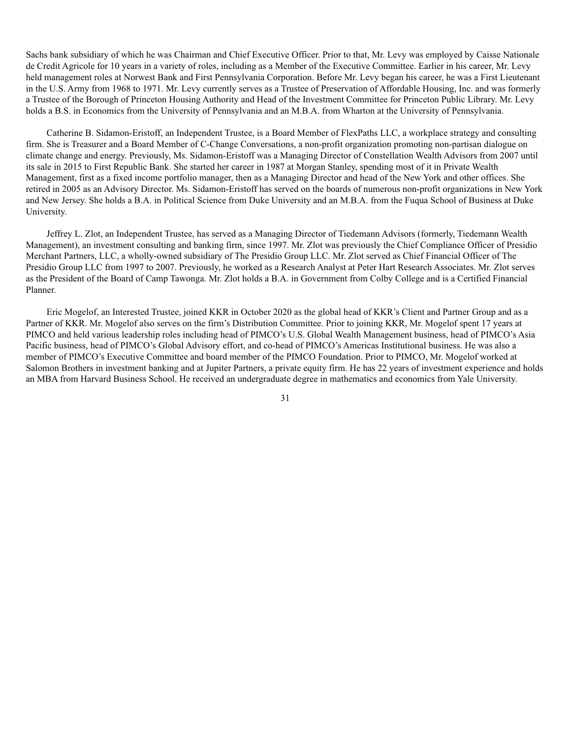Sachs bank subsidiary of which he was Chairman and Chief Executive Officer. Prior to that, Mr. Levy was employed by Caisse Nationale de Credit Agricole for 10 years in a variety of roles, including as a Member of the Executive Committee. Earlier in his career, Mr. Levy held management roles at Norwest Bank and First Pennsylvania Corporation. Before Mr. Levy began his career, he was a First Lieutenant in the U.S. Army from 1968 to 1971. Mr. Levy currently serves as a Trustee of Preservation of Affordable Housing, Inc. and was formerly a Trustee of the Borough of Princeton Housing Authority and Head of the Investment Committee for Princeton Public Library. Mr. Levy holds a B.S. in Economics from the University of Pennsylvania and an M.B.A. from Wharton at the University of Pennsylvania.

Catherine B. Sidamon-Eristoff, an Independent Trustee, is a Board Member of FlexPaths LLC, a workplace strategy and consulting firm. She is Treasurer and a Board Member of C-Change Conversations, a non-profit organization promoting non-partisan dialogue on climate change and energy. Previously, Ms. Sidamon-Eristoff was a Managing Director of Constellation Wealth Advisors from 2007 until its sale in 2015 to First Republic Bank. She started her career in 1987 at Morgan Stanley, spending most of it in Private Wealth Management, first as a fixed income portfolio manager, then as a Managing Director and head of the New York and other offices. She retired in 2005 as an Advisory Director. Ms. Sidamon-Eristoff has served on the boards of numerous non-profit organizations in New York and New Jersey. She holds a B.A. in Political Science from Duke University and an M.B.A. from the Fuqua School of Business at Duke University.

Jeffrey L. Zlot, an Independent Trustee, has served as a Managing Director of Tiedemann Advisors (formerly, Tiedemann Wealth Management), an investment consulting and banking firm, since 1997. Mr. Zlot was previously the Chief Compliance Officer of Presidio Merchant Partners, LLC, a wholly-owned subsidiary of The Presidio Group LLC. Mr. Zlot served as Chief Financial Officer of The Presidio Group LLC from 1997 to 2007. Previously, he worked as a Research Analyst at Peter Hart Research Associates. Mr. Zlot serves as the President of the Board of Camp Tawonga. Mr. Zlot holds a B.A. in Government from Colby College and is a Certified Financial Planner.

Eric Mogelof, an Interested Trustee, joined KKR in October 2020 as the global head of KKR's Client and Partner Group and as a Partner of KKR. Mr. Mogelof also serves on the firm's Distribution Committee. Prior to joining KKR, Mr. Mogelof spent 17 years at PIMCO and held various leadership roles including head of PIMCO's U.S. Global Wealth Management business, head of PIMCO's Asia Pacific business, head of PIMCO's Global Advisory effort, and co-head of PIMCO's Americas Institutional business. He was also a member of PIMCO's Executive Committee and board member of the PIMCO Foundation. Prior to PIMCO, Mr. Mogelof worked at Salomon Brothers in investment banking and at Jupiter Partners, a private equity firm. He has 22 years of investment experience and holds an MBA from Harvard Business School. He received an undergraduate degree in mathematics and economics from Yale University.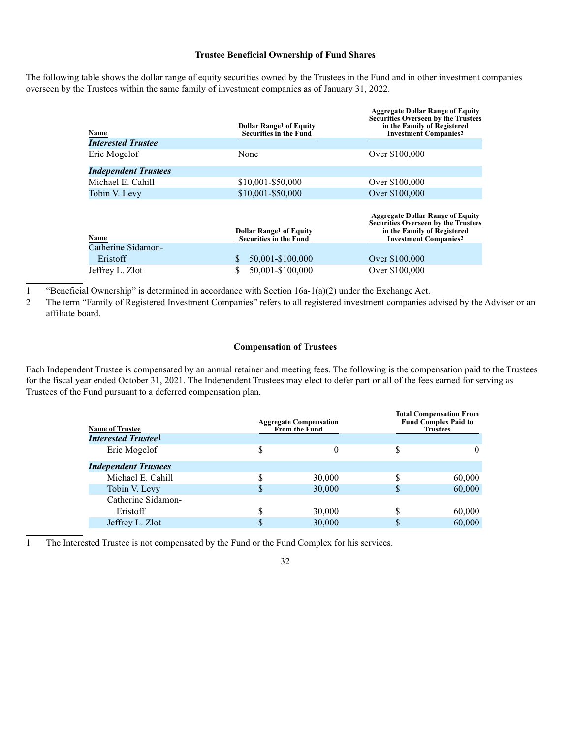#### **Trustee Beneficial Ownership of Fund Shares**

The following table shows the dollar range of equity securities owned by the Trustees in the Fund and in other investment companies overseen by the Trustees within the same family of investment companies as of January 31, 2022.

| Name                        | <b>Dollar Range1 of Equity</b><br>Securities in the Fund | <b>Aggregate Dollar Range of Equity</b><br><b>Securities Overseen by the Trustees</b><br>in the Family of Registered<br><b>Investment Companies2</b> |
|-----------------------------|----------------------------------------------------------|------------------------------------------------------------------------------------------------------------------------------------------------------|
| <b>Interested Trustee</b>   |                                                          |                                                                                                                                                      |
| Eric Mogelof                | None                                                     | Over \$100,000                                                                                                                                       |
| <b>Independent Trustees</b> |                                                          |                                                                                                                                                      |
| Michael E. Cahill           | \$10,001-\$50,000                                        | Over \$100,000                                                                                                                                       |
| Tobin V. Levy               | \$10,001-\$50,000                                        | Over \$100,000                                                                                                                                       |
| Name                        | <b>Dollar Range1 of Equity</b><br>Securities in the Fund | <b>Aggregate Dollar Range of Equity</b><br><b>Securities Overseen by the Trustees</b><br>in the Family of Registered<br><b>Investment Companies2</b> |
| Catherine Sidamon-          |                                                          |                                                                                                                                                      |
| Eristoff                    | \$<br>50,001-\$100,000                                   | Over \$100,000                                                                                                                                       |
| Jeffrey L. Zlot             | 50,001-\$100,000<br>S                                    | Over \$100,000                                                                                                                                       |

1 "Beneficial Ownership" is determined in accordance with Section 16a-1(a)(2) under the Exchange Act.

2 The term "Family of Registered Investment Companies" refers to all registered investment companies advised by the Adviser or an affiliate board.

#### **Compensation of Trustees**

Each Independent Trustee is compensated by an annual retainer and meeting fees. The following is the compensation paid to the Trustees for the fiscal year ended October 31, 2021. The Independent Trustees may elect to defer part or all of the fees earned for serving as Trustees of the Fund pursuant to a deferred compensation plan.

| <b>Name of Trustee</b><br><b>Interested Trustee</b> <sup>1</sup> |                             |   | <b>Aggregate Compensation</b><br><b>From the Fund</b> | <b>Total Compensation From</b><br><b>Fund Complex Paid to</b><br><b>Trustees</b> |          |  |
|------------------------------------------------------------------|-----------------------------|---|-------------------------------------------------------|----------------------------------------------------------------------------------|----------|--|
|                                                                  | Eric Mogelof                |   |                                                       |                                                                                  | $\Omega$ |  |
|                                                                  | <b>Independent Trustees</b> |   |                                                       |                                                                                  |          |  |
|                                                                  | Michael E. Cahill           |   | 30,000                                                |                                                                                  | 60,000   |  |
|                                                                  | Tobin V. Levy               | S | 30,000                                                | \$                                                                               | 60,000   |  |
|                                                                  | Catherine Sidamon-          |   |                                                       |                                                                                  |          |  |
|                                                                  | Eristoff                    |   | 30,000                                                | S                                                                                | 60,000   |  |
|                                                                  | Jeffrey L. Zlot             |   | 30,000                                                | D                                                                                | 60,000   |  |
|                                                                  |                             |   |                                                       |                                                                                  |          |  |

1 The Interested Trustee is not compensated by the Fund or the Fund Complex for his services.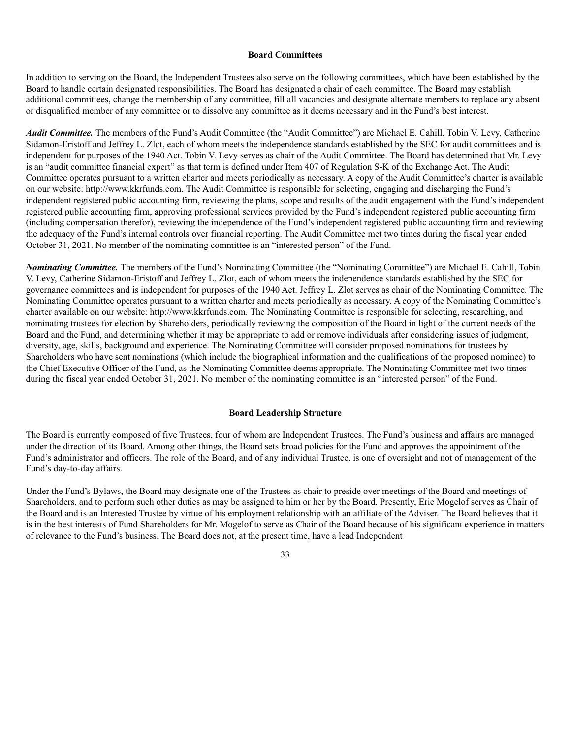#### **Board Committees**

In addition to serving on the Board, the Independent Trustees also serve on the following committees, which have been established by the Board to handle certain designated responsibilities. The Board has designated a chair of each committee. The Board may establish additional committees, change the membership of any committee, fill all vacancies and designate alternate members to replace any absent or disqualified member of any committee or to dissolve any committee as it deems necessary and in the Fund's best interest.

*Audit Committee.* The members of the Fund's Audit Committee (the "Audit Committee") are Michael E. Cahill, Tobin V. Levy, Catherine Sidamon-Eristoff and Jeffrey L. Zlot, each of whom meets the independence standards established by the SEC for audit committees and is independent for purposes of the 1940 Act. Tobin V. Levy serves as chair of the Audit Committee. The Board has determined that Mr. Levy is an "audit committee financial expert" as that term is defined under Item 407 of Regulation S-K of the Exchange Act. The Audit Committee operates pursuant to a written charter and meets periodically as necessary. A copy of the Audit Committee's charter is available on our website: http://www.kkrfunds.com. The Audit Committee is responsible for selecting, engaging and discharging the Fund's independent registered public accounting firm, reviewing the plans, scope and results of the audit engagement with the Fund's independent registered public accounting firm, approving professional services provided by the Fund's independent registered public accounting firm (including compensation therefor), reviewing the independence of the Fund's independent registered public accounting firm and reviewing the adequacy of the Fund's internal controls over financial reporting. The Audit Committee met two times during the fiscal year ended October 31, 2021. No member of the nominating committee is an "interested person" of the Fund.

*Nominating Committee.* The members of the Fund's Nominating Committee (the "Nominating Committee") are Michael E. Cahill, Tobin V. Levy, Catherine Sidamon-Eristoff and Jeffrey L. Zlot, each of whom meets the independence standards established by the SEC for governance committees and is independent for purposes of the 1940 Act. Jeffrey L. Zlot serves as chair of the Nominating Committee. The Nominating Committee operates pursuant to a written charter and meets periodically as necessary. A copy of the Nominating Committee's charter available on our website: http://www.kkrfunds.com. The Nominating Committee is responsible for selecting, researching, and nominating trustees for election by Shareholders, periodically reviewing the composition of the Board in light of the current needs of the Board and the Fund, and determining whether it may be appropriate to add or remove individuals after considering issues of judgment, diversity, age, skills, background and experience. The Nominating Committee will consider proposed nominations for trustees by Shareholders who have sent nominations (which include the biographical information and the qualifications of the proposed nominee) to the Chief Executive Officer of the Fund, as the Nominating Committee deems appropriate. The Nominating Committee met two times during the fiscal year ended October 31, 2021. No member of the nominating committee is an "interested person" of the Fund.

#### **Board Leadership Structure**

The Board is currently composed of five Trustees, four of whom are Independent Trustees. The Fund's business and affairs are managed under the direction of its Board. Among other things, the Board sets broad policies for the Fund and approves the appointment of the Fund's administrator and officers. The role of the Board, and of any individual Trustee, is one of oversight and not of management of the Fund's day-to-day affairs.

Under the Fund's Bylaws, the Board may designate one of the Trustees as chair to preside over meetings of the Board and meetings of Shareholders, and to perform such other duties as may be assigned to him or her by the Board. Presently, Eric Mogelof serves as Chair of the Board and is an Interested Trustee by virtue of his employment relationship with an affiliate of the Adviser. The Board believes that it is in the best interests of Fund Shareholders for Mr. Mogelof to serve as Chair of the Board because of his significant experience in matters of relevance to the Fund's business. The Board does not, at the present time, have a lead Independent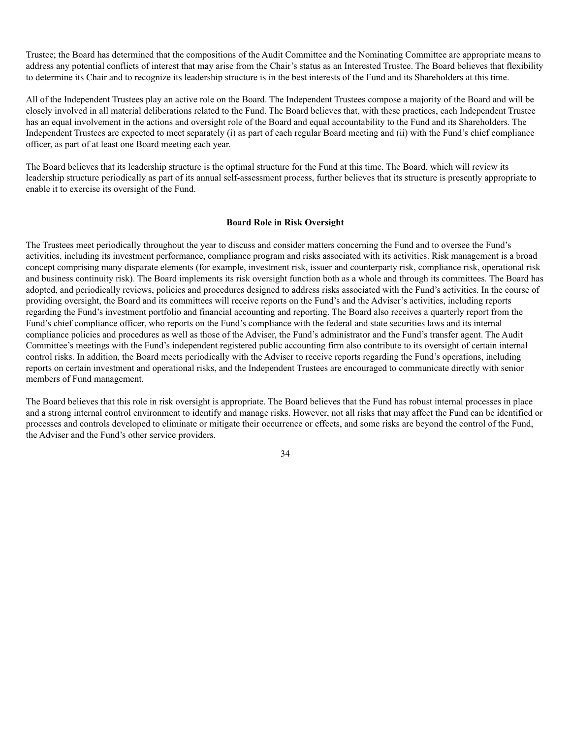Trustee; the Board has determined that the compositions of the Audit Committee and the Nominating Committee are appropriate means to address any potential conflicts of interest that may arise from the Chair's status as an Interested Trustee. The Board believes that flexibility to determine its Chair and to recognize its leadership structure is in the best interests of the Fund and its Shareholders at this time.

All of the Independent Trustees play an active role on the Board. The Independent Trustees compose a majority of the Board and will be closely involved in all material deliberations related to the Fund. The Board believes that, with these practices, each Independent Trustee has an equal involvement in the actions and oversight role of the Board and equal accountability to the Fund and its Shareholders. The Independent Trustees are expected to meet separately (i) as part of each regular Board meeting and (ii) with the Fund's chief compliance officer, as part of at least one Board meeting each year.

The Board believes that its leadership structure is the optimal structure for the Fund at this time. The Board, which will review its leadership structure periodically as part of its annual self-assessment process, further believes that its structure is presently appropriate to enable it to exercise its oversight of the Fund.

#### **Board Role in Risk Oversight**

The Trustees meet periodically throughout the year to discuss and consider matters concerning the Fund and to oversee the Fund's activities, including its investment performance, compliance program and risks associated with its activities. Risk management is a broad concept comprising many disparate elements (for example, investment risk, issuer and counterparty risk, compliance risk, operational risk and business continuity risk). The Board implements its risk oversight function both as a whole and through its committees. The Board has adopted, and periodically reviews, policies and procedures designed to address risks associated with the Fund's activities. In the course of providing oversight, the Board and its committees will receive reports on the Fund's and the Adviser's activities, including reports regarding the Fund's investment portfolio and financial accounting and reporting. The Board also receives a quarterly report from the Fund's chief compliance officer, who reports on the Fund's compliance with the federal and state securities laws and its internal compliance policies and procedures as well as those of the Adviser, the Fund's administrator and the Fund's transfer agent. The Audit Committee's meetings with the Fund's independent registered public accounting firm also contribute to its oversight of certain internal control risks. In addition, the Board meets periodically with the Adviser to receive reports regarding the Fund's operations, including reports on certain investment and operational risks, and the Independent Trustees are encouraged to communicate directly with senior members of Fund management.

The Board believes that this role in risk oversight is appropriate. The Board believes that the Fund has robust internal processes in place and a strong internal control environment to identify and manage risks. However, not all risks that may affect the Fund can be identified or processes and controls developed to eliminate or mitigate their occurrence or effects, and some risks are beyond the control of the Fund, the Adviser and the Fund's other service providers.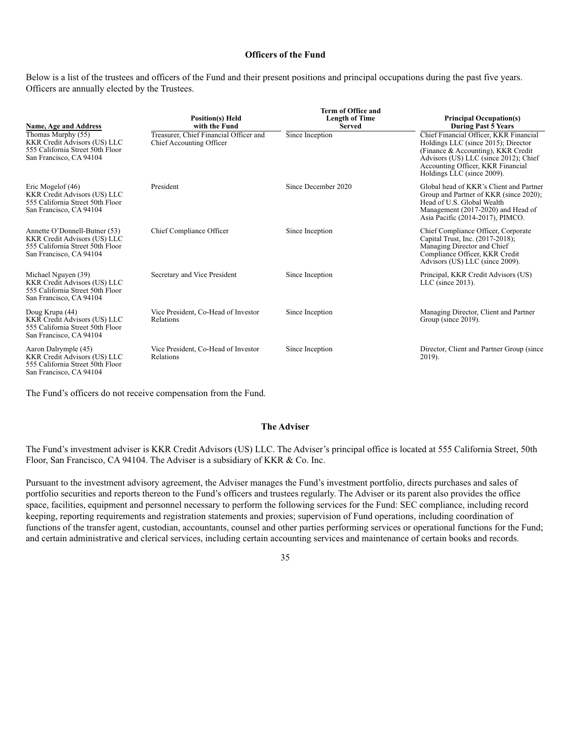# **Officers of the Fund**

Below is a list of the trustees and officers of the Fund and their present positions and principal occupations during the past five years. Officers are annually elected by the Trustees.

| <b>Name, Age and Address</b>                                                                                                        | <b>Position(s)</b> Held<br>with the Fund                           | Term of Office and<br><b>Length of Time</b><br><b>Served</b> | <b>Principal Occupation(s)</b><br><b>During Past 5 Years</b>                                                                                                                                                                    |
|-------------------------------------------------------------------------------------------------------------------------------------|--------------------------------------------------------------------|--------------------------------------------------------------|---------------------------------------------------------------------------------------------------------------------------------------------------------------------------------------------------------------------------------|
| Thomas Murphy (55)<br><b>KKR Credit Advisors (US) LLC</b><br>555 California Street 50th Floor<br>San Francisco, CA 94104            | Treasurer, Chief Financial Officer and<br>Chief Accounting Officer | Since Inception                                              | Chief Financial Officer, KKR Financial<br>Holdings LLC (since 2015); Director<br>(Finance & Accounting), KKR Credit<br>Advisors (US) LLC (since 2012); Chief<br>Accounting Officer, KKR Financial<br>Holdings LLC (since 2009). |
| Eric Mogelof (46)<br><b>KKR Credit Advisors (US) LLC</b><br>555 California Street 50th Floor<br>San Francisco, CA 94104             | President                                                          | Since December 2020                                          | Global head of KKR's Client and Partner<br>Group and Partner of KKR (since 2020);<br>Head of U.S. Global Wealth<br>Management (2017-2020) and Head of<br>Asia Pacific (2014-2017), PIMCO.                                       |
| Annette O'Donnell-Butner (53)<br><b>KKR Credit Advisors (US) LLC</b><br>555 California Street 50th Floor<br>San Francisco, CA 94104 | Chief Compliance Officer                                           | Since Inception                                              | Chief Compliance Officer, Corporate<br>Capital Trust, Inc. (2017-2018);<br>Managing Director and Chief<br>Compliance Officer, KKR Credit<br>Advisors (US) LLC (since 2009).                                                     |
| Michael Nguyen (39)<br><b>KKR Credit Advisors (US) LLC</b><br>555 California Street 50th Floor<br>San Francisco, CA 94104           | Secretary and Vice President                                       | Since Inception                                              | Principal, KKR Credit Advisors (US)<br>LLC (since $2013$ ).                                                                                                                                                                     |
| Doug Krupa (44)<br><b>KKR Credit Advisors (US) LLC</b><br>555 California Street 50th Floor<br>San Francisco, CA 94104               | Vice President, Co-Head of Investor<br>Relations                   | Since Inception                                              | Managing Director, Client and Partner<br>Group (since 2019).                                                                                                                                                                    |
| Aaron Dalrymple (45)<br><b>KKR Credit Advisors (US) LLC</b><br>555 California Street 50th Floor<br>San Francisco, CA 94104          | Vice President, Co-Head of Investor<br>Relations                   | Since Inception                                              | Director, Client and Partner Group (since<br>2019).                                                                                                                                                                             |

The Fund's officers do not receive compensation from the Fund.

### **The Adviser**

The Fund's investment adviser is KKR Credit Advisors (US) LLC. The Adviser's principal office is located at 555 California Street, 50th Floor, San Francisco, CA 94104. The Adviser is a subsidiary of KKR & Co. Inc.

Pursuant to the investment advisory agreement, the Adviser manages the Fund's investment portfolio, directs purchases and sales of portfolio securities and reports thereon to the Fund's officers and trustees regularly. The Adviser or its parent also provides the office space, facilities, equipment and personnel necessary to perform the following services for the Fund: SEC compliance, including record keeping, reporting requirements and registration statements and proxies; supervision of Fund operations, including coordination of functions of the transfer agent, custodian, accountants, counsel and other parties performing services or operational functions for the Fund; and certain administrative and clerical services, including certain accounting services and maintenance of certain books and records.

<sup>35</sup>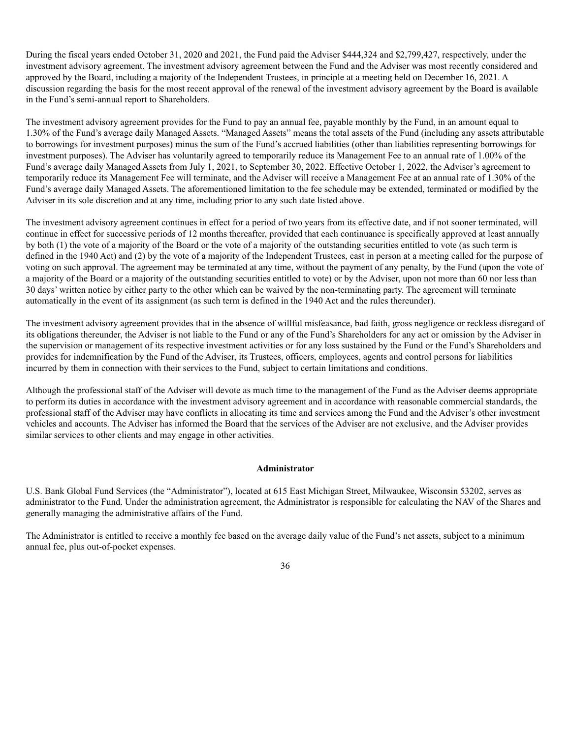During the fiscal years ended October 31, 2020 and 2021, the Fund paid the Adviser \$444,324 and \$2,799,427, respectively, under the investment advisory agreement. The investment advisory agreement between the Fund and the Adviser was most recently considered and approved by the Board, including a majority of the Independent Trustees, in principle at a meeting held on December 16, 2021. A discussion regarding the basis for the most recent approval of the renewal of the investment advisory agreement by the Board is available in the Fund's semi-annual report to Shareholders.

The investment advisory agreement provides for the Fund to pay an annual fee, payable monthly by the Fund, in an amount equal to 1.30% of the Fund's average daily Managed Assets. "Managed Assets" means the total assets of the Fund (including any assets attributable to borrowings for investment purposes) minus the sum of the Fund's accrued liabilities (other than liabilities representing borrowings for investment purposes). The Adviser has voluntarily agreed to temporarily reduce its Management Fee to an annual rate of 1.00% of the Fund's average daily Managed Assets from July 1, 2021, to September 30, 2022. Effective October 1, 2022, the Adviser's agreement to temporarily reduce its Management Fee will terminate, and the Adviser will receive a Management Fee at an annual rate of 1.30% of the Fund's average daily Managed Assets. The aforementioned limitation to the fee schedule may be extended, terminated or modified by the Adviser in its sole discretion and at any time, including prior to any such date listed above.

The investment advisory agreement continues in effect for a period of two years from its effective date, and if not sooner terminated, will continue in effect for successive periods of 12 months thereafter, provided that each continuance is specifically approved at least annually by both (1) the vote of a majority of the Board or the vote of a majority of the outstanding securities entitled to vote (as such term is defined in the 1940 Act) and (2) by the vote of a majority of the Independent Trustees, cast in person at a meeting called for the purpose of voting on such approval. The agreement may be terminated at any time, without the payment of any penalty, by the Fund (upon the vote of a majority of the Board or a majority of the outstanding securities entitled to vote) or by the Adviser, upon not more than 60 nor less than 30 days' written notice by either party to the other which can be waived by the non-terminating party. The agreement will terminate automatically in the event of its assignment (as such term is defined in the 1940 Act and the rules thereunder).

The investment advisory agreement provides that in the absence of willful misfeasance, bad faith, gross negligence or reckless disregard of its obligations thereunder, the Adviser is not liable to the Fund or any of the Fund's Shareholders for any act or omission by the Adviser in the supervision or management of its respective investment activities or for any loss sustained by the Fund or the Fund's Shareholders and provides for indemnification by the Fund of the Adviser, its Trustees, officers, employees, agents and control persons for liabilities incurred by them in connection with their services to the Fund, subject to certain limitations and conditions.

Although the professional staff of the Adviser will devote as much time to the management of the Fund as the Adviser deems appropriate to perform its duties in accordance with the investment advisory agreement and in accordance with reasonable commercial standards, the professional staff of the Adviser may have conflicts in allocating its time and services among the Fund and the Adviser's other investment vehicles and accounts. The Adviser has informed the Board that the services of the Adviser are not exclusive, and the Adviser provides similar services to other clients and may engage in other activities.

#### **Administrator**

U.S. Bank Global Fund Services (the "Administrator"), located at 615 East Michigan Street, Milwaukee, Wisconsin 53202, serves as administrator to the Fund. Under the administration agreement, the Administrator is responsible for calculating the NAV of the Shares and generally managing the administrative affairs of the Fund.

The Administrator is entitled to receive a monthly fee based on the average daily value of the Fund's net assets, subject to a minimum annual fee, plus out-of-pocket expenses.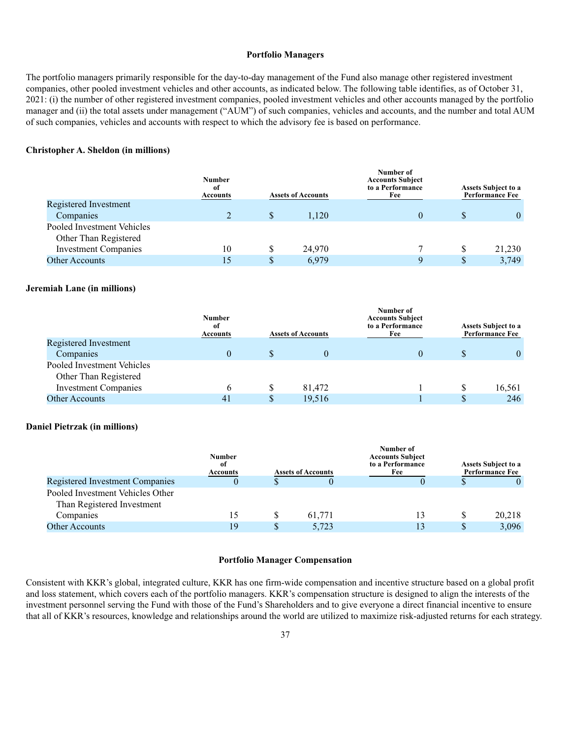#### **Portfolio Managers**

The portfolio managers primarily responsible for the day-to-day management of the Fund also manage other registered investment companies, other pooled investment vehicles and other accounts, as indicated below. The following table identifies, as of October 31, 2021: (i) the number of other registered investment companies, pooled investment vehicles and other accounts managed by the portfolio manager and (ii) the total assets under management ("AUM") of such companies, vehicles and accounts, and the number and total AUM of such companies, vehicles and accounts with respect to which the advisory fee is based on performance.

#### **Christopher A. Sheldon (in millions)**

|                             | <b>Number</b><br>of<br><b>Accounts</b> |    | <b>Assets of Accounts</b> | Number of<br><b>Accounts Subject</b><br>to a Performance<br>Fee |    | Assets Subject to a<br><b>Performance Fee</b> |
|-----------------------------|----------------------------------------|----|---------------------------|-----------------------------------------------------------------|----|-----------------------------------------------|
| Registered Investment       |                                        |    |                           |                                                                 |    |                                               |
| Companies                   |                                        | S  | 1,120                     | $\theta$                                                        | S  | 0                                             |
| Pooled Investment Vehicles  |                                        |    |                           |                                                                 |    |                                               |
| Other Than Registered       |                                        |    |                           |                                                                 |    |                                               |
| <b>Investment Companies</b> | 10                                     | S  | 24,970                    |                                                                 | \$ | 21,230                                        |
| <b>Other Accounts</b>       | 15                                     | \$ | 6,979                     | $\Omega$                                                        | \$ | 3,749                                         |

# **Jeremiah Lane (in millions)**

|                                                     | <b>Number</b><br>of<br><b>Accounts</b> |   | <b>Assets of Accounts</b> | Number of<br><b>Accounts Subject</b><br>to a Performance<br>Fee |   | <b>Assets Subject to a</b><br><b>Performance Fee</b> |
|-----------------------------------------------------|----------------------------------------|---|---------------------------|-----------------------------------------------------------------|---|------------------------------------------------------|
| Registered Investment                               |                                        |   |                           |                                                                 |   |                                                      |
| Companies                                           |                                        |   |                           |                                                                 |   | $\theta$                                             |
| Pooled Investment Vehicles<br>Other Than Registered |                                        |   |                           |                                                                 |   |                                                      |
| <b>Investment Companies</b>                         | h                                      |   | 81,472                    |                                                                 | S | 16,561                                               |
| <b>Other Accounts</b>                               | 4 <sup>1</sup>                         | S | 19.516                    |                                                                 |   | 246                                                  |

# **Daniel Pietrzak (in millions)**

|                                  | <b>Number</b><br>of<br><b>Accounts</b> | <b>Assets of Accounts</b> | Number of<br><b>Accounts Subject</b><br>to a Performance<br>Fee | Assets Subject to a<br><b>Performance Fee</b> |
|----------------------------------|----------------------------------------|---------------------------|-----------------------------------------------------------------|-----------------------------------------------|
| Registered Investment Companies  |                                        | O                         |                                                                 |                                               |
| Pooled Investment Vehicles Other |                                        |                           |                                                                 |                                               |
| Than Registered Investment       |                                        |                           |                                                                 |                                               |
| Companies                        | 15                                     | 61.771                    |                                                                 | 20.218                                        |
| <b>Other Accounts</b>            | 19                                     | 5.723                     |                                                                 | 3,096                                         |

#### **Portfolio Manager Compensation**

Consistent with KKR's global, integrated culture, KKR has one firm-wide compensation and incentive structure based on a global profit and loss statement, which covers each of the portfolio managers. KKR's compensation structure is designed to align the interests of the investment personnel serving the Fund with those of the Fund's Shareholders and to give everyone a direct financial incentive to ensure that all of KKR's resources, knowledge and relationships around the world are utilized to maximize risk-adjusted returns for each strategy.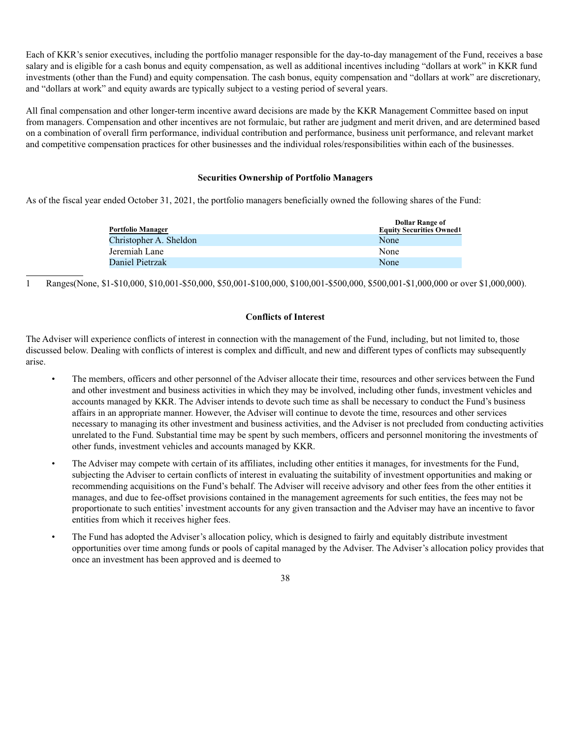Each of KKR's senior executives, including the portfolio manager responsible for the day-to-day management of the Fund, receives a base salary and is eligible for a cash bonus and equity compensation, as well as additional incentives including "dollars at work" in KKR fund investments (other than the Fund) and equity compensation. The cash bonus, equity compensation and "dollars at work" are discretionary, and "dollars at work" and equity awards are typically subject to a vesting period of several years.

All final compensation and other longer-term incentive award decisions are made by the KKR Management Committee based on input from managers. Compensation and other incentives are not formulaic, but rather are judgment and merit driven, and are determined based on a combination of overall firm performance, individual contribution and performance, business unit performance, and relevant market and competitive compensation practices for other businesses and the individual roles/responsibilities within each of the businesses.

# **Securities Ownership of Portfolio Managers**

As of the fiscal year ended October 31, 2021, the portfolio managers beneficially owned the following shares of the Fund:

| <b>Portfolio Manager</b> | <b>Dollar Range of</b><br><b>Equity Securities Owned1</b> |
|--------------------------|-----------------------------------------------------------|
| Christopher A. Sheldon   | None                                                      |
| Jeremiah Lane            | None                                                      |
| Daniel Pietrzak          | None                                                      |

1 Ranges(None, \$1-\$10,000, \$10,001-\$50,000, \$50,001-\$100,000, \$100,001-\$500,000, \$500,001-\$1,000,000 or over \$1,000,000).

# **Conflicts of Interest**

The Adviser will experience conflicts of interest in connection with the management of the Fund, including, but not limited to, those discussed below. Dealing with conflicts of interest is complex and difficult, and new and different types of conflicts may subsequently arise.

- The members, officers and other personnel of the Adviser allocate their time, resources and other services between the Fund and other investment and business activities in which they may be involved, including other funds, investment vehicles and accounts managed by KKR. The Adviser intends to devote such time as shall be necessary to conduct the Fund's business affairs in an appropriate manner. However, the Adviser will continue to devote the time, resources and other services necessary to managing its other investment and business activities, and the Adviser is not precluded from conducting activities unrelated to the Fund. Substantial time may be spent by such members, officers and personnel monitoring the investments of other funds, investment vehicles and accounts managed by KKR.
- The Adviser may compete with certain of its affiliates, including other entities it manages, for investments for the Fund, subjecting the Adviser to certain conflicts of interest in evaluating the suitability of investment opportunities and making or recommending acquisitions on the Fund's behalf. The Adviser will receive advisory and other fees from the other entities it manages, and due to fee-offset provisions contained in the management agreements for such entities, the fees may not be proportionate to such entities' investment accounts for any given transaction and the Adviser may have an incentive to favor entities from which it receives higher fees.
- The Fund has adopted the Adviser's allocation policy, which is designed to fairly and equitably distribute investment opportunities over time among funds or pools of capital managed by the Adviser. The Adviser's allocation policy provides that once an investment has been approved and is deemed to
	- 38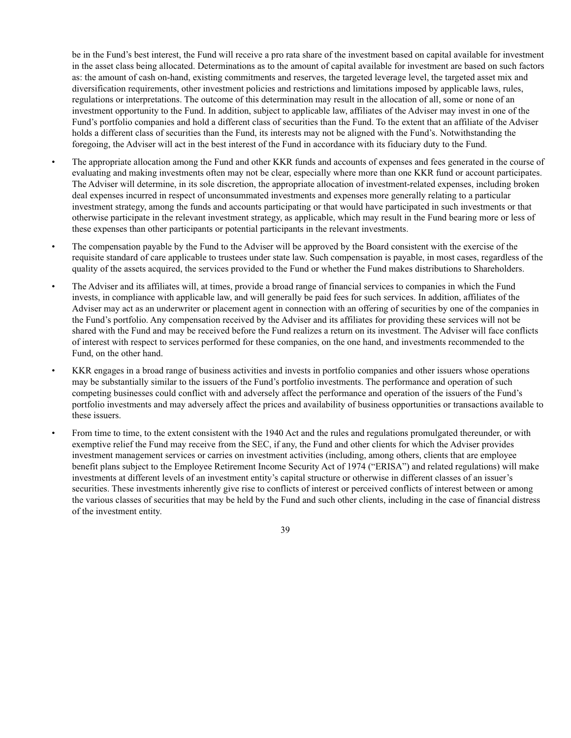be in the Fund's best interest, the Fund will receive a pro rata share of the investment based on capital available for investment in the asset class being allocated. Determinations as to the amount of capital available for investment are based on such factors as: the amount of cash on-hand, existing commitments and reserves, the targeted leverage level, the targeted asset mix and diversification requirements, other investment policies and restrictions and limitations imposed by applicable laws, rules, regulations or interpretations. The outcome of this determination may result in the allocation of all, some or none of an investment opportunity to the Fund. In addition, subject to applicable law, affiliates of the Adviser may invest in one of the Fund's portfolio companies and hold a different class of securities than the Fund. To the extent that an affiliate of the Adviser holds a different class of securities than the Fund, its interests may not be aligned with the Fund's. Notwithstanding the foregoing, the Adviser will act in the best interest of the Fund in accordance with its fiduciary duty to the Fund.

- The appropriate allocation among the Fund and other KKR funds and accounts of expenses and fees generated in the course of evaluating and making investments often may not be clear, especially where more than one KKR fund or account participates. The Adviser will determine, in its sole discretion, the appropriate allocation of investment-related expenses, including broken deal expenses incurred in respect of unconsummated investments and expenses more generally relating to a particular investment strategy, among the funds and accounts participating or that would have participated in such investments or that otherwise participate in the relevant investment strategy, as applicable, which may result in the Fund bearing more or less of these expenses than other participants or potential participants in the relevant investments.
- The compensation payable by the Fund to the Adviser will be approved by the Board consistent with the exercise of the requisite standard of care applicable to trustees under state law. Such compensation is payable, in most cases, regardless of the quality of the assets acquired, the services provided to the Fund or whether the Fund makes distributions to Shareholders.
- The Adviser and its affiliates will, at times, provide a broad range of financial services to companies in which the Fund invests, in compliance with applicable law, and will generally be paid fees for such services. In addition, affiliates of the Adviser may act as an underwriter or placement agent in connection with an offering of securities by one of the companies in the Fund's portfolio. Any compensation received by the Adviser and its affiliates for providing these services will not be shared with the Fund and may be received before the Fund realizes a return on its investment. The Adviser will face conflicts of interest with respect to services performed for these companies, on the one hand, and investments recommended to the Fund, on the other hand.
- KKR engages in a broad range of business activities and invests in portfolio companies and other issuers whose operations may be substantially similar to the issuers of the Fund's portfolio investments. The performance and operation of such competing businesses could conflict with and adversely affect the performance and operation of the issuers of the Fund's portfolio investments and may adversely affect the prices and availability of business opportunities or transactions available to these issuers.
- From time to time, to the extent consistent with the 1940 Act and the rules and regulations promulgated thereunder, or with exemptive relief the Fund may receive from the SEC, if any, the Fund and other clients for which the Adviser provides investment management services or carries on investment activities (including, among others, clients that are employee benefit plans subject to the Employee Retirement Income Security Act of 1974 ("ERISA") and related regulations) will make investments at different levels of an investment entity's capital structure or otherwise in different classes of an issuer's securities. These investments inherently give rise to conflicts of interest or perceived conflicts of interest between or among the various classes of securities that may be held by the Fund and such other clients, including in the case of financial distress of the investment entity.
	- 39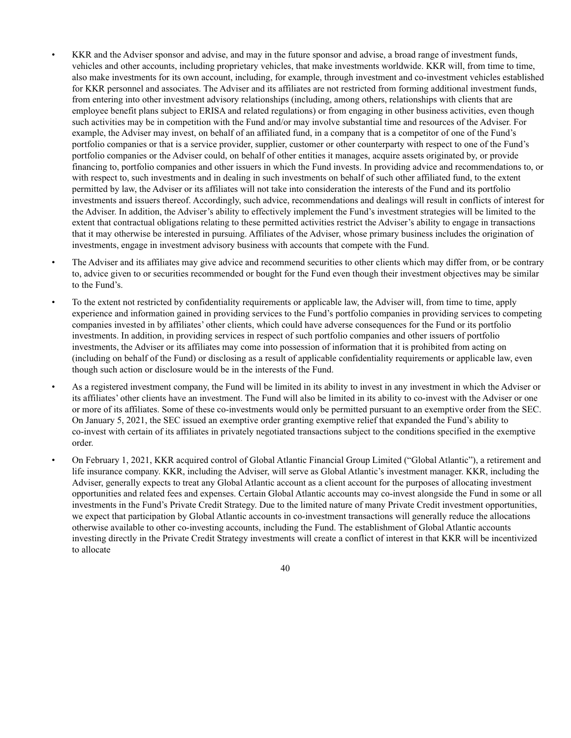- KKR and the Adviser sponsor and advise, and may in the future sponsor and advise, a broad range of investment funds, vehicles and other accounts, including proprietary vehicles, that make investments worldwide. KKR will, from time to time, also make investments for its own account, including, for example, through investment and co-investment vehicles established for KKR personnel and associates. The Adviser and its affiliates are not restricted from forming additional investment funds, from entering into other investment advisory relationships (including, among others, relationships with clients that are employee benefit plans subject to ERISA and related regulations) or from engaging in other business activities, even though such activities may be in competition with the Fund and/or may involve substantial time and resources of the Adviser. For example, the Adviser may invest, on behalf of an affiliated fund, in a company that is a competitor of one of the Fund's portfolio companies or that is a service provider, supplier, customer or other counterparty with respect to one of the Fund's portfolio companies or the Adviser could, on behalf of other entities it manages, acquire assets originated by, or provide financing to, portfolio companies and other issuers in which the Fund invests. In providing advice and recommendations to, or with respect to, such investments and in dealing in such investments on behalf of such other affiliated fund, to the extent permitted by law, the Adviser or its affiliates will not take into consideration the interests of the Fund and its portfolio investments and issuers thereof. Accordingly, such advice, recommendations and dealings will result in conflicts of interest for the Adviser. In addition, the Adviser's ability to effectively implement the Fund's investment strategies will be limited to the extent that contractual obligations relating to these permitted activities restrict the Adviser's ability to engage in transactions that it may otherwise be interested in pursuing. Affiliates of the Adviser, whose primary business includes the origination of investments, engage in investment advisory business with accounts that compete with the Fund.
- The Adviser and its affiliates may give advice and recommend securities to other clients which may differ from, or be contrary to, advice given to or securities recommended or bought for the Fund even though their investment objectives may be similar to the Fund's.
- To the extent not restricted by confidentiality requirements or applicable law, the Adviser will, from time to time, apply experience and information gained in providing services to the Fund's portfolio companies in providing services to competing companies invested in by affiliates' other clients, which could have adverse consequences for the Fund or its portfolio investments. In addition, in providing services in respect of such portfolio companies and other issuers of portfolio investments, the Adviser or its affiliates may come into possession of information that it is prohibited from acting on (including on behalf of the Fund) or disclosing as a result of applicable confidentiality requirements or applicable law, even though such action or disclosure would be in the interests of the Fund.
- As a registered investment company, the Fund will be limited in its ability to invest in any investment in which the Adviser or its affiliates' other clients have an investment. The Fund will also be limited in its ability to co-invest with the Adviser or one or more of its affiliates. Some of these co-investments would only be permitted pursuant to an exemptive order from the SEC. On January 5, 2021, the SEC issued an exemptive order granting exemptive relief that expanded the Fund's ability to co-invest with certain of its affiliates in privately negotiated transactions subject to the conditions specified in the exemptive order.
- On February 1, 2021, KKR acquired control of Global Atlantic Financial Group Limited ("Global Atlantic"), a retirement and life insurance company. KKR, including the Adviser, will serve as Global Atlantic's investment manager. KKR, including the Adviser, generally expects to treat any Global Atlantic account as a client account for the purposes of allocating investment opportunities and related fees and expenses. Certain Global Atlantic accounts may co-invest alongside the Fund in some or all investments in the Fund's Private Credit Strategy. Due to the limited nature of many Private Credit investment opportunities, we expect that participation by Global Atlantic accounts in co-investment transactions will generally reduce the allocations otherwise available to other co-investing accounts, including the Fund. The establishment of Global Atlantic accounts investing directly in the Private Credit Strategy investments will create a conflict of interest in that KKR will be incentivized to allocate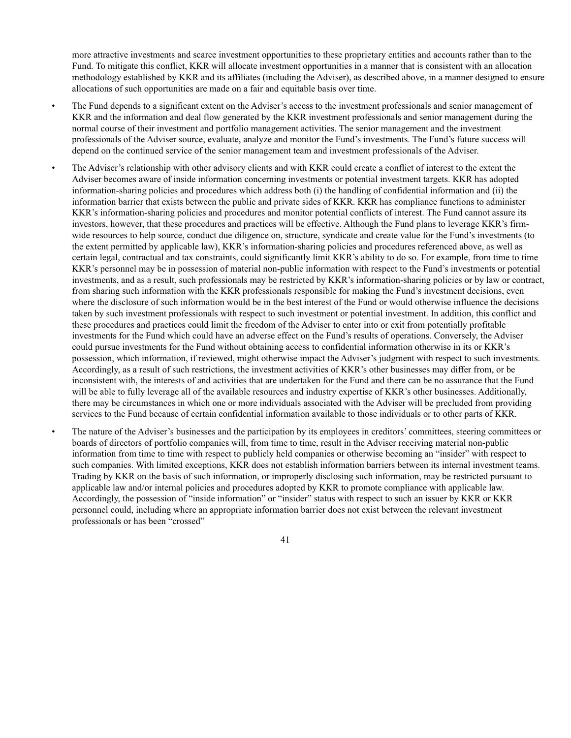more attractive investments and scarce investment opportunities to these proprietary entities and accounts rather than to the Fund. To mitigate this conflict, KKR will allocate investment opportunities in a manner that is consistent with an allocation methodology established by KKR and its affiliates (including the Adviser), as described above, in a manner designed to ensure allocations of such opportunities are made on a fair and equitable basis over time.

- The Fund depends to a significant extent on the Adviser's access to the investment professionals and senior management of KKR and the information and deal flow generated by the KKR investment professionals and senior management during the normal course of their investment and portfolio management activities. The senior management and the investment professionals of the Adviser source, evaluate, analyze and monitor the Fund's investments. The Fund's future success will depend on the continued service of the senior management team and investment professionals of the Adviser.
- The Adviser's relationship with other advisory clients and with KKR could create a conflict of interest to the extent the Adviser becomes aware of inside information concerning investments or potential investment targets. KKR has adopted information-sharing policies and procedures which address both (i) the handling of confidential information and (ii) the information barrier that exists between the public and private sides of KKR. KKR has compliance functions to administer KKR's information-sharing policies and procedures and monitor potential conflicts of interest. The Fund cannot assure its investors, however, that these procedures and practices will be effective. Although the Fund plans to leverage KKR's firmwide resources to help source, conduct due diligence on, structure, syndicate and create value for the Fund's investments (to the extent permitted by applicable law), KKR's information-sharing policies and procedures referenced above, as well as certain legal, contractual and tax constraints, could significantly limit KKR's ability to do so. For example, from time to time KKR's personnel may be in possession of material non-public information with respect to the Fund's investments or potential investments, and as a result, such professionals may be restricted by KKR's information-sharing policies or by law or contract, from sharing such information with the KKR professionals responsible for making the Fund's investment decisions, even where the disclosure of such information would be in the best interest of the Fund or would otherwise influence the decisions taken by such investment professionals with respect to such investment or potential investment. In addition, this conflict and these procedures and practices could limit the freedom of the Adviser to enter into or exit from potentially profitable investments for the Fund which could have an adverse effect on the Fund's results of operations. Conversely, the Adviser could pursue investments for the Fund without obtaining access to confidential information otherwise in its or KKR's possession, which information, if reviewed, might otherwise impact the Adviser's judgment with respect to such investments. Accordingly, as a result of such restrictions, the investment activities of KKR's other businesses may differ from, or be inconsistent with, the interests of and activities that are undertaken for the Fund and there can be no assurance that the Fund will be able to fully leverage all of the available resources and industry expertise of KKR's other businesses. Additionally, there may be circumstances in which one or more individuals associated with the Adviser will be precluded from providing services to the Fund because of certain confidential information available to those individuals or to other parts of KKR.

• The nature of the Adviser's businesses and the participation by its employees in creditors' committees, steering committees or boards of directors of portfolio companies will, from time to time, result in the Adviser receiving material non-public information from time to time with respect to publicly held companies or otherwise becoming an "insider" with respect to such companies. With limited exceptions, KKR does not establish information barriers between its internal investment teams. Trading by KKR on the basis of such information, or improperly disclosing such information, may be restricted pursuant to applicable law and/or internal policies and procedures adopted by KKR to promote compliance with applicable law. Accordingly, the possession of "inside information" or "insider" status with respect to such an issuer by KKR or KKR personnel could, including where an appropriate information barrier does not exist between the relevant investment professionals or has been "crossed"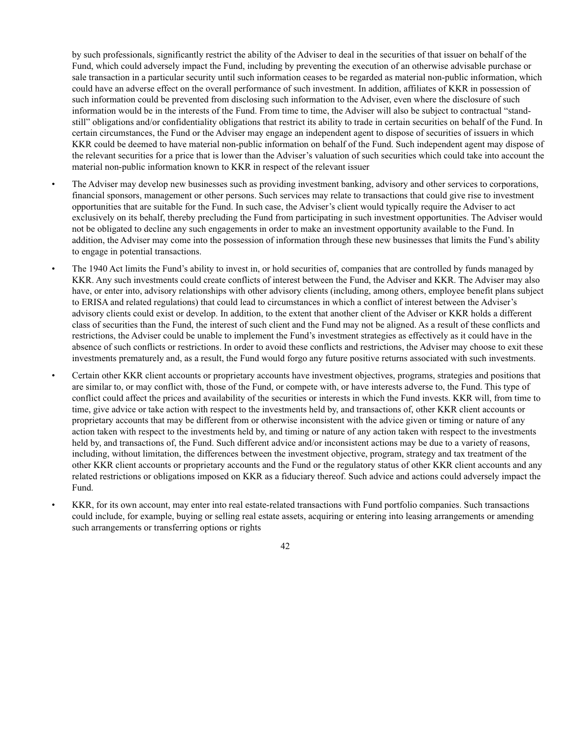by such professionals, significantly restrict the ability of the Adviser to deal in the securities of that issuer on behalf of the Fund, which could adversely impact the Fund, including by preventing the execution of an otherwise advisable purchase or sale transaction in a particular security until such information ceases to be regarded as material non-public information, which could have an adverse effect on the overall performance of such investment. In addition, affiliates of KKR in possession of such information could be prevented from disclosing such information to the Adviser, even where the disclosure of such information would be in the interests of the Fund. From time to time, the Adviser will also be subject to contractual "standstill" obligations and/or confidentiality obligations that restrict its ability to trade in certain securities on behalf of the Fund. In certain circumstances, the Fund or the Adviser may engage an independent agent to dispose of securities of issuers in which KKR could be deemed to have material non-public information on behalf of the Fund. Such independent agent may dispose of the relevant securities for a price that is lower than the Adviser's valuation of such securities which could take into account the material non-public information known to KKR in respect of the relevant issuer

- The Adviser may develop new businesses such as providing investment banking, advisory and other services to corporations, financial sponsors, management or other persons. Such services may relate to transactions that could give rise to investment opportunities that are suitable for the Fund. In such case, the Adviser's client would typically require the Adviser to act exclusively on its behalf, thereby precluding the Fund from participating in such investment opportunities. The Adviser would not be obligated to decline any such engagements in order to make an investment opportunity available to the Fund. In addition, the Adviser may come into the possession of information through these new businesses that limits the Fund's ability to engage in potential transactions.
- The 1940 Act limits the Fund's ability to invest in, or hold securities of, companies that are controlled by funds managed by KKR. Any such investments could create conflicts of interest between the Fund, the Adviser and KKR. The Adviser may also have, or enter into, advisory relationships with other advisory clients (including, among others, employee benefit plans subject to ERISA and related regulations) that could lead to circumstances in which a conflict of interest between the Adviser's advisory clients could exist or develop. In addition, to the extent that another client of the Adviser or KKR holds a different class of securities than the Fund, the interest of such client and the Fund may not be aligned. As a result of these conflicts and restrictions, the Adviser could be unable to implement the Fund's investment strategies as effectively as it could have in the absence of such conflicts or restrictions. In order to avoid these conflicts and restrictions, the Adviser may choose to exit these investments prematurely and, as a result, the Fund would forgo any future positive returns associated with such investments.
- Certain other KKR client accounts or proprietary accounts have investment objectives, programs, strategies and positions that are similar to, or may conflict with, those of the Fund, or compete with, or have interests adverse to, the Fund. This type of conflict could affect the prices and availability of the securities or interests in which the Fund invests. KKR will, from time to time, give advice or take action with respect to the investments held by, and transactions of, other KKR client accounts or proprietary accounts that may be different from or otherwise inconsistent with the advice given or timing or nature of any action taken with respect to the investments held by, and timing or nature of any action taken with respect to the investments held by, and transactions of, the Fund. Such different advice and/or inconsistent actions may be due to a variety of reasons, including, without limitation, the differences between the investment objective, program, strategy and tax treatment of the other KKR client accounts or proprietary accounts and the Fund or the regulatory status of other KKR client accounts and any related restrictions or obligations imposed on KKR as a fiduciary thereof. Such advice and actions could adversely impact the Fund.
- KKR, for its own account, may enter into real estate-related transactions with Fund portfolio companies. Such transactions could include, for example, buying or selling real estate assets, acquiring or entering into leasing arrangements or amending such arrangements or transferring options or rights
	- 42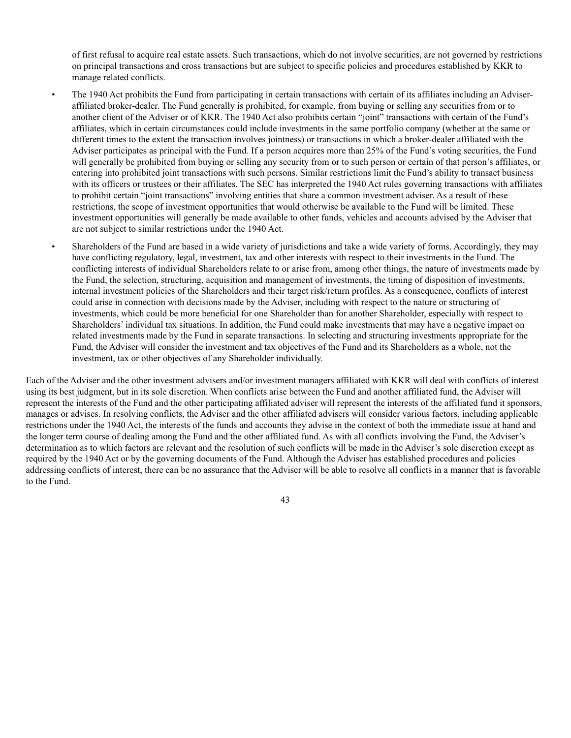of first refusal to acquire real estate assets. Such transactions, which do not involve securities, are not governed by restrictions on principal transactions and cross transactions but are subject to specific policies and procedures established by KKR to manage related conflicts.

- The 1940 Act prohibits the Fund from participating in certain transactions with certain of its affiliates including an Adviseraffiliated broker-dealer. The Fund generally is prohibited, for example, from buying or selling any securities from or to another client of the Adviser or of KKR. The 1940 Act also prohibits certain "joint" transactions with certain of the Fund's affiliates, which in certain circumstances could include investments in the same portfolio company (whether at the same or different times to the extent the transaction involves jointness) or transactions in which a broker-dealer affiliated with the Adviser participates as principal with the Fund. If a person acquires more than 25% of the Fund's voting securities, the Fund will generally be prohibited from buying or selling any security from or to such person or certain of that person's affiliates, or entering into prohibited joint transactions with such persons. Similar restrictions limit the Fund's ability to transact business with its officers or trustees or their affiliates. The SEC has interpreted the 1940 Act rules governing transactions with affiliates to prohibit certain "joint transactions" involving entities that share a common investment adviser. As a result of these restrictions, the scope of investment opportunities that would otherwise be available to the Fund will be limited. These investment opportunities will generally be made available to other funds, vehicles and accounts advised by the Adviser that are not subject to similar restrictions under the 1940 Act.
- Shareholders of the Fund are based in a wide variety of jurisdictions and take a wide variety of forms. Accordingly, they may have conflicting regulatory, legal, investment, tax and other interests with respect to their investments in the Fund. The conflicting interests of individual Shareholders relate to or arise from, among other things, the nature of investments made by the Fund, the selection, structuring, acquisition and management of investments, the timing of disposition of investments, internal investment policies of the Shareholders and their target risk/return profiles. As a consequence, conflicts of interest could arise in connection with decisions made by the Adviser, including with respect to the nature or structuring of investments, which could be more beneficial for one Shareholder than for another Shareholder, especially with respect to Shareholders' individual tax situations. In addition, the Fund could make investments that may have a negative impact on related investments made by the Fund in separate transactions. In selecting and structuring investments appropriate for the Fund, the Adviser will consider the investment and tax objectives of the Fund and its Shareholders as a whole, not the investment, tax or other objectives of any Shareholder individually.

Each of the Adviser and the other investment advisers and/or investment managers affiliated with KKR will deal with conflicts of interest using its best judgment, but in its sole discretion. When conflicts arise between the Fund and another affiliated fund, the Adviser will represent the interests of the Fund and the other participating affiliated adviser will represent the interests of the affiliated fund it sponsors, manages or advises. In resolving conflicts, the Adviser and the other affiliated advisers will consider various factors, including applicable restrictions under the 1940 Act, the interests of the funds and accounts they advise in the context of both the immediate issue at hand and the longer term course of dealing among the Fund and the other affiliated fund. As with all conflicts involving the Fund, the Adviser's determination as to which factors are relevant and the resolution of such conflicts will be made in the Adviser's sole discretion except as required by the 1940 Act or by the governing documents of the Fund. Although the Adviser has established procedures and policies addressing conflicts of interest, there can be no assurance that the Adviser will be able to resolve all conflicts in a manner that is favorable to the Fund.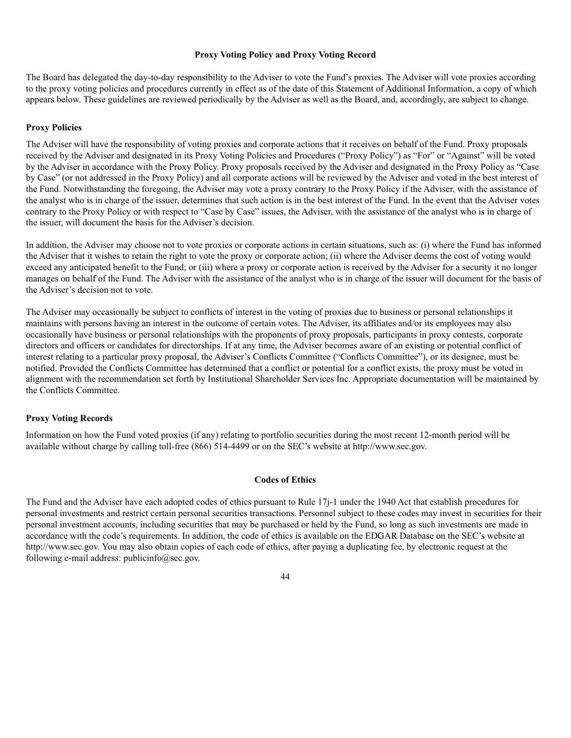#### **Proxy Voting Policy and Proxy Voting Record**

The Board has delegated the day-to-day responsibility to the Adviser to vote the Fund's proxies. The Adviser will vote proxies according to the proxy voting policies and procedures currently in effect as of the date of this Statement of Additional Information, a copy of which appears below. These guidelines are reviewed periodically by the Adviser as well as the Board, and, accordingly, are subject to change.

#### **Proxy Policies**

The Adviser will have the responsibility of voting proxies and corporate actions that it receives on behalf of the Fund. Proxy proposals received by the Adviser and designated in its Proxy Voting Policies and Procedures ("Proxy Policy") as "For" or "Against" will be voted by the Adviser in accordance with the Proxy Policy. Proxy proposals received by the Adviser and designated in the Proxy Policy as "Case by Case" (or not addressed in the Proxy Policy) and all corporate actions will be reviewed by the Adviser and voted in the best interest of the Fund. Notwithstanding the foregoing, the Adviser may vote a proxy contrary to the Proxy Policy if the Adviser, with the assistance of the analyst who is in charge of the issuer, determines that such action is in the best interest of the Fund. In the event that the Adviser votes contrary to the Proxy Policy or with respect to "Case by Case" issues, the Adviser, with the assistance of the analyst who is in charge of the issuer, will document the basis for the Adviser's decision.

In addition, the Adviser may choose not to vote proxies or corporate actions in certain situations, such as: (i) where the Fund has informed the Adviser that it wishes to retain the right to vote the proxy or corporate action; (ii) where the Adviser deems the cost of voting would exceed any anticipated benefit to the Fund; or (iii) where a proxy or corporate action is received by the Adviser for a security it no longer manages on behalf of the Fund. The Adviser with the assistance of the analyst who is in charge of the issuer will document for the basis of the Adviser's decision not to vote.

The Adviser may occasionally be subject to conflicts of interest in the voting of proxies due to business or personal relationships it maintains with persons having an interest in the outcome of certain votes. The Adviser, its affiliates and/or its employees may also occasionally have business or personal relationships with the proponents of proxy proposals, participants in proxy contests, corporate directors and officers or candidates for directorships. If at any time, the Adviser becomes aware of an existing or potential conflict of interest relating to a particular proxy proposal, the Adviser's Conflicts Committee ("Conflicts Committee"), or its designee, must be notified. Provided the Conflicts Committee has determined that a conflict or potential for a conflict exists, the proxy must be voted in alignment with the recommendation set forth by Institutional Shareholder Services Inc. Appropriate documentation will be maintained by the Conflicts Committee.

#### **Proxy Voting Records**

Information on how the Fund voted proxies (if any) relating to portfolio securities during the most recent 12-month period will be available without charge by calling toll-free (866) 514-4499 or on the SEC's website at http://www.sec.gov.

#### **Codes of Ethics**

The Fund and the Adviser have each adopted codes of ethics pursuant to Rule 17j-1 under the 1940 Act that establish procedures for personal investments and restrict certain personal securities transactions. Personnel subject to these codes may invest in securities for their personal investment accounts, including securities that may be purchased or held by the Fund, so long as such investments are made in accordance with the code's requirements. In addition, the code of ethics is available on the EDGAR Database on the SEC's website at http://www.sec.gov. You may also obtain copies of each code of ethics, after paying a duplicating fee, by electronic request at the following e-mail address: publicinfo@sec.gov.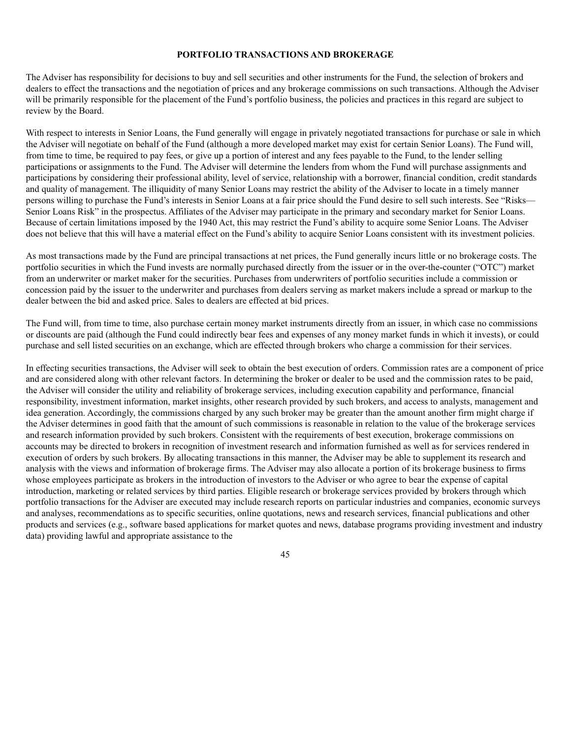#### **PORTFOLIO TRANSACTIONS AND BROKERAGE**

The Adviser has responsibility for decisions to buy and sell securities and other instruments for the Fund, the selection of brokers and dealers to effect the transactions and the negotiation of prices and any brokerage commissions on such transactions. Although the Adviser will be primarily responsible for the placement of the Fund's portfolio business, the policies and practices in this regard are subject to review by the Board.

With respect to interests in Senior Loans, the Fund generally will engage in privately negotiated transactions for purchase or sale in which the Adviser will negotiate on behalf of the Fund (although a more developed market may exist for certain Senior Loans). The Fund will, from time to time, be required to pay fees, or give up a portion of interest and any fees payable to the Fund, to the lender selling participations or assignments to the Fund. The Adviser will determine the lenders from whom the Fund will purchase assignments and participations by considering their professional ability, level of service, relationship with a borrower, financial condition, credit standards and quality of management. The illiquidity of many Senior Loans may restrict the ability of the Adviser to locate in a timely manner persons willing to purchase the Fund's interests in Senior Loans at a fair price should the Fund desire to sell such interests. See "Risks— Senior Loans Risk" in the prospectus. Affiliates of the Adviser may participate in the primary and secondary market for Senior Loans. Because of certain limitations imposed by the 1940 Act, this may restrict the Fund's ability to acquire some Senior Loans. The Adviser does not believe that this will have a material effect on the Fund's ability to acquire Senior Loans consistent with its investment policies.

As most transactions made by the Fund are principal transactions at net prices, the Fund generally incurs little or no brokerage costs. The portfolio securities in which the Fund invests are normally purchased directly from the issuer or in the over-the-counter ("OTC") market from an underwriter or market maker for the securities. Purchases from underwriters of portfolio securities include a commission or concession paid by the issuer to the underwriter and purchases from dealers serving as market makers include a spread or markup to the dealer between the bid and asked price. Sales to dealers are effected at bid prices.

The Fund will, from time to time, also purchase certain money market instruments directly from an issuer, in which case no commissions or discounts are paid (although the Fund could indirectly bear fees and expenses of any money market funds in which it invests), or could purchase and sell listed securities on an exchange, which are effected through brokers who charge a commission for their services.

In effecting securities transactions, the Adviser will seek to obtain the best execution of orders. Commission rates are a component of price and are considered along with other relevant factors. In determining the broker or dealer to be used and the commission rates to be paid, the Adviser will consider the utility and reliability of brokerage services, including execution capability and performance, financial responsibility, investment information, market insights, other research provided by such brokers, and access to analysts, management and idea generation. Accordingly, the commissions charged by any such broker may be greater than the amount another firm might charge if the Adviser determines in good faith that the amount of such commissions is reasonable in relation to the value of the brokerage services and research information provided by such brokers. Consistent with the requirements of best execution, brokerage commissions on accounts may be directed to brokers in recognition of investment research and information furnished as well as for services rendered in execution of orders by such brokers. By allocating transactions in this manner, the Adviser may be able to supplement its research and analysis with the views and information of brokerage firms. The Adviser may also allocate a portion of its brokerage business to firms whose employees participate as brokers in the introduction of investors to the Adviser or who agree to bear the expense of capital introduction, marketing or related services by third parties. Eligible research or brokerage services provided by brokers through which portfolio transactions for the Adviser are executed may include research reports on particular industries and companies, economic surveys and analyses, recommendations as to specific securities, online quotations, news and research services, financial publications and other products and services (e.g., software based applications for market quotes and news, database programs providing investment and industry data) providing lawful and appropriate assistance to the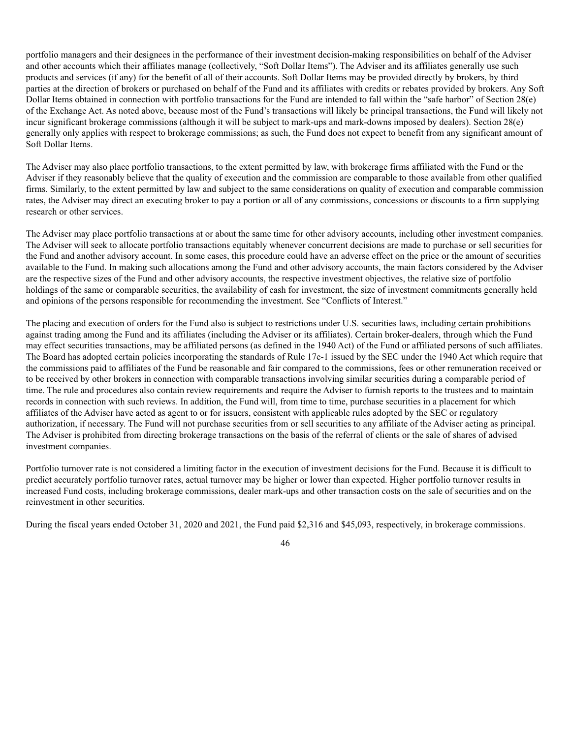portfolio managers and their designees in the performance of their investment decision-making responsibilities on behalf of the Adviser and other accounts which their affiliates manage (collectively, "Soft Dollar Items"). The Adviser and its affiliates generally use such products and services (if any) for the benefit of all of their accounts. Soft Dollar Items may be provided directly by brokers, by third parties at the direction of brokers or purchased on behalf of the Fund and its affiliates with credits or rebates provided by brokers. Any Soft Dollar Items obtained in connection with portfolio transactions for the Fund are intended to fall within the "safe harbor" of Section 28(e) of the Exchange Act. As noted above, because most of the Fund's transactions will likely be principal transactions, the Fund will likely not incur significant brokerage commissions (although it will be subject to mark-ups and mark-downs imposed by dealers). Section 28(e) generally only applies with respect to brokerage commissions; as such, the Fund does not expect to benefit from any significant amount of Soft Dollar Items.

The Adviser may also place portfolio transactions, to the extent permitted by law, with brokerage firms affiliated with the Fund or the Adviser if they reasonably believe that the quality of execution and the commission are comparable to those available from other qualified firms. Similarly, to the extent permitted by law and subject to the same considerations on quality of execution and comparable commission rates, the Adviser may direct an executing broker to pay a portion or all of any commissions, concessions or discounts to a firm supplying research or other services.

The Adviser may place portfolio transactions at or about the same time for other advisory accounts, including other investment companies. The Adviser will seek to allocate portfolio transactions equitably whenever concurrent decisions are made to purchase or sell securities for the Fund and another advisory account. In some cases, this procedure could have an adverse effect on the price or the amount of securities available to the Fund. In making such allocations among the Fund and other advisory accounts, the main factors considered by the Adviser are the respective sizes of the Fund and other advisory accounts, the respective investment objectives, the relative size of portfolio holdings of the same or comparable securities, the availability of cash for investment, the size of investment commitments generally held and opinions of the persons responsible for recommending the investment. See "Conflicts of Interest."

The placing and execution of orders for the Fund also is subject to restrictions under U.S. securities laws, including certain prohibitions against trading among the Fund and its affiliates (including the Adviser or its affiliates). Certain broker-dealers, through which the Fund may effect securities transactions, may be affiliated persons (as defined in the 1940 Act) of the Fund or affiliated persons of such affiliates. The Board has adopted certain policies incorporating the standards of Rule 17e-1 issued by the SEC under the 1940 Act which require that the commissions paid to affiliates of the Fund be reasonable and fair compared to the commissions, fees or other remuneration received or to be received by other brokers in connection with comparable transactions involving similar securities during a comparable period of time. The rule and procedures also contain review requirements and require the Adviser to furnish reports to the trustees and to maintain records in connection with such reviews. In addition, the Fund will, from time to time, purchase securities in a placement for which affiliates of the Adviser have acted as agent to or for issuers, consistent with applicable rules adopted by the SEC or regulatory authorization, if necessary. The Fund will not purchase securities from or sell securities to any affiliate of the Adviser acting as principal. The Adviser is prohibited from directing brokerage transactions on the basis of the referral of clients or the sale of shares of advised investment companies.

Portfolio turnover rate is not considered a limiting factor in the execution of investment decisions for the Fund. Because it is difficult to predict accurately portfolio turnover rates, actual turnover may be higher or lower than expected. Higher portfolio turnover results in increased Fund costs, including brokerage commissions, dealer mark-ups and other transaction costs on the sale of securities and on the reinvestment in other securities.

During the fiscal years ended October 31, 2020 and 2021, the Fund paid \$2,316 and \$45,093, respectively, in brokerage commissions.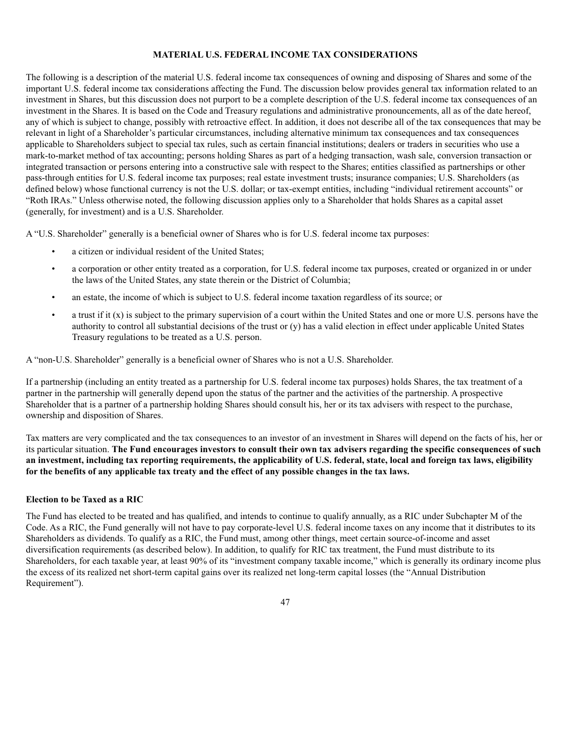#### **MATERIAL U.S. FEDERAL INCOME TAX CONSIDERATIONS**

The following is a description of the material U.S. federal income tax consequences of owning and disposing of Shares and some of the important U.S. federal income tax considerations affecting the Fund. The discussion below provides general tax information related to an investment in Shares, but this discussion does not purport to be a complete description of the U.S. federal income tax consequences of an investment in the Shares. It is based on the Code and Treasury regulations and administrative pronouncements, all as of the date hereof, any of which is subject to change, possibly with retroactive effect. In addition, it does not describe all of the tax consequences that may be relevant in light of a Shareholder's particular circumstances, including alternative minimum tax consequences and tax consequences applicable to Shareholders subject to special tax rules, such as certain financial institutions; dealers or traders in securities who use a mark-to-market method of tax accounting; persons holding Shares as part of a hedging transaction, wash sale, conversion transaction or integrated transaction or persons entering into a constructive sale with respect to the Shares; entities classified as partnerships or other pass-through entities for U.S. federal income tax purposes; real estate investment trusts; insurance companies; U.S. Shareholders (as defined below) whose functional currency is not the U.S. dollar; or tax-exempt entities, including "individual retirement accounts" or "Roth IRAs." Unless otherwise noted, the following discussion applies only to a Shareholder that holds Shares as a capital asset (generally, for investment) and is a U.S. Shareholder.

A "U.S. Shareholder" generally is a beneficial owner of Shares who is for U.S. federal income tax purposes:

- a citizen or individual resident of the United States;
- a corporation or other entity treated as a corporation, for U.S. federal income tax purposes, created or organized in or under the laws of the United States, any state therein or the District of Columbia;
- an estate, the income of which is subject to U.S. federal income taxation regardless of its source; or
- a trust if it (x) is subject to the primary supervision of a court within the United States and one or more U.S. persons have the authority to control all substantial decisions of the trust or (y) has a valid election in effect under applicable United States Treasury regulations to be treated as a U.S. person.

A "non-U.S. Shareholder" generally is a beneficial owner of Shares who is not a U.S. Shareholder.

If a partnership (including an entity treated as a partnership for U.S. federal income tax purposes) holds Shares, the tax treatment of a partner in the partnership will generally depend upon the status of the partner and the activities of the partnership. A prospective Shareholder that is a partner of a partnership holding Shares should consult his, her or its tax advisers with respect to the purchase, ownership and disposition of Shares.

Tax matters are very complicated and the tax consequences to an investor of an investment in Shares will depend on the facts of his, her or its particular situation. **The Fund encourages investors to consult their own tax advisers regarding the specific consequences of such an investment, including tax reporting requirements, the applicability of U.S. federal, state, local and foreign tax laws, eligibility for the benefits of any applicable tax treaty and the effect of any possible changes in the tax laws.**

# **Election to be Taxed as a RIC**

The Fund has elected to be treated and has qualified, and intends to continue to qualify annually, as a RIC under Subchapter M of the Code. As a RIC, the Fund generally will not have to pay corporate-level U.S. federal income taxes on any income that it distributes to its Shareholders as dividends. To qualify as a RIC, the Fund must, among other things, meet certain source-of-income and asset diversification requirements (as described below). In addition, to qualify for RIC tax treatment, the Fund must distribute to its Shareholders, for each taxable year, at least 90% of its "investment company taxable income," which is generally its ordinary income plus the excess of its realized net short-term capital gains over its realized net long-term capital losses (the "Annual Distribution Requirement").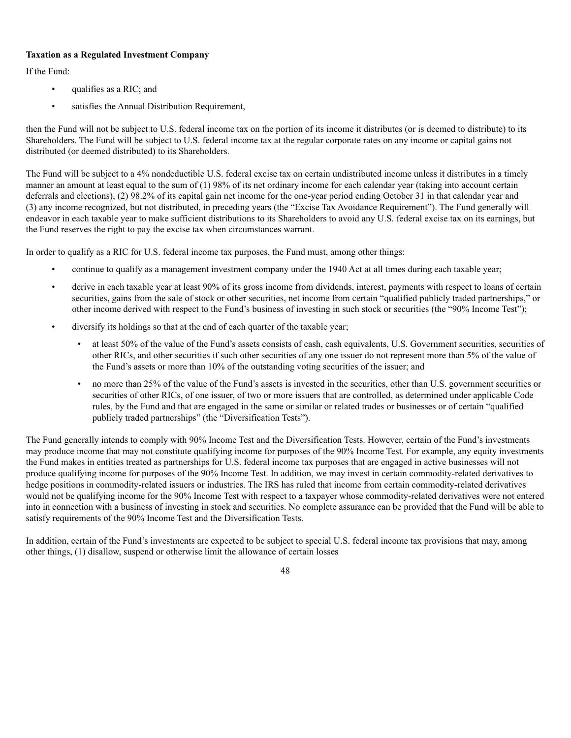# **Taxation as a Regulated Investment Company**

If the Fund:

- qualifies as a RIC; and
- satisfies the Annual Distribution Requirement,

then the Fund will not be subject to U.S. federal income tax on the portion of its income it distributes (or is deemed to distribute) to its Shareholders. The Fund will be subject to U.S. federal income tax at the regular corporate rates on any income or capital gains not distributed (or deemed distributed) to its Shareholders.

The Fund will be subject to a 4% nondeductible U.S. federal excise tax on certain undistributed income unless it distributes in a timely manner an amount at least equal to the sum of (1) 98% of its net ordinary income for each calendar year (taking into account certain deferrals and elections), (2) 98.2% of its capital gain net income for the one-year period ending October 31 in that calendar year and (3) any income recognized, but not distributed, in preceding years (the "Excise Tax Avoidance Requirement"). The Fund generally will endeavor in each taxable year to make sufficient distributions to its Shareholders to avoid any U.S. federal excise tax on its earnings, but the Fund reserves the right to pay the excise tax when circumstances warrant.

In order to qualify as a RIC for U.S. federal income tax purposes, the Fund must, among other things:

- continue to qualify as a management investment company under the 1940 Act at all times during each taxable year;
- derive in each taxable year at least 90% of its gross income from dividends, interest, payments with respect to loans of certain securities, gains from the sale of stock or other securities, net income from certain "qualified publicly traded partnerships," or other income derived with respect to the Fund's business of investing in such stock or securities (the "90% Income Test");
- diversify its holdings so that at the end of each quarter of the taxable year;
	- at least 50% of the value of the Fund's assets consists of cash, cash equivalents, U.S. Government securities, securities of other RICs, and other securities if such other securities of any one issuer do not represent more than 5% of the value of the Fund's assets or more than 10% of the outstanding voting securities of the issuer; and
	- no more than 25% of the value of the Fund's assets is invested in the securities, other than U.S. government securities or securities of other RICs, of one issuer, of two or more issuers that are controlled, as determined under applicable Code rules, by the Fund and that are engaged in the same or similar or related trades or businesses or of certain "qualified publicly traded partnerships" (the "Diversification Tests").

The Fund generally intends to comply with 90% Income Test and the Diversification Tests. However, certain of the Fund's investments may produce income that may not constitute qualifying income for purposes of the 90% Income Test. For example, any equity investments the Fund makes in entities treated as partnerships for U.S. federal income tax purposes that are engaged in active businesses will not produce qualifying income for purposes of the 90% Income Test. In addition, we may invest in certain commodity-related derivatives to hedge positions in commodity-related issuers or industries. The IRS has ruled that income from certain commodity-related derivatives would not be qualifying income for the 90% Income Test with respect to a taxpayer whose commodity-related derivatives were not entered into in connection with a business of investing in stock and securities. No complete assurance can be provided that the Fund will be able to satisfy requirements of the 90% Income Test and the Diversification Tests.

In addition, certain of the Fund's investments are expected to be subject to special U.S. federal income tax provisions that may, among other things, (1) disallow, suspend or otherwise limit the allowance of certain losses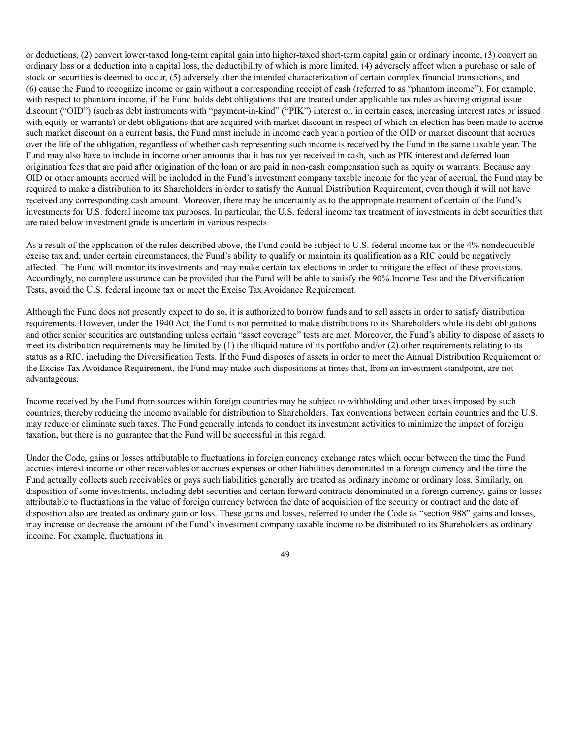or deductions, (2) convert lower-taxed long-term capital gain into higher-taxed short-term capital gain or ordinary income, (3) convert an ordinary loss or a deduction into a capital loss, the deductibility of which is more limited, (4) adversely affect when a purchase or sale of stock or securities is deemed to occur, (5) adversely alter the intended characterization of certain complex financial transactions, and (6) cause the Fund to recognize income or gain without a corresponding receipt of cash (referred to as "phantom income"). For example, with respect to phantom income, if the Fund holds debt obligations that are treated under applicable tax rules as having original issue discount ("OID") (such as debt instruments with "payment-in-kind" ("PIK") interest or, in certain cases, increasing interest rates or issued with equity or warrants) or debt obligations that are acquired with market discount in respect of which an election has been made to accrue such market discount on a current basis, the Fund must include in income each year a portion of the OID or market discount that accrues over the life of the obligation, regardless of whether cash representing such income is received by the Fund in the same taxable year. The Fund may also have to include in income other amounts that it has not yet received in cash, such as PIK interest and deferred loan origination fees that are paid after origination of the loan or are paid in non-cash compensation such as equity or warrants. Because any OID or other amounts accrued will be included in the Fund's investment company taxable income for the year of accrual, the Fund may be required to make a distribution to its Shareholders in order to satisfy the Annual Distribution Requirement, even though it will not have received any corresponding cash amount. Moreover, there may be uncertainty as to the appropriate treatment of certain of the Fund's investments for U.S. federal income tax purposes. In particular, the U.S. federal income tax treatment of investments in debt securities that are rated below investment grade is uncertain in various respects.

As a result of the application of the rules described above, the Fund could be subject to U.S. federal income tax or the 4% nondeductible excise tax and, under certain circumstances, the Fund's ability to qualify or maintain its qualification as a RIC could be negatively affected. The Fund will monitor its investments and may make certain tax elections in order to mitigate the effect of these provisions. Accordingly, no complete assurance can be provided that the Fund will be able to satisfy the 90% Income Test and the Diversification Tests, avoid the U.S. federal income tax or meet the Excise Tax Avoidance Requirement.

Although the Fund does not presently expect to do so, it is authorized to borrow funds and to sell assets in order to satisfy distribution requirements. However, under the 1940 Act, the Fund is not permitted to make distributions to its Shareholders while its debt obligations and other senior securities are outstanding unless certain "asset coverage" tests are met. Moreover, the Fund's ability to dispose of assets to meet its distribution requirements may be limited by (1) the illiquid nature of its portfolio and/or (2) other requirements relating to its status as a RIC, including the Diversification Tests. If the Fund disposes of assets in order to meet the Annual Distribution Requirement or the Excise Tax Avoidance Requirement, the Fund may make such dispositions at times that, from an investment standpoint, are not advantageous.

Income received by the Fund from sources within foreign countries may be subject to withholding and other taxes imposed by such countries, thereby reducing the income available for distribution to Shareholders. Tax conventions between certain countries and the U.S. may reduce or eliminate such taxes. The Fund generally intends to conduct its investment activities to minimize the impact of foreign taxation, but there is no guarantee that the Fund will be successful in this regard.

Under the Code, gains or losses attributable to fluctuations in foreign currency exchange rates which occur between the time the Fund accrues interest income or other receivables or accrues expenses or other liabilities denominated in a foreign currency and the time the Fund actually collects such receivables or pays such liabilities generally are treated as ordinary income or ordinary loss. Similarly, on disposition of some investments, including debt securities and certain forward contracts denominated in a foreign currency, gains or losses attributable to fluctuations in the value of foreign currency between the date of acquisition of the security or contract and the date of disposition also are treated as ordinary gain or loss. These gains and losses, referred to under the Code as "section 988" gains and losses, may increase or decrease the amount of the Fund's investment company taxable income to be distributed to its Shareholders as ordinary income. For example, fluctuations in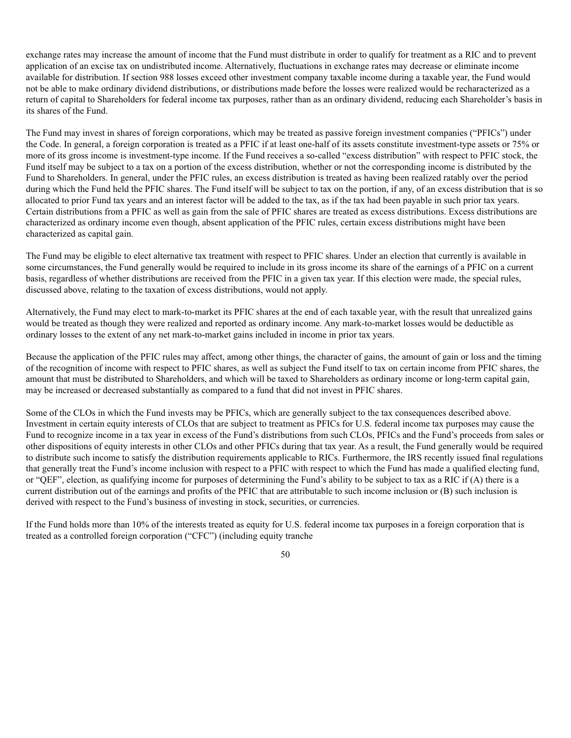exchange rates may increase the amount of income that the Fund must distribute in order to qualify for treatment as a RIC and to prevent application of an excise tax on undistributed income. Alternatively, fluctuations in exchange rates may decrease or eliminate income available for distribution. If section 988 losses exceed other investment company taxable income during a taxable year, the Fund would not be able to make ordinary dividend distributions, or distributions made before the losses were realized would be recharacterized as a return of capital to Shareholders for federal income tax purposes, rather than as an ordinary dividend, reducing each Shareholder's basis in its shares of the Fund.

The Fund may invest in shares of foreign corporations, which may be treated as passive foreign investment companies ("PFICs") under the Code. In general, a foreign corporation is treated as a PFIC if at least one-half of its assets constitute investment-type assets or 75% or more of its gross income is investment-type income. If the Fund receives a so-called "excess distribution" with respect to PFIC stock, the Fund itself may be subject to a tax on a portion of the excess distribution, whether or not the corresponding income is distributed by the Fund to Shareholders. In general, under the PFIC rules, an excess distribution is treated as having been realized ratably over the period during which the Fund held the PFIC shares. The Fund itself will be subject to tax on the portion, if any, of an excess distribution that is so allocated to prior Fund tax years and an interest factor will be added to the tax, as if the tax had been payable in such prior tax years. Certain distributions from a PFIC as well as gain from the sale of PFIC shares are treated as excess distributions. Excess distributions are characterized as ordinary income even though, absent application of the PFIC rules, certain excess distributions might have been characterized as capital gain.

The Fund may be eligible to elect alternative tax treatment with respect to PFIC shares. Under an election that currently is available in some circumstances, the Fund generally would be required to include in its gross income its share of the earnings of a PFIC on a current basis, regardless of whether distributions are received from the PFIC in a given tax year. If this election were made, the special rules, discussed above, relating to the taxation of excess distributions, would not apply.

Alternatively, the Fund may elect to mark-to-market its PFIC shares at the end of each taxable year, with the result that unrealized gains would be treated as though they were realized and reported as ordinary income. Any mark-to-market losses would be deductible as ordinary losses to the extent of any net mark-to-market gains included in income in prior tax years.

Because the application of the PFIC rules may affect, among other things, the character of gains, the amount of gain or loss and the timing of the recognition of income with respect to PFIC shares, as well as subject the Fund itself to tax on certain income from PFIC shares, the amount that must be distributed to Shareholders, and which will be taxed to Shareholders as ordinary income or long-term capital gain, may be increased or decreased substantially as compared to a fund that did not invest in PFIC shares.

Some of the CLOs in which the Fund invests may be PFICs, which are generally subject to the tax consequences described above. Investment in certain equity interests of CLOs that are subject to treatment as PFICs for U.S. federal income tax purposes may cause the Fund to recognize income in a tax year in excess of the Fund's distributions from such CLOs, PFICs and the Fund's proceeds from sales or other dispositions of equity interests in other CLOs and other PFICs during that tax year. As a result, the Fund generally would be required to distribute such income to satisfy the distribution requirements applicable to RICs. Furthermore, the IRS recently issued final regulations that generally treat the Fund's income inclusion with respect to a PFIC with respect to which the Fund has made a qualified electing fund, or "QEF", election, as qualifying income for purposes of determining the Fund's ability to be subject to tax as a RIC if (A) there is a current distribution out of the earnings and profits of the PFIC that are attributable to such income inclusion or (B) such inclusion is derived with respect to the Fund's business of investing in stock, securities, or currencies.

If the Fund holds more than 10% of the interests treated as equity for U.S. federal income tax purposes in a foreign corporation that is treated as a controlled foreign corporation ("CFC") (including equity tranche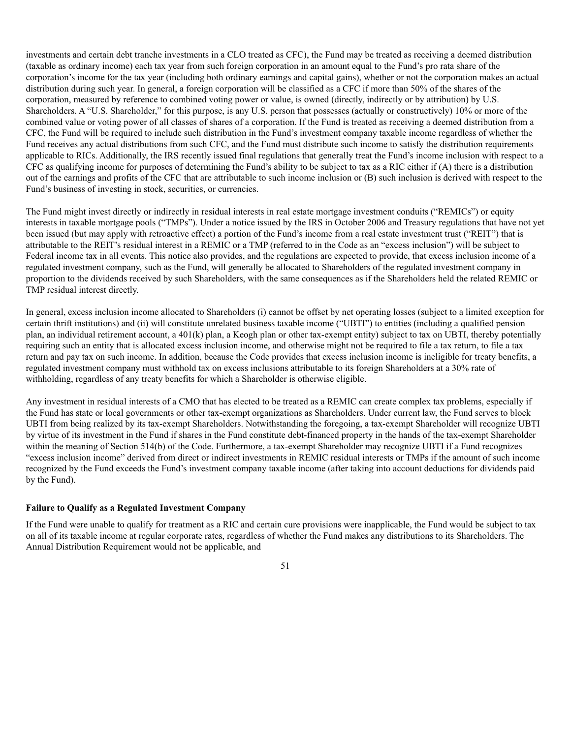investments and certain debt tranche investments in a CLO treated as CFC), the Fund may be treated as receiving a deemed distribution (taxable as ordinary income) each tax year from such foreign corporation in an amount equal to the Fund's pro rata share of the corporation's income for the tax year (including both ordinary earnings and capital gains), whether or not the corporation makes an actual distribution during such year. In general, a foreign corporation will be classified as a CFC if more than 50% of the shares of the corporation, measured by reference to combined voting power or value, is owned (directly, indirectly or by attribution) by U.S. Shareholders. A "U.S. Shareholder," for this purpose, is any U.S. person that possesses (actually or constructively) 10% or more of the combined value or voting power of all classes of shares of a corporation. If the Fund is treated as receiving a deemed distribution from a CFC, the Fund will be required to include such distribution in the Fund's investment company taxable income regardless of whether the Fund receives any actual distributions from such CFC, and the Fund must distribute such income to satisfy the distribution requirements applicable to RICs. Additionally, the IRS recently issued final regulations that generally treat the Fund's income inclusion with respect to a CFC as qualifying income for purposes of determining the Fund's ability to be subject to tax as a RIC either if (A) there is a distribution out of the earnings and profits of the CFC that are attributable to such income inclusion or (B) such inclusion is derived with respect to the Fund's business of investing in stock, securities, or currencies.

The Fund might invest directly or indirectly in residual interests in real estate mortgage investment conduits ("REMICs") or equity interests in taxable mortgage pools ("TMPs"). Under a notice issued by the IRS in October 2006 and Treasury regulations that have not yet been issued (but may apply with retroactive effect) a portion of the Fund's income from a real estate investment trust ("REIT") that is attributable to the REIT's residual interest in a REMIC or a TMP (referred to in the Code as an "excess inclusion") will be subject to Federal income tax in all events. This notice also provides, and the regulations are expected to provide, that excess inclusion income of a regulated investment company, such as the Fund, will generally be allocated to Shareholders of the regulated investment company in proportion to the dividends received by such Shareholders, with the same consequences as if the Shareholders held the related REMIC or TMP residual interest directly.

In general, excess inclusion income allocated to Shareholders (i) cannot be offset by net operating losses (subject to a limited exception for certain thrift institutions) and (ii) will constitute unrelated business taxable income ("UBTI") to entities (including a qualified pension plan, an individual retirement account, a 401(k) plan, a Keogh plan or other tax-exempt entity) subject to tax on UBTI, thereby potentially requiring such an entity that is allocated excess inclusion income, and otherwise might not be required to file a tax return, to file a tax return and pay tax on such income. In addition, because the Code provides that excess inclusion income is ineligible for treaty benefits, a regulated investment company must withhold tax on excess inclusions attributable to its foreign Shareholders at a 30% rate of withholding, regardless of any treaty benefits for which a Shareholder is otherwise eligible.

Any investment in residual interests of a CMO that has elected to be treated as a REMIC can create complex tax problems, especially if the Fund has state or local governments or other tax-exempt organizations as Shareholders. Under current law, the Fund serves to block UBTI from being realized by its tax-exempt Shareholders. Notwithstanding the foregoing, a tax-exempt Shareholder will recognize UBTI by virtue of its investment in the Fund if shares in the Fund constitute debt-financed property in the hands of the tax-exempt Shareholder within the meaning of Section 514(b) of the Code. Furthermore, a tax-exempt Shareholder may recognize UBTI if a Fund recognizes "excess inclusion income" derived from direct or indirect investments in REMIC residual interests or TMPs if the amount of such income recognized by the Fund exceeds the Fund's investment company taxable income (after taking into account deductions for dividends paid by the Fund).

# **Failure to Qualify as a Regulated Investment Company**

If the Fund were unable to qualify for treatment as a RIC and certain cure provisions were inapplicable, the Fund would be subject to tax on all of its taxable income at regular corporate rates, regardless of whether the Fund makes any distributions to its Shareholders. The Annual Distribution Requirement would not be applicable, and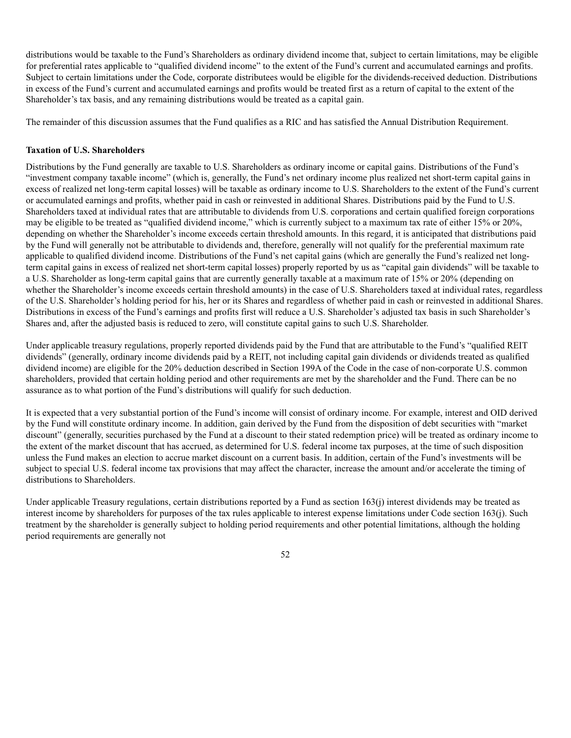distributions would be taxable to the Fund's Shareholders as ordinary dividend income that, subject to certain limitations, may be eligible for preferential rates applicable to "qualified dividend income" to the extent of the Fund's current and accumulated earnings and profits. Subject to certain limitations under the Code, corporate distributees would be eligible for the dividends-received deduction. Distributions in excess of the Fund's current and accumulated earnings and profits would be treated first as a return of capital to the extent of the Shareholder's tax basis, and any remaining distributions would be treated as a capital gain.

The remainder of this discussion assumes that the Fund qualifies as a RIC and has satisfied the Annual Distribution Requirement.

# **Taxation of U.S. Shareholders**

Distributions by the Fund generally are taxable to U.S. Shareholders as ordinary income or capital gains. Distributions of the Fund's "investment company taxable income" (which is, generally, the Fund's net ordinary income plus realized net short-term capital gains in excess of realized net long-term capital losses) will be taxable as ordinary income to U.S. Shareholders to the extent of the Fund's current or accumulated earnings and profits, whether paid in cash or reinvested in additional Shares. Distributions paid by the Fund to U.S. Shareholders taxed at individual rates that are attributable to dividends from U.S. corporations and certain qualified foreign corporations may be eligible to be treated as "qualified dividend income," which is currently subject to a maximum tax rate of either 15% or 20%, depending on whether the Shareholder's income exceeds certain threshold amounts. In this regard, it is anticipated that distributions paid by the Fund will generally not be attributable to dividends and, therefore, generally will not qualify for the preferential maximum rate applicable to qualified dividend income. Distributions of the Fund's net capital gains (which are generally the Fund's realized net longterm capital gains in excess of realized net short-term capital losses) properly reported by us as "capital gain dividends" will be taxable to a U.S. Shareholder as long-term capital gains that are currently generally taxable at a maximum rate of 15% or 20% (depending on whether the Shareholder's income exceeds certain threshold amounts) in the case of U.S. Shareholders taxed at individual rates, regardless of the U.S. Shareholder's holding period for his, her or its Shares and regardless of whether paid in cash or reinvested in additional Shares. Distributions in excess of the Fund's earnings and profits first will reduce a U.S. Shareholder's adjusted tax basis in such Shareholder's Shares and, after the adjusted basis is reduced to zero, will constitute capital gains to such U.S. Shareholder.

Under applicable treasury regulations, properly reported dividends paid by the Fund that are attributable to the Fund's "qualified REIT dividends" (generally, ordinary income dividends paid by a REIT, not including capital gain dividends or dividends treated as qualified dividend income) are eligible for the 20% deduction described in Section 199A of the Code in the case of non-corporate U.S. common shareholders, provided that certain holding period and other requirements are met by the shareholder and the Fund. There can be no assurance as to what portion of the Fund's distributions will qualify for such deduction.

It is expected that a very substantial portion of the Fund's income will consist of ordinary income. For example, interest and OID derived by the Fund will constitute ordinary income. In addition, gain derived by the Fund from the disposition of debt securities with "market discount" (generally, securities purchased by the Fund at a discount to their stated redemption price) will be treated as ordinary income to the extent of the market discount that has accrued, as determined for U.S. federal income tax purposes, at the time of such disposition unless the Fund makes an election to accrue market discount on a current basis. In addition, certain of the Fund's investments will be subject to special U.S. federal income tax provisions that may affect the character, increase the amount and/or accelerate the timing of distributions to Shareholders.

Under applicable Treasury regulations, certain distributions reported by a Fund as section 163(j) interest dividends may be treated as interest income by shareholders for purposes of the tax rules applicable to interest expense limitations under Code section 163(j). Such treatment by the shareholder is generally subject to holding period requirements and other potential limitations, although the holding period requirements are generally not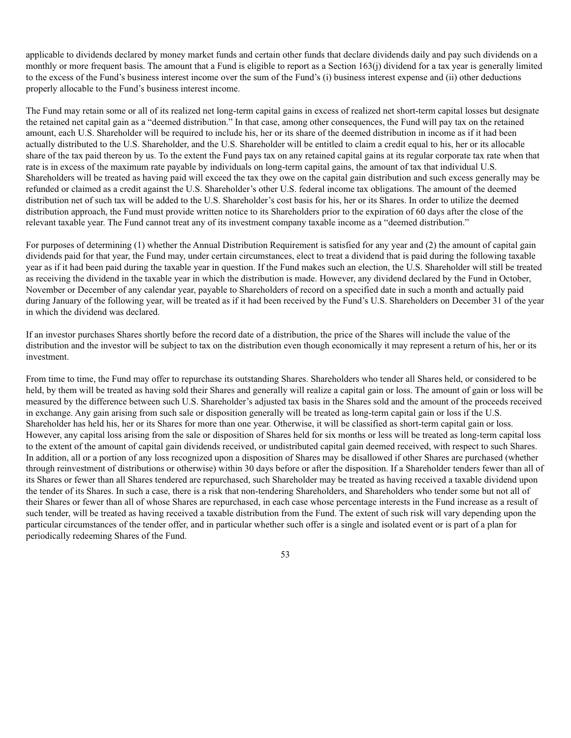applicable to dividends declared by money market funds and certain other funds that declare dividends daily and pay such dividends on a monthly or more frequent basis. The amount that a Fund is eligible to report as a Section 163(j) dividend for a tax year is generally limited to the excess of the Fund's business interest income over the sum of the Fund's (i) business interest expense and (ii) other deductions properly allocable to the Fund's business interest income.

The Fund may retain some or all of its realized net long-term capital gains in excess of realized net short-term capital losses but designate the retained net capital gain as a "deemed distribution." In that case, among other consequences, the Fund will pay tax on the retained amount, each U.S. Shareholder will be required to include his, her or its share of the deemed distribution in income as if it had been actually distributed to the U.S. Shareholder, and the U.S. Shareholder will be entitled to claim a credit equal to his, her or its allocable share of the tax paid thereon by us. To the extent the Fund pays tax on any retained capital gains at its regular corporate tax rate when that rate is in excess of the maximum rate payable by individuals on long-term capital gains, the amount of tax that individual U.S. Shareholders will be treated as having paid will exceed the tax they owe on the capital gain distribution and such excess generally may be refunded or claimed as a credit against the U.S. Shareholder's other U.S. federal income tax obligations. The amount of the deemed distribution net of such tax will be added to the U.S. Shareholder's cost basis for his, her or its Shares. In order to utilize the deemed distribution approach, the Fund must provide written notice to its Shareholders prior to the expiration of 60 days after the close of the relevant taxable year. The Fund cannot treat any of its investment company taxable income as a "deemed distribution."

For purposes of determining (1) whether the Annual Distribution Requirement is satisfied for any year and (2) the amount of capital gain dividends paid for that year, the Fund may, under certain circumstances, elect to treat a dividend that is paid during the following taxable year as if it had been paid during the taxable year in question. If the Fund makes such an election, the U.S. Shareholder will still be treated as receiving the dividend in the taxable year in which the distribution is made. However, any dividend declared by the Fund in October, November or December of any calendar year, payable to Shareholders of record on a specified date in such a month and actually paid during January of the following year, will be treated as if it had been received by the Fund's U.S. Shareholders on December 31 of the year in which the dividend was declared.

If an investor purchases Shares shortly before the record date of a distribution, the price of the Shares will include the value of the distribution and the investor will be subject to tax on the distribution even though economically it may represent a return of his, her or its investment.

From time to time, the Fund may offer to repurchase its outstanding Shares. Shareholders who tender all Shares held, or considered to be held, by them will be treated as having sold their Shares and generally will realize a capital gain or loss. The amount of gain or loss will be measured by the difference between such U.S. Shareholder's adjusted tax basis in the Shares sold and the amount of the proceeds received in exchange. Any gain arising from such sale or disposition generally will be treated as long-term capital gain or loss if the U.S. Shareholder has held his, her or its Shares for more than one year. Otherwise, it will be classified as short-term capital gain or loss. However, any capital loss arising from the sale or disposition of Shares held for six months or less will be treated as long-term capital loss to the extent of the amount of capital gain dividends received, or undistributed capital gain deemed received, with respect to such Shares. In addition, all or a portion of any loss recognized upon a disposition of Shares may be disallowed if other Shares are purchased (whether through reinvestment of distributions or otherwise) within 30 days before or after the disposition. If a Shareholder tenders fewer than all of its Shares or fewer than all Shares tendered are repurchased, such Shareholder may be treated as having received a taxable dividend upon the tender of its Shares. In such a case, there is a risk that non-tendering Shareholders, and Shareholders who tender some but not all of their Shares or fewer than all of whose Shares are repurchased, in each case whose percentage interests in the Fund increase as a result of such tender, will be treated as having received a taxable distribution from the Fund. The extent of such risk will vary depending upon the particular circumstances of the tender offer, and in particular whether such offer is a single and isolated event or is part of a plan for periodically redeeming Shares of the Fund.

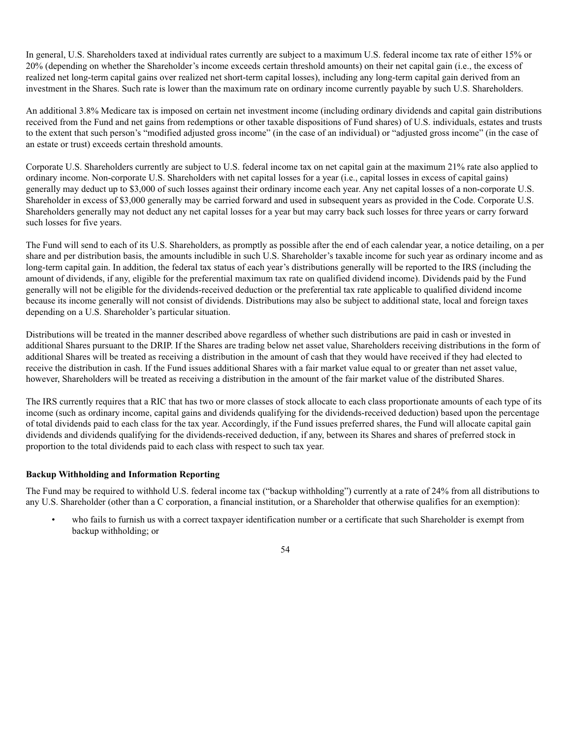In general, U.S. Shareholders taxed at individual rates currently are subject to a maximum U.S. federal income tax rate of either 15% or 20% (depending on whether the Shareholder's income exceeds certain threshold amounts) on their net capital gain (i.e., the excess of realized net long-term capital gains over realized net short-term capital losses), including any long-term capital gain derived from an investment in the Shares. Such rate is lower than the maximum rate on ordinary income currently payable by such U.S. Shareholders.

An additional 3.8% Medicare tax is imposed on certain net investment income (including ordinary dividends and capital gain distributions received from the Fund and net gains from redemptions or other taxable dispositions of Fund shares) of U.S. individuals, estates and trusts to the extent that such person's "modified adjusted gross income" (in the case of an individual) or "adjusted gross income" (in the case of an estate or trust) exceeds certain threshold amounts.

Corporate U.S. Shareholders currently are subject to U.S. federal income tax on net capital gain at the maximum 21% rate also applied to ordinary income. Non-corporate U.S. Shareholders with net capital losses for a year (i.e., capital losses in excess of capital gains) generally may deduct up to \$3,000 of such losses against their ordinary income each year. Any net capital losses of a non-corporate U.S. Shareholder in excess of \$3,000 generally may be carried forward and used in subsequent years as provided in the Code. Corporate U.S. Shareholders generally may not deduct any net capital losses for a year but may carry back such losses for three years or carry forward such losses for five years.

The Fund will send to each of its U.S. Shareholders, as promptly as possible after the end of each calendar year, a notice detailing, on a per share and per distribution basis, the amounts includible in such U.S. Shareholder's taxable income for such year as ordinary income and as long-term capital gain. In addition, the federal tax status of each year's distributions generally will be reported to the IRS (including the amount of dividends, if any, eligible for the preferential maximum tax rate on qualified dividend income). Dividends paid by the Fund generally will not be eligible for the dividends-received deduction or the preferential tax rate applicable to qualified dividend income because its income generally will not consist of dividends. Distributions may also be subject to additional state, local and foreign taxes depending on a U.S. Shareholder's particular situation.

Distributions will be treated in the manner described above regardless of whether such distributions are paid in cash or invested in additional Shares pursuant to the DRIP. If the Shares are trading below net asset value, Shareholders receiving distributions in the form of additional Shares will be treated as receiving a distribution in the amount of cash that they would have received if they had elected to receive the distribution in cash. If the Fund issues additional Shares with a fair market value equal to or greater than net asset value, however, Shareholders will be treated as receiving a distribution in the amount of the fair market value of the distributed Shares.

The IRS currently requires that a RIC that has two or more classes of stock allocate to each class proportionate amounts of each type of its income (such as ordinary income, capital gains and dividends qualifying for the dividends-received deduction) based upon the percentage of total dividends paid to each class for the tax year. Accordingly, if the Fund issues preferred shares, the Fund will allocate capital gain dividends and dividends qualifying for the dividends-received deduction, if any, between its Shares and shares of preferred stock in proportion to the total dividends paid to each class with respect to such tax year.

# **Backup Withholding and Information Reporting**

The Fund may be required to withhold U.S. federal income tax ("backup withholding") currently at a rate of 24% from all distributions to any U.S. Shareholder (other than a C corporation, a financial institution, or a Shareholder that otherwise qualifies for an exemption):

- who fails to furnish us with a correct taxpayer identification number or a certificate that such Shareholder is exempt from backup withholding; or
	- 54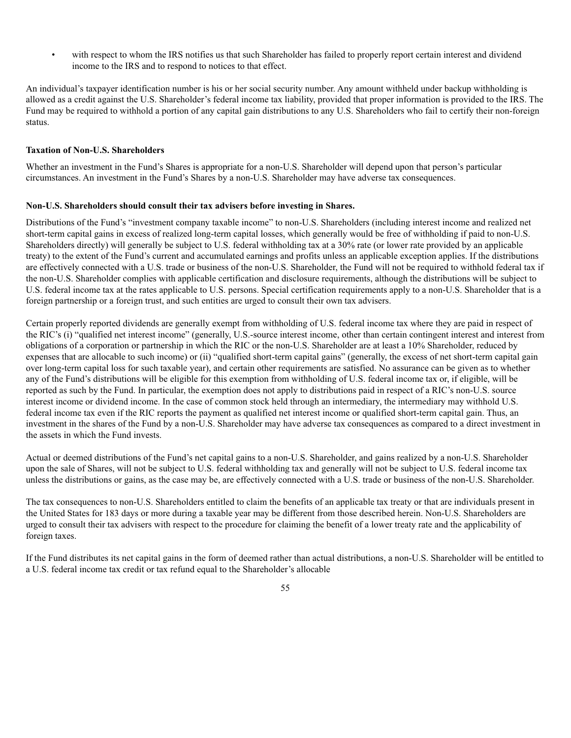with respect to whom the IRS notifies us that such Shareholder has failed to properly report certain interest and dividend income to the IRS and to respond to notices to that effect.

An individual's taxpayer identification number is his or her social security number. Any amount withheld under backup withholding is allowed as a credit against the U.S. Shareholder's federal income tax liability, provided that proper information is provided to the IRS. The Fund may be required to withhold a portion of any capital gain distributions to any U.S. Shareholders who fail to certify their non-foreign status.

# **Taxation of Non-U.S. Shareholders**

Whether an investment in the Fund's Shares is appropriate for a non-U.S. Shareholder will depend upon that person's particular circumstances. An investment in the Fund's Shares by a non-U.S. Shareholder may have adverse tax consequences.

#### **Non-U.S. Shareholders should consult their tax advisers before investing in Shares.**

Distributions of the Fund's "investment company taxable income" to non-U.S. Shareholders (including interest income and realized net short-term capital gains in excess of realized long-term capital losses, which generally would be free of withholding if paid to non-U.S. Shareholders directly) will generally be subject to U.S. federal withholding tax at a 30% rate (or lower rate provided by an applicable treaty) to the extent of the Fund's current and accumulated earnings and profits unless an applicable exception applies. If the distributions are effectively connected with a U.S. trade or business of the non-U.S. Shareholder, the Fund will not be required to withhold federal tax if the non-U.S. Shareholder complies with applicable certification and disclosure requirements, although the distributions will be subject to U.S. federal income tax at the rates applicable to U.S. persons. Special certification requirements apply to a non-U.S. Shareholder that is a foreign partnership or a foreign trust, and such entities are urged to consult their own tax advisers.

Certain properly reported dividends are generally exempt from withholding of U.S. federal income tax where they are paid in respect of the RIC's (i) "qualified net interest income" (generally, U.S.-source interest income, other than certain contingent interest and interest from obligations of a corporation or partnership in which the RIC or the non-U.S. Shareholder are at least a 10% Shareholder, reduced by expenses that are allocable to such income) or (ii) "qualified short-term capital gains" (generally, the excess of net short-term capital gain over long-term capital loss for such taxable year), and certain other requirements are satisfied. No assurance can be given as to whether any of the Fund's distributions will be eligible for this exemption from withholding of U.S. federal income tax or, if eligible, will be reported as such by the Fund. In particular, the exemption does not apply to distributions paid in respect of a RIC's non-U.S. source interest income or dividend income. In the case of common stock held through an intermediary, the intermediary may withhold U.S. federal income tax even if the RIC reports the payment as qualified net interest income or qualified short-term capital gain. Thus, an investment in the shares of the Fund by a non-U.S. Shareholder may have adverse tax consequences as compared to a direct investment in the assets in which the Fund invests.

Actual or deemed distributions of the Fund's net capital gains to a non-U.S. Shareholder, and gains realized by a non-U.S. Shareholder upon the sale of Shares, will not be subject to U.S. federal withholding tax and generally will not be subject to U.S. federal income tax unless the distributions or gains, as the case may be, are effectively connected with a U.S. trade or business of the non-U.S. Shareholder.

The tax consequences to non-U.S. Shareholders entitled to claim the benefits of an applicable tax treaty or that are individuals present in the United States for 183 days or more during a taxable year may be different from those described herein. Non-U.S. Shareholders are urged to consult their tax advisers with respect to the procedure for claiming the benefit of a lower treaty rate and the applicability of foreign taxes.

If the Fund distributes its net capital gains in the form of deemed rather than actual distributions, a non-U.S. Shareholder will be entitled to a U.S. federal income tax credit or tax refund equal to the Shareholder's allocable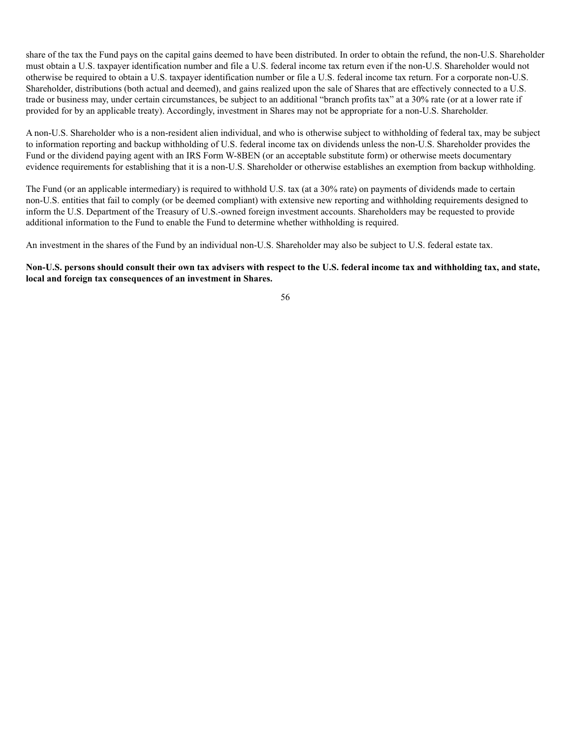share of the tax the Fund pays on the capital gains deemed to have been distributed. In order to obtain the refund, the non-U.S. Shareholder must obtain a U.S. taxpayer identification number and file a U.S. federal income tax return even if the non-U.S. Shareholder would not otherwise be required to obtain a U.S. taxpayer identification number or file a U.S. federal income tax return. For a corporate non-U.S. Shareholder, distributions (both actual and deemed), and gains realized upon the sale of Shares that are effectively connected to a U.S. trade or business may, under certain circumstances, be subject to an additional "branch profits tax" at a 30% rate (or at a lower rate if provided for by an applicable treaty). Accordingly, investment in Shares may not be appropriate for a non-U.S. Shareholder.

A non-U.S. Shareholder who is a non-resident alien individual, and who is otherwise subject to withholding of federal tax, may be subject to information reporting and backup withholding of U.S. federal income tax on dividends unless the non-U.S. Shareholder provides the Fund or the dividend paying agent with an IRS Form W-8BEN (or an acceptable substitute form) or otherwise meets documentary evidence requirements for establishing that it is a non-U.S. Shareholder or otherwise establishes an exemption from backup withholding.

The Fund (or an applicable intermediary) is required to withhold U.S. tax (at a 30% rate) on payments of dividends made to certain non-U.S. entities that fail to comply (or be deemed compliant) with extensive new reporting and withholding requirements designed to inform the U.S. Department of the Treasury of U.S.-owned foreign investment accounts. Shareholders may be requested to provide additional information to the Fund to enable the Fund to determine whether withholding is required.

An investment in the shares of the Fund by an individual non-U.S. Shareholder may also be subject to U.S. federal estate tax.

**Non-U.S. persons should consult their own tax advisers with respect to the U.S. federal income tax and withholding tax, and state, local and foreign tax consequences of an investment in Shares.**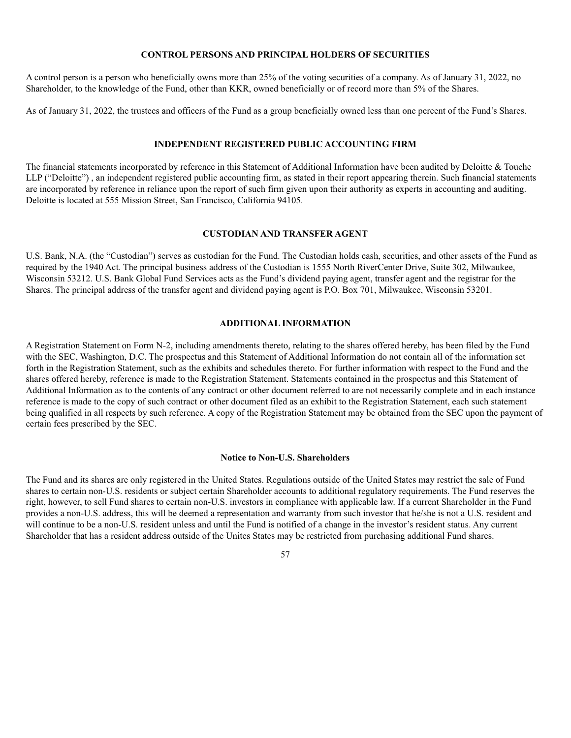#### **CONTROL PERSONS AND PRINCIPAL HOLDERS OF SECURITIES**

A control person is a person who beneficially owns more than 25% of the voting securities of a company. As of January 31, 2022, no Shareholder, to the knowledge of the Fund, other than KKR, owned beneficially or of record more than 5% of the Shares.

As of January 31, 2022, the trustees and officers of the Fund as a group beneficially owned less than one percent of the Fund's Shares.

# **INDEPENDENT REGISTERED PUBLIC ACCOUNTING FIRM**

The financial statements incorporated by reference in this Statement of Additional Information have been audited by Deloitte & Touche LLP ("Deloitte") , an independent registered public accounting firm, as stated in their report appearing therein. Such financial statements are incorporated by reference in reliance upon the report of such firm given upon their authority as experts in accounting and auditing. Deloitte is located at 555 Mission Street, San Francisco, California 94105.

#### **CUSTODIAN AND TRANSFER AGENT**

U.S. Bank, N.A. (the "Custodian") serves as custodian for the Fund. The Custodian holds cash, securities, and other assets of the Fund as required by the 1940 Act. The principal business address of the Custodian is 1555 North RiverCenter Drive, Suite 302, Milwaukee, Wisconsin 53212. U.S. Bank Global Fund Services acts as the Fund's dividend paying agent, transfer agent and the registrar for the Shares. The principal address of the transfer agent and dividend paying agent is P.O. Box 701, Milwaukee, Wisconsin 53201.

# **ADDITIONAL INFORMATION**

A Registration Statement on Form N-2, including amendments thereto, relating to the shares offered hereby, has been filed by the Fund with the SEC, Washington, D.C. The prospectus and this Statement of Additional Information do not contain all of the information set forth in the Registration Statement, such as the exhibits and schedules thereto. For further information with respect to the Fund and the shares offered hereby, reference is made to the Registration Statement. Statements contained in the prospectus and this Statement of Additional Information as to the contents of any contract or other document referred to are not necessarily complete and in each instance reference is made to the copy of such contract or other document filed as an exhibit to the Registration Statement, each such statement being qualified in all respects by such reference. A copy of the Registration Statement may be obtained from the SEC upon the payment of certain fees prescribed by the SEC.

#### **Notice to Non-U.S. Shareholders**

The Fund and its shares are only registered in the United States. Regulations outside of the United States may restrict the sale of Fund shares to certain non-U.S. residents or subject certain Shareholder accounts to additional regulatory requirements. The Fund reserves the right, however, to sell Fund shares to certain non-U.S. investors in compliance with applicable law. If a current Shareholder in the Fund provides a non-U.S. address, this will be deemed a representation and warranty from such investor that he/she is not a U.S. resident and will continue to be a non-U.S. resident unless and until the Fund is notified of a change in the investor's resident status. Any current Shareholder that has a resident address outside of the Unites States may be restricted from purchasing additional Fund shares.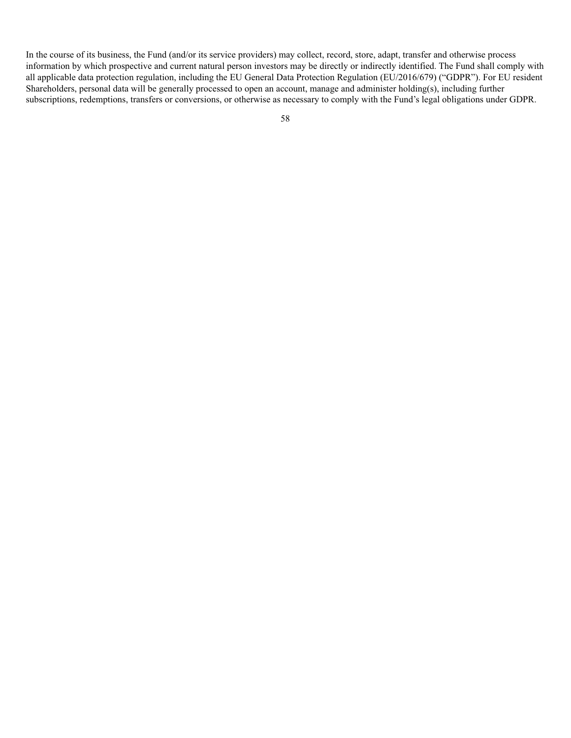In the course of its business, the Fund (and/or its service providers) may collect, record, store, adapt, transfer and otherwise process information by which prospective and current natural person investors may be directly or indirectly identified. The Fund shall comply with all applicable data protection regulation, including the EU General Data Protection Regulation (EU/2016/679) ("GDPR"). For EU resident Shareholders, personal data will be generally processed to open an account, manage and administer holding(s), including further subscriptions, redemptions, transfers or conversions, or otherwise as necessary to comply with the Fund's legal obligations under GDPR.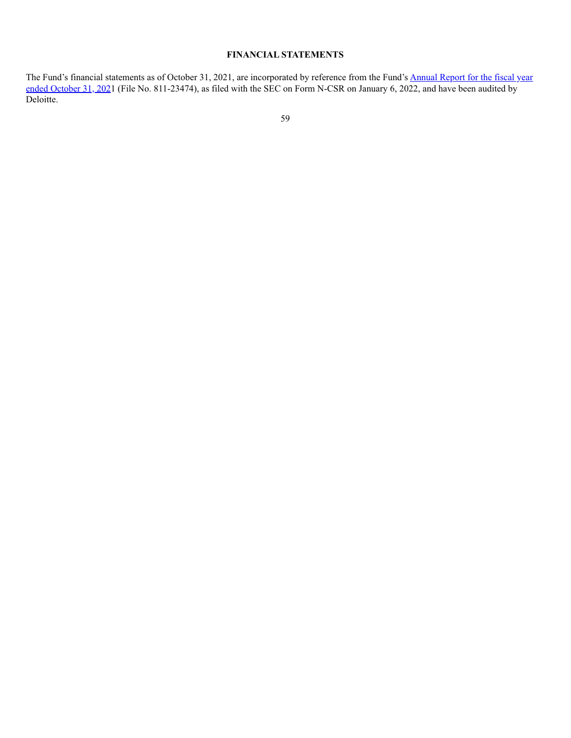#### **FINANCIAL STATEMENTS**

The Fund's financial statements as of October 31, 2021, are incorporated by reference from the Fund's Annual Report for the fiscal year ended October 31, 2021 (File No. 811-23474), as filed with the SEC on Form N-CSR on January 6, 2022, and have been audited by Deloitte.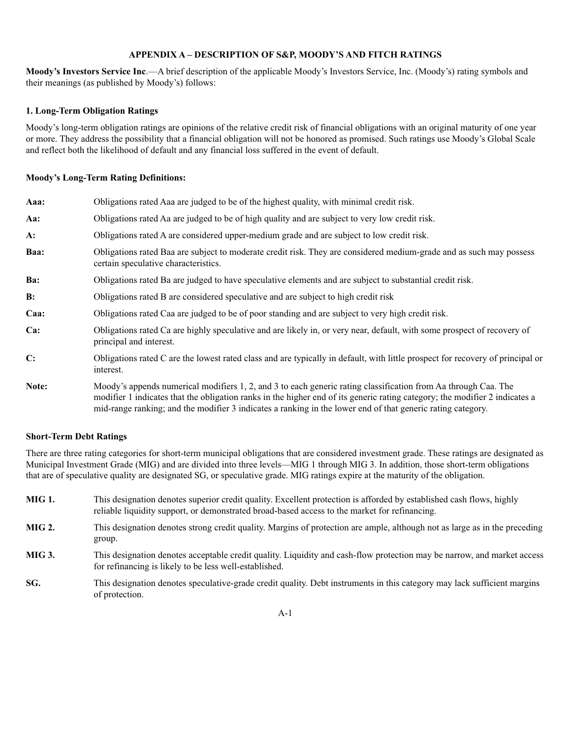#### **APPENDIX A – DESCRIPTION OF S&P, MOODY'S AND FITCH RATINGS**

**Moody's Investors Service Inc**.—A brief description of the applicable Moody's Investors Service, Inc. (Moody's) rating symbols and their meanings (as published by Moody's) follows:

# **1. Long-Term Obligation Ratings**

Moody's long-term obligation ratings are opinions of the relative credit risk of financial obligations with an original maturity of one year or more. They address the possibility that a financial obligation will not be honored as promised. Such ratings use Moody's Global Scale and reflect both the likelihood of default and any financial loss suffered in the event of default.

# **Moody's Long-Term Rating Definitions:**

| Aaa:           | Obligations rated Aaa are judged to be of the highest quality, with minimal credit risk.                                                                                                                                                                                                                                                                     |
|----------------|--------------------------------------------------------------------------------------------------------------------------------------------------------------------------------------------------------------------------------------------------------------------------------------------------------------------------------------------------------------|
| Aa:            | Obligations rated Aa are judged to be of high quality and are subject to very low credit risk.                                                                                                                                                                                                                                                               |
| $A$ :          | Obligations rated A are considered upper-medium grade and are subject to low credit risk.                                                                                                                                                                                                                                                                    |
| Baa:           | Obligations rated Baa are subject to moderate credit risk. They are considered medium-grade and as such may possess<br>certain speculative characteristics.                                                                                                                                                                                                  |
| Ba:            | Obligations rated Ba are judged to have speculative elements and are subject to substantial credit risk.                                                                                                                                                                                                                                                     |
| B:             | Obligations rated B are considered speculative and are subject to high credit risk                                                                                                                                                                                                                                                                           |
| Caa:           | Obligations rated Caa are judged to be of poor standing and are subject to very high credit risk.                                                                                                                                                                                                                                                            |
| Ca:            | Obligations rated Ca are highly speculative and are likely in, or very near, default, with some prospect of recovery of<br>principal and interest.                                                                                                                                                                                                           |
| $\mathbf{C}$ : | Obligations rated C are the lowest rated class and are typically in default, with little prospect for recovery of principal or<br>interest.                                                                                                                                                                                                                  |
| Note:          | Moody's appends numerical modifiers 1, 2, and 3 to each generic rating classification from Aa through Caa. The<br>modifier 1 indicates that the obligation ranks in the higher end of its generic rating category; the modifier 2 indicates a<br>mid-range ranking; and the modifier 3 indicates a ranking in the lower end of that generic rating category. |

# **Short-Term Debt Ratings**

There are three rating categories for short-term municipal obligations that are considered investment grade. These ratings are designated as Municipal Investment Grade (MIG) and are divided into three levels—MIG 1 through MIG 3. In addition, those short-term obligations that are of speculative quality are designated SG, or speculative grade. MIG ratings expire at the maturity of the obligation.

**MIG 1.** This designation denotes superior credit quality. Excellent protection is afforded by established cash flows, highly reliable liquidity support, or demonstrated broad-based access to the market for refinancing. **MIG 2.** This designation denotes strong credit quality. Margins of protection are ample, although not as large as in the preceding group. **MIG 3.** This designation denotes acceptable credit quality. Liquidity and cash-flow protection may be narrow, and market access for refinancing is likely to be less well-established. **SG.** This designation denotes speculative-grade credit quality. Debt instruments in this category may lack sufficient margins of protection.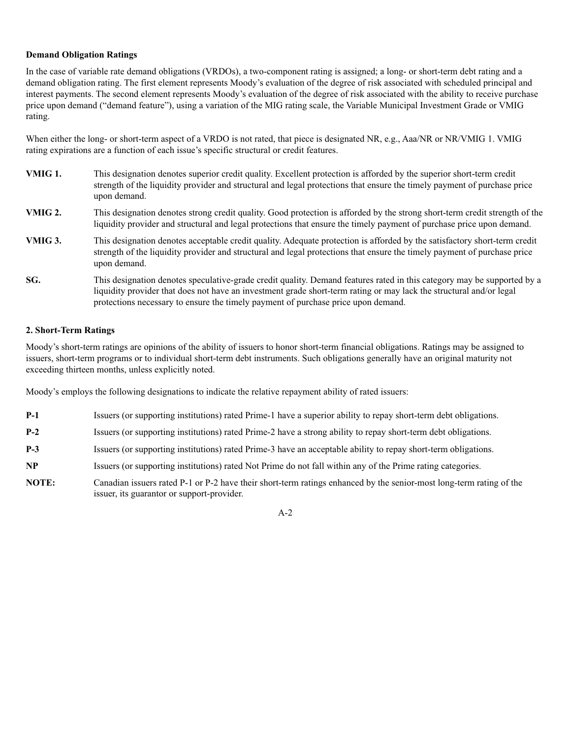# **Demand Obligation Ratings**

In the case of variable rate demand obligations (VRDOs), a two-component rating is assigned; a long- or short-term debt rating and a demand obligation rating. The first element represents Moody's evaluation of the degree of risk associated with scheduled principal and interest payments. The second element represents Moody's evaluation of the degree of risk associated with the ability to receive purchase price upon demand ("demand feature"), using a variation of the MIG rating scale, the Variable Municipal Investment Grade or VMIG rating.

When either the long- or short-term aspect of a VRDO is not rated, that piece is designated NR, e.g., Aaa/NR or NR/VMIG 1. VMIG rating expirations are a function of each issue's specific structural or credit features.

- **VMIG 1.** This designation denotes superior credit quality. Excellent protection is afforded by the superior short-term credit strength of the liquidity provider and structural and legal protections that ensure the timely payment of purchase price upon demand.
- **VMIG 2.** This designation denotes strong credit quality. Good protection is afforded by the strong short-term credit strength of the liquidity provider and structural and legal protections that ensure the timely payment of purchase price upon demand.
- **VMIG 3.** This designation denotes acceptable credit quality. Adequate protection is afforded by the satisfactory short-term credit strength of the liquidity provider and structural and legal protections that ensure the timely payment of purchase price upon demand.
- **SG.** This designation denotes speculative-grade credit quality. Demand features rated in this category may be supported by a liquidity provider that does not have an investment grade short-term rating or may lack the structural and/or legal protections necessary to ensure the timely payment of purchase price upon demand.

# **2. Short-Term Ratings**

Moody's short-term ratings are opinions of the ability of issuers to honor short-term financial obligations. Ratings may be assigned to issuers, short-term programs or to individual short-term debt instruments. Such obligations generally have an original maturity not exceeding thirteen months, unless explicitly noted.

Moody's employs the following designations to indicate the relative repayment ability of rated issuers:

- **P-1** Issuers (or supporting institutions) rated Prime-1 have a superior ability to repay short-term debt obligations.
- **P-2** Issuers (or supporting institutions) rated Prime-2 have a strong ability to repay short-term debt obligations.
- **P-3** Issuers (or supporting institutions) rated Prime-3 have an acceptable ability to repay short-term obligations.
- **NP** Issuers (or supporting institutions) rated Not Prime do not fall within any of the Prime rating categories.
- **NOTE:** Canadian issuers rated P-1 or P-2 have their short-term ratings enhanced by the senior-most long-term rating of the issuer, its guarantor or support-provider.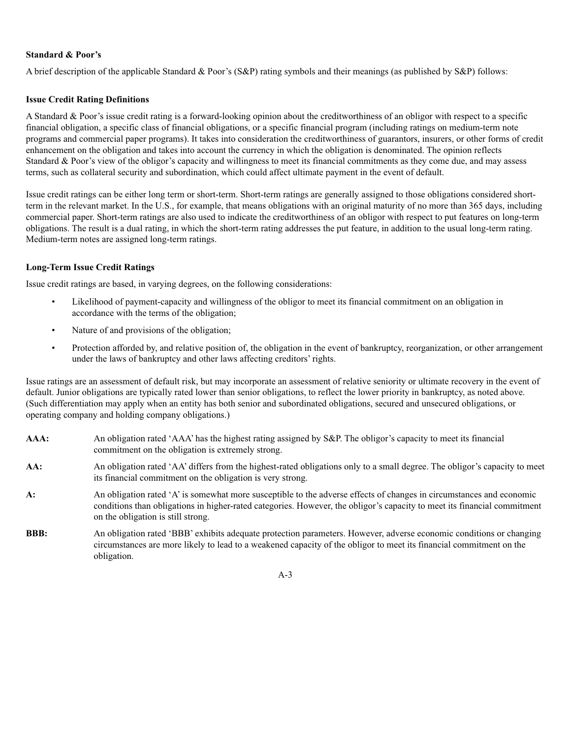# **Standard & Poor's**

A brief description of the applicable Standard & Poor's (S&P) rating symbols and their meanings (as published by S&P) follows:

# **Issue Credit Rating Definitions**

A Standard & Poor's issue credit rating is a forward-looking opinion about the creditworthiness of an obligor with respect to a specific financial obligation, a specific class of financial obligations, or a specific financial program (including ratings on medium-term note programs and commercial paper programs). It takes into consideration the creditworthiness of guarantors, insurers, or other forms of credit enhancement on the obligation and takes into account the currency in which the obligation is denominated. The opinion reflects Standard & Poor's view of the obligor's capacity and willingness to meet its financial commitments as they come due, and may assess terms, such as collateral security and subordination, which could affect ultimate payment in the event of default.

Issue credit ratings can be either long term or short-term. Short-term ratings are generally assigned to those obligations considered shortterm in the relevant market. In the U.S., for example, that means obligations with an original maturity of no more than 365 days, including commercial paper. Short-term ratings are also used to indicate the creditworthiness of an obligor with respect to put features on long-term obligations. The result is a dual rating, in which the short-term rating addresses the put feature, in addition to the usual long-term rating. Medium-term notes are assigned long-term ratings.

# **Long-Term Issue Credit Ratings**

Issue credit ratings are based, in varying degrees, on the following considerations:

- Likelihood of payment-capacity and willingness of the obligor to meet its financial commitment on an obligation in accordance with the terms of the obligation;
- Nature of and provisions of the obligation;
- Protection afforded by, and relative position of, the obligation in the event of bankruptcy, reorganization, or other arrangement under the laws of bankruptcy and other laws affecting creditors' rights.

Issue ratings are an assessment of default risk, but may incorporate an assessment of relative seniority or ultimate recovery in the event of default. Junior obligations are typically rated lower than senior obligations, to reflect the lower priority in bankruptcy, as noted above. (Such differentiation may apply when an entity has both senior and subordinated obligations, secured and unsecured obligations, or operating company and holding company obligations.)

- **AAA:** An obligation rated 'AAA' has the highest rating assigned by S&P. The obligor's capacity to meet its financial commitment on the obligation is extremely strong.
- **AA:** An obligation rated 'AA' differs from the highest-rated obligations only to a small degree. The obligor's capacity to meet its financial commitment on the obligation is very strong.
- **A:** An obligation rated 'A' is somewhat more susceptible to the adverse effects of changes in circumstances and economic conditions than obligations in higher-rated categories. However, the obligor's capacity to meet its financial commitment on the obligation is still strong.
- **BBB:** An obligation rated 'BBB' exhibits adequate protection parameters. However, adverse economic conditions or changing circumstances are more likely to lead to a weakened capacity of the obligor to meet its financial commitment on the obligation.

A-3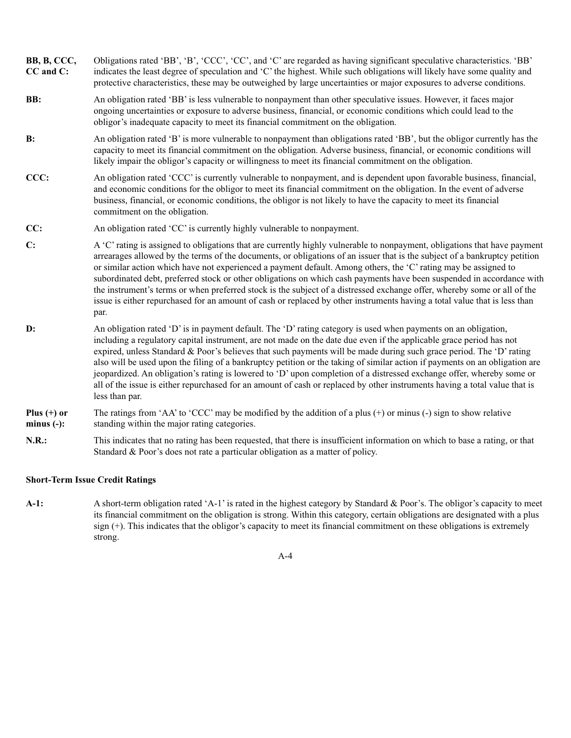- **BB, B, CCC, CC and C:** Obligations rated 'BB', 'B', 'CCC', 'CC', and 'C' are regarded as having significant speculative characteristics. 'BB' indicates the least degree of speculation and 'C' the highest. While such obligations will likely have some quality and protective characteristics, these may be outweighed by large uncertainties or major exposures to adverse conditions.
- **BB:** An obligation rated 'BB' is less vulnerable to nonpayment than other speculative issues. However, it faces major ongoing uncertainties or exposure to adverse business, financial, or economic conditions which could lead to the obligor's inadequate capacity to meet its financial commitment on the obligation.
- **B:** An obligation rated 'B' is more vulnerable to nonpayment than obligations rated 'BB', but the obligor currently has the capacity to meet its financial commitment on the obligation. Adverse business, financial, or economic conditions will likely impair the obligor's capacity or willingness to meet its financial commitment on the obligation.
- **CCC:** An obligation rated 'CCC' is currently vulnerable to nonpayment, and is dependent upon favorable business, financial, and economic conditions for the obligor to meet its financial commitment on the obligation. In the event of adverse business, financial, or economic conditions, the obligor is not likely to have the capacity to meet its financial commitment on the obligation.
- **CC:** An obligation rated 'CC' is currently highly vulnerable to nonpayment.
- **C:** A 'C' rating is assigned to obligations that are currently highly vulnerable to nonpayment, obligations that have payment arrearages allowed by the terms of the documents, or obligations of an issuer that is the subject of a bankruptcy petition or similar action which have not experienced a payment default. Among others, the 'C' rating may be assigned to subordinated debt, preferred stock or other obligations on which cash payments have been suspended in accordance with the instrument's terms or when preferred stock is the subject of a distressed exchange offer, whereby some or all of the issue is either repurchased for an amount of cash or replaced by other instruments having a total value that is less than par.
- **D:** An obligation rated 'D' is in payment default. The 'D' rating category is used when payments on an obligation, including a regulatory capital instrument, are not made on the date due even if the applicable grace period has not expired, unless Standard & Poor's believes that such payments will be made during such grace period. The 'D' rating also will be used upon the filing of a bankruptcy petition or the taking of similar action if payments on an obligation are jeopardized. An obligation's rating is lowered to 'D' upon completion of a distressed exchange offer, whereby some or all of the issue is either repurchased for an amount of cash or replaced by other instruments having a total value that is less than par.
- **Plus (+) or minus (-):** The ratings from 'AA' to 'CCC' may be modified by the addition of a plus (+) or minus (-) sign to show relative standing within the major rating categories.
- **N.R.:** This indicates that no rating has been requested, that there is insufficient information on which to base a rating, or that Standard & Poor's does not rate a particular obligation as a matter of policy.

# **Short-Term Issue Credit Ratings**

**A-1:** A short-term obligation rated 'A-1' is rated in the highest category by Standard & Poor's. The obligor's capacity to meet its financial commitment on the obligation is strong. Within this category, certain obligations are designated with a plus  $sign (+)$ . This indicates that the obligor's capacity to meet its financial commitment on these obligations is extremely strong.

A-4